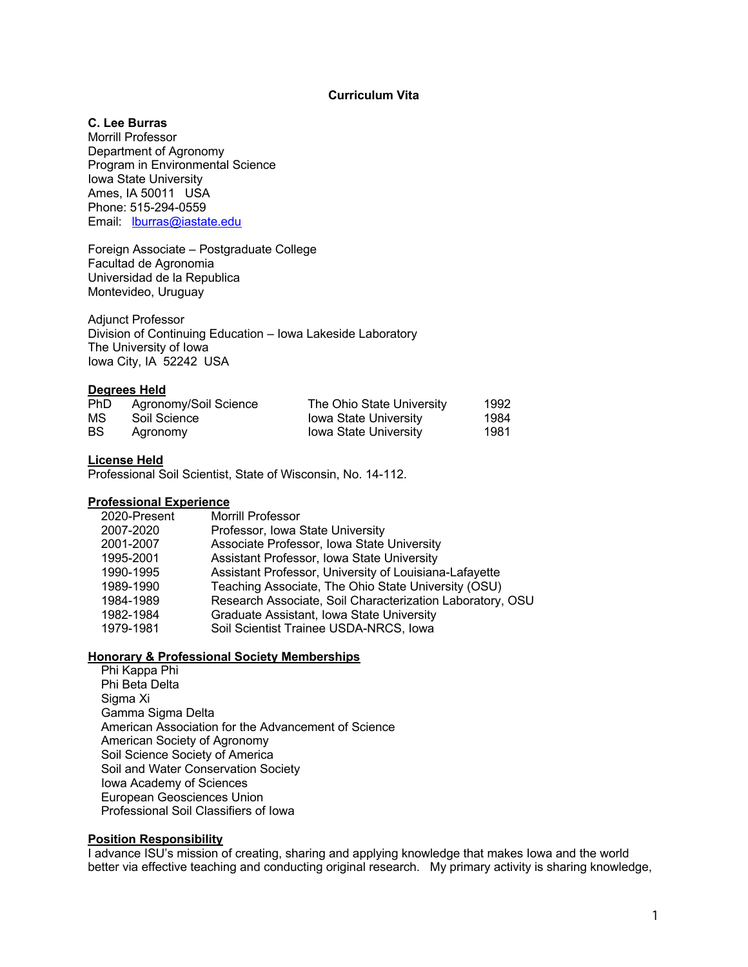# **Curriculum Vita**

# **C. Lee Burras**

Morrill Professor Department of Agronomy Program in Environmental Science Iowa State University Ames, IA 50011 USA Phone: 515-294-0559 Email: lburras@iastate.edu

Foreign Associate – Postgraduate College Facultad de Agronomia Universidad de la Republica Montevideo, Uruguay

Adjunct Professor Division of Continuing Education – Iowa Lakeside Laboratory The University of Iowa Iowa City, IA 52242 USA

# **Degrees Held**

| <b>PhD</b> | Agronomy/Soil Science | The Ohio State University    | 1992 |
|------------|-----------------------|------------------------------|------|
| МS         | Soil Science          | <b>Iowa State University</b> | 1984 |
| <b>BS</b>  | Agronomy              | <b>Iowa State University</b> | 1981 |

# **License Held**

Professional Soil Scientist, State of Wisconsin, No. 14-112.

# **Professional Experience**

| 2020-Present | Morrill Professor                                         |
|--------------|-----------------------------------------------------------|
| 2007-2020    | Professor, Iowa State University                          |
| 2001-2007    | Associate Professor, Iowa State University                |
| 1995-2001    | Assistant Professor, Iowa State University                |
| 1990-1995    | Assistant Professor, University of Louisiana-Lafayette    |
| 1989-1990    | Teaching Associate, The Ohio State University (OSU)       |
| 1984-1989    | Research Associate, Soil Characterization Laboratory, OSU |
| 1982-1984    | Graduate Assistant, Iowa State University                 |
| 1979-1981    | Soil Scientist Trainee USDA-NRCS, Iowa                    |
|              |                                                           |

# **Honorary & Professional Society Memberships**

Phi Kappa Phi Phi Beta Delta Sigma Xi Gamma Sigma Delta American Association for the Advancement of Science American Society of Agronomy Soil Science Society of America Soil and Water Conservation Society Iowa Academy of Sciences European Geosciences Union Professional Soil Classifiers of Iowa

# **Position Responsibility**

I advance ISU's mission of creating, sharing and applying knowledge that makes Iowa and the world better via effective teaching and conducting original research. My primary activity is sharing knowledge,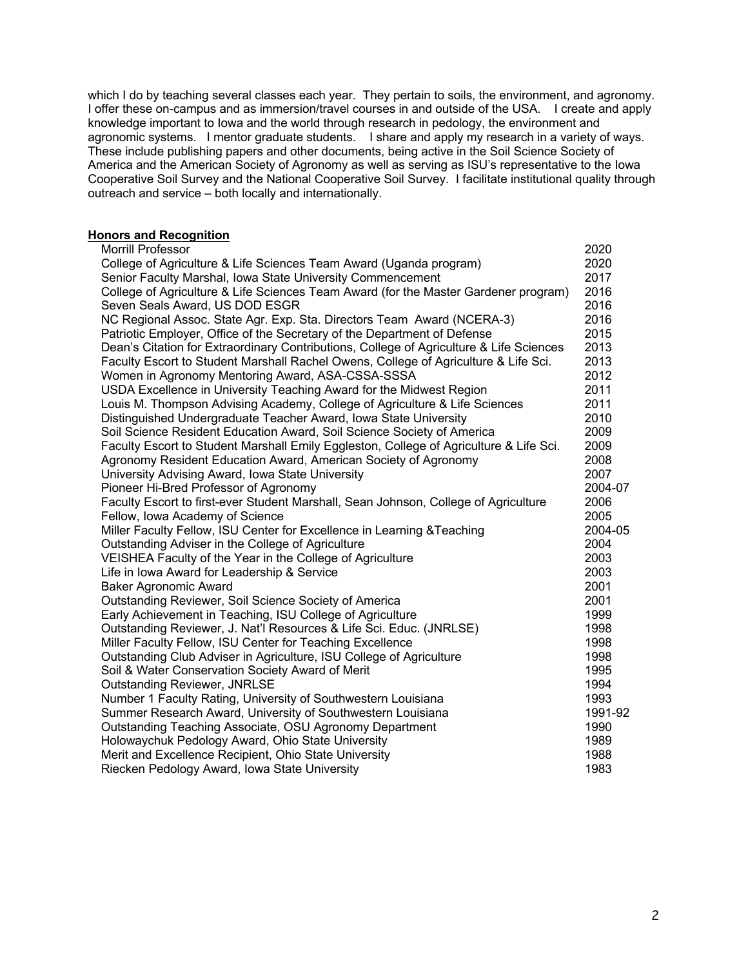which I do by teaching several classes each year. They pertain to soils, the environment, and agronomy. I offer these on-campus and as immersion/travel courses in and outside of the USA. I create and apply knowledge important to Iowa and the world through research in pedology, the environment and agronomic systems. I mentor graduate students. I share and apply my research in a variety of ways. These include publishing papers and other documents, being active in the Soil Science Society of America and the American Society of Agronomy as well as serving as ISU's representative to the Iowa Cooperative Soil Survey and the National Cooperative Soil Survey. I facilitate institutional quality through outreach and service – both locally and internationally.

# **Honors and Recognition**

| Morrill Professor                                                                       | 2020    |
|-----------------------------------------------------------------------------------------|---------|
| College of Agriculture & Life Sciences Team Award (Uganda program)                      | 2020    |
| Senior Faculty Marshal, Iowa State University Commencement                              | 2017    |
| College of Agriculture & Life Sciences Team Award (for the Master Gardener program)     | 2016    |
| Seven Seals Award, US DOD ESGR                                                          | 2016    |
| NC Regional Assoc. State Agr. Exp. Sta. Directors Team Award (NCERA-3)                  | 2016    |
| Patriotic Employer, Office of the Secretary of the Department of Defense                | 2015    |
| Dean's Citation for Extraordinary Contributions, College of Agriculture & Life Sciences | 2013    |
| Faculty Escort to Student Marshall Rachel Owens, College of Agriculture & Life Sci.     | 2013    |
| Women in Agronomy Mentoring Award, ASA-CSSA-SSSA                                        | 2012    |
| USDA Excellence in University Teaching Award for the Midwest Region                     | 2011    |
| Louis M. Thompson Advising Academy, College of Agriculture & Life Sciences              | 2011    |
| Distinguished Undergraduate Teacher Award, Iowa State University                        | 2010    |
| Soil Science Resident Education Award, Soil Science Society of America                  | 2009    |
| Faculty Escort to Student Marshall Emily Eggleston, College of Agriculture & Life Sci.  | 2009    |
| Agronomy Resident Education Award, American Society of Agronomy                         | 2008    |
| University Advising Award, Iowa State University                                        | 2007    |
| Pioneer Hi-Bred Professor of Agronomy                                                   | 2004-07 |
| Faculty Escort to first-ever Student Marshall, Sean Johnson, College of Agriculture     | 2006    |
| Fellow, Iowa Academy of Science                                                         | 2005    |
| Miller Faculty Fellow, ISU Center for Excellence in Learning & Teaching                 | 2004-05 |
| Outstanding Adviser in the College of Agriculture                                       | 2004    |
| VEISHEA Faculty of the Year in the College of Agriculture                               | 2003    |
| Life in Iowa Award for Leadership & Service                                             | 2003    |
| <b>Baker Agronomic Award</b>                                                            | 2001    |
| Outstanding Reviewer, Soil Science Society of America                                   | 2001    |
| Early Achievement in Teaching, ISU College of Agriculture                               | 1999    |
| Outstanding Reviewer, J. Nat'l Resources & Life Sci. Educ. (JNRLSE)                     | 1998    |
| Miller Faculty Fellow, ISU Center for Teaching Excellence                               | 1998    |
| Outstanding Club Adviser in Agriculture, ISU College of Agriculture                     | 1998    |
| Soil & Water Conservation Society Award of Merit                                        | 1995    |
| <b>Outstanding Reviewer, JNRLSE</b>                                                     | 1994    |
| Number 1 Faculty Rating, University of Southwestern Louisiana                           | 1993    |
| Summer Research Award, University of Southwestern Louisiana                             | 1991-92 |
| Outstanding Teaching Associate, OSU Agronomy Department                                 | 1990    |
| Holowaychuk Pedology Award, Ohio State University                                       | 1989    |
| Merit and Excellence Recipient, Ohio State University                                   | 1988    |
| Riecken Pedology Award, Iowa State University                                           | 1983    |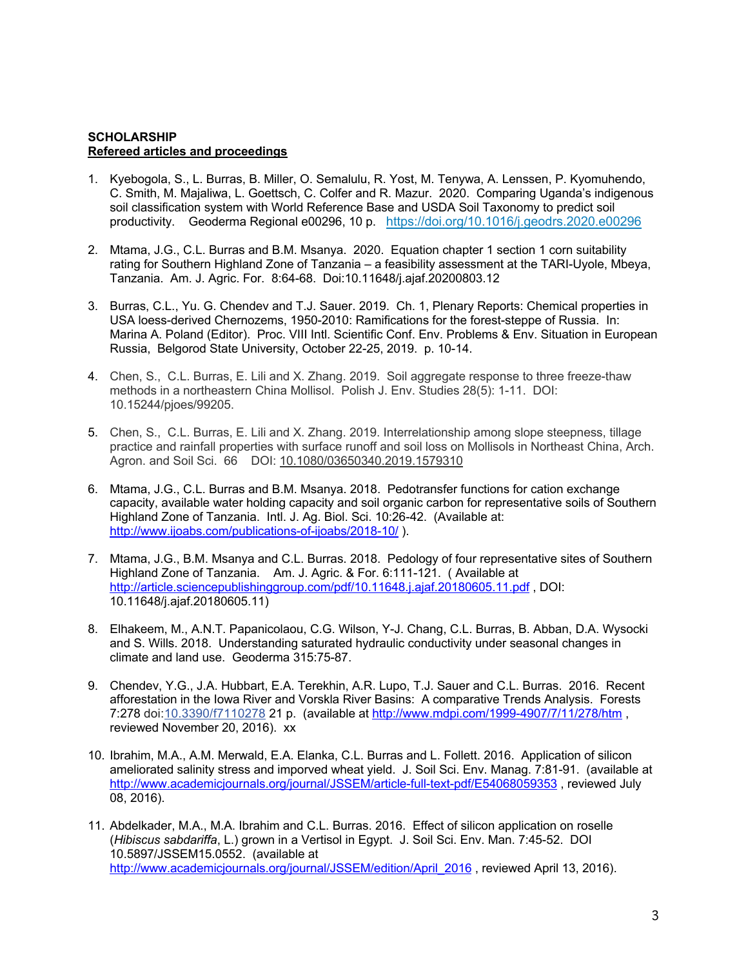# **SCHOLARSHIP Refereed articles and proceedings**

- 1. Kyebogola, S., L. Burras, B. Miller, O. Semalulu, R. Yost, M. Tenywa, A. Lenssen, P. Kyomuhendo, C. Smith, M. Majaliwa, L. Goettsch, C. Colfer and R. Mazur. 2020. Comparing Uganda's indigenous soil classification system with World Reference Base and USDA Soil Taxonomy to predict soil productivity. Geoderma Regional e00296, 10 p. https://doi.org/10.1016/j.geodrs.2020.e00296
- 2. Mtama, J.G., C.L. Burras and B.M. Msanya. 2020. Equation chapter 1 section 1 corn suitability rating for Southern Highland Zone of Tanzania – a feasibility assessment at the TARI-Uyole, Mbeya, Tanzania. Am. J. Agric. For. 8:64-68. Doi:10.11648/j.ajaf.20200803.12
- 3. Burras, C.L., Yu. G. Chendev and T.J. Sauer. 2019. Ch. 1, Plenary Reports: Chemical properties in USA loess-derived Chernozems, 1950-2010: Ramifications for the forest-steppe of Russia. In: Marina A. Poland (Editor). Proc. VIII Intl. Scientific Conf. Env. Problems & Env. Situation in European Russia, Belgorod State University, October 22-25, 2019. p. 10-14.
- 4. Chen, S., C.L. Burras, E. Lili and X. Zhang. 2019. Soil aggregate response to three freeze-thaw methods in a northeastern China Mollisol. Polish J. Env. Studies 28(5): 1-11. DOI: 10.15244/pjoes/99205.
- 5. Chen, S., C.L. Burras, E. Lili and X. Zhang. 2019. Interrelationship among slope steepness, tillage practice and rainfall properties with surface runoff and soil loss on Mollisols in Northeast China, Arch. Agron. and Soil Sci. 66 DOI: 10.1080/03650340.2019.1579310
- 6. Mtama, J.G., C.L. Burras and B.M. Msanya. 2018. Pedotransfer functions for cation exchange capacity, available water holding capacity and soil organic carbon for representative soils of Southern Highland Zone of Tanzania. Intl. J. Ag. Biol. Sci. 10:26-42. (Available at: http://www.ijoabs.com/publications-of-ijoabs/2018-10/ ).
- 7. Mtama, J.G., B.M. Msanya and C.L. Burras. 2018. Pedology of four representative sites of Southern Highland Zone of Tanzania. Am. J. Agric. & For. 6:111-121. ( Available at http://article.sciencepublishinggroup.com/pdf/10.11648.j.ajaf.20180605.11.pdf , DOI: 10.11648/j.ajaf.20180605.11)
- 8. Elhakeem, M., A.N.T. Papanicolaou, C.G. Wilson, Y-J. Chang, C.L. Burras, B. Abban, D.A. Wysocki and S. Wills. 2018. Understanding saturated hydraulic conductivity under seasonal changes in climate and land use. Geoderma 315:75-87.
- 9. Chendev, Y.G., J.A. Hubbart, E.A. Terekhin, A.R. Lupo, T.J. Sauer and C.L. Burras. 2016. Recent afforestation in the Iowa River and Vorskla River Basins: A comparative Trends Analysis. Forests 7:278 doi:10.3390/f7110278 21 p. (available at http://www.mdpi.com/1999-4907/7/11/278/htm , reviewed November 20, 2016). xx
- 10. Ibrahim, M.A., A.M. Merwald, E.A. Elanka, C.L. Burras and L. Follett. 2016. Application of silicon ameliorated salinity stress and imporved wheat yield. J. Soil Sci. Env. Manag. 7:81-91. (available at http://www.academicjournals.org/journal/JSSEM/article-full-text-pdf/E54068059353 , reviewed July 08, 2016).
- 11. Abdelkader, M.A., M.A. Ibrahim and C.L. Burras. 2016. Effect of silicon application on roselle (*Hibiscus sabdariffa*, L.) grown in a Vertisol in Egypt. J. Soil Sci. Env. Man. 7:45-52. DOI 10.5897/JSSEM15.0552. (available at http://www.academicjournals.org/journal/JSSEM/edition/April 2016, reviewed April 13, 2016).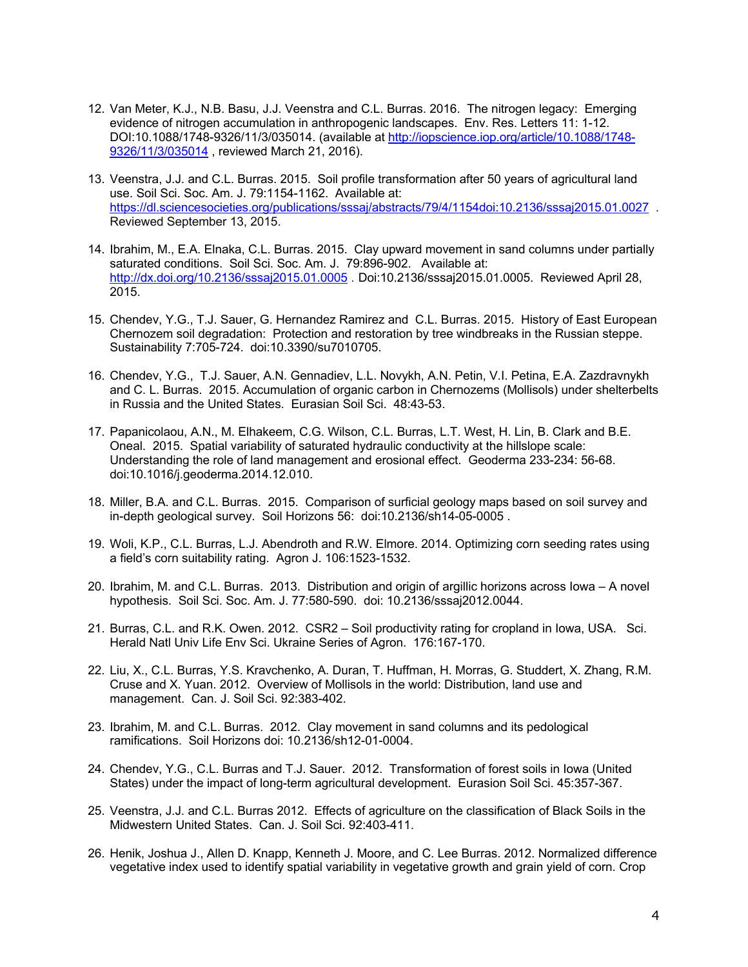- 12. Van Meter, K.J., N.B. Basu, J.J. Veenstra and C.L. Burras. 2016. The nitrogen legacy: Emerging evidence of nitrogen accumulation in anthropogenic landscapes. Env. Res. Letters 11: 1-12. DOI:10.1088/1748-9326/11/3/035014. (available at http://iopscience.iop.org/article/10.1088/1748- 9326/11/3/035014 , reviewed March 21, 2016).
- 13. Veenstra, J.J. and C.L. Burras. 2015. Soil profile transformation after 50 years of agricultural land use. Soil Sci. Soc. Am. J. 79:1154-1162. Available at: https://dl.sciencesocieties.org/publications/sssaj/abstracts/79/4/1154doi:10.2136/sssaj2015.01.0027 . Reviewed September 13, 2015.
- 14. Ibrahim, M., E.A. Elnaka, C.L. Burras. 2015. Clay upward movement in sand columns under partially saturated conditions. Soil Sci. Soc. Am. J. 79:896-902. Available at: http://dx.doi.org/10.2136/sssaj2015.01.0005 . Doi:10.2136/sssaj2015.01.0005. Reviewed April 28, 2015.
- 15. Chendev, Y.G., T.J. Sauer, G. Hernandez Ramirez and C.L. Burras. 2015. History of East European Chernozem soil degradation: Protection and restoration by tree windbreaks in the Russian steppe. Sustainability 7:705-724. doi:10.3390/su7010705.
- 16. Chendev, Y.G., T.J. Sauer, A.N. Gennadiev, L.L. Novykh, A.N. Petin, V.I. Petina, E.A. Zazdravnykh and C. L. Burras. 2015. Accumulation of organic carbon in Chernozems (Mollisols) under shelterbelts in Russia and the United States. Eurasian Soil Sci. 48:43-53.
- 17. Papanicolaou, A.N., M. Elhakeem, C.G. Wilson, C.L. Burras, L.T. West, H. Lin, B. Clark and B.E. Oneal. 2015. Spatial variability of saturated hydraulic conductivity at the hillslope scale: Understanding the role of land management and erosional effect. Geoderma 233-234: 56-68. doi:10.1016/j.geoderma.2014.12.010.
- 18. Miller, B.A. and C.L. Burras. 2015. Comparison of surficial geology maps based on soil survey and in-depth geological survey. Soil Horizons 56: doi:10.2136/sh14-05-0005 .
- 19. Woli, K.P., C.L. Burras, L.J. Abendroth and R.W. Elmore. 2014. Optimizing corn seeding rates using a field's corn suitability rating. Agron J. 106:1523-1532.
- 20. Ibrahim, M. and C.L. Burras. 2013. Distribution and origin of argillic horizons across Iowa A novel hypothesis. Soil Sci. Soc. Am. J. 77:580-590. doi: 10.2136/sssaj2012.0044.
- 21. Burras, C.L. and R.K. Owen. 2012. CSR2 Soil productivity rating for cropland in Iowa, USA. Sci. Herald Natl Univ Life Env Sci. Ukraine Series of Agron. 176:167-170.
- 22. Liu, X., C.L. Burras, Y.S. Kravchenko, A. Duran, T. Huffman, H. Morras, G. Studdert, X. Zhang, R.M. Cruse and X. Yuan. 2012. Overview of Mollisols in the world: Distribution, land use and management. Can. J. Soil Sci. 92:383-402.
- 23. Ibrahim, M. and C.L. Burras. 2012. Clay movement in sand columns and its pedological ramifications. Soil Horizons doi: 10.2136/sh12-01-0004.
- 24. Chendev, Y.G., C.L. Burras and T.J. Sauer. 2012. Transformation of forest soils in Iowa (United States) under the impact of long-term agricultural development. Eurasion Soil Sci. 45:357-367.
- 25. Veenstra, J.J. and C.L. Burras 2012. Effects of agriculture on the classification of Black Soils in the Midwestern United States. Can. J. Soil Sci. 92:403-411.
- 26. Henik, Joshua J., Allen D. Knapp, Kenneth J. Moore, and C. Lee Burras. 2012. Normalized difference vegetative index used to identify spatial variability in vegetative growth and grain yield of corn. Crop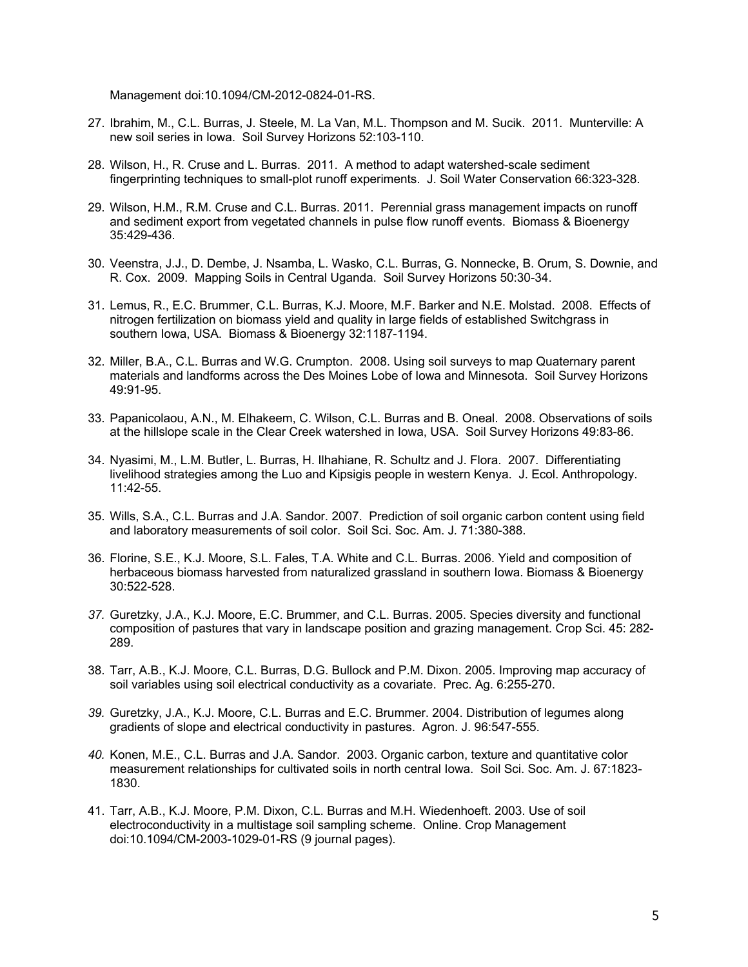Management doi:10.1094/CM-2012-0824-01-RS.

- 27. Ibrahim, M., C.L. Burras, J. Steele, M. La Van, M.L. Thompson and M. Sucik. 2011. Munterville: A new soil series in Iowa. Soil Survey Horizons 52:103-110.
- 28. Wilson, H., R. Cruse and L. Burras. 2011. A method to adapt watershed-scale sediment fingerprinting techniques to small-plot runoff experiments. J. Soil Water Conservation 66:323-328.
- 29. Wilson, H.M., R.M. Cruse and C.L. Burras. 2011. Perennial grass management impacts on runoff and sediment export from vegetated channels in pulse flow runoff events. Biomass & Bioenergy 35:429-436.
- 30. Veenstra, J.J., D. Dembe, J. Nsamba, L. Wasko, C.L. Burras, G. Nonnecke, B. Orum, S. Downie, and R. Cox. 2009. Mapping Soils in Central Uganda. Soil Survey Horizons 50:30-34.
- 31. Lemus, R., E.C. Brummer, C.L. Burras, K.J. Moore, M.F. Barker and N.E. Molstad. 2008. Effects of nitrogen fertilization on biomass yield and quality in large fields of established Switchgrass in southern Iowa, USA. Biomass & Bioenergy 32:1187-1194.
- 32. Miller, B.A., C.L. Burras and W.G. Crumpton. 2008. Using soil surveys to map Quaternary parent materials and landforms across the Des Moines Lobe of Iowa and Minnesota. Soil Survey Horizons 49:91-95.
- 33. Papanicolaou, A.N., M. Elhakeem, C. Wilson, C.L. Burras and B. Oneal. 2008. Observations of soils at the hillslope scale in the Clear Creek watershed in Iowa, USA. Soil Survey Horizons 49:83-86.
- 34. Nyasimi, M., L.M. Butler, L. Burras, H. Ilhahiane, R. Schultz and J. Flora. 2007. Differentiating livelihood strategies among the Luo and Kipsigis people in western Kenya. J. Ecol. Anthropology. 11:42-55.
- 35. Wills, S.A., C.L. Burras and J.A. Sandor. 2007. Prediction of soil organic carbon content using field and laboratory measurements of soil color. Soil Sci. Soc. Am. J*.* 71:380-388.
- 36. Florine, S.E., K.J. Moore, S.L. Fales, T.A. White and C.L. Burras. 2006. Yield and composition of herbaceous biomass harvested from naturalized grassland in southern Iowa. Biomass & Bioenergy 30:522-528.
- *37.* Guretzky, J.A., K.J. Moore, E.C. Brummer, and C.L. Burras. 2005. Species diversity and functional composition of pastures that vary in landscape position and grazing management. Crop Sci. 45: 282- 289.
- 38. Tarr, A.B., K.J. Moore, C.L. Burras, D.G. Bullock and P.M. Dixon. 2005. Improving map accuracy of soil variables using soil electrical conductivity as a covariate. Prec. Ag. 6:255-270.
- *39.* Guretzky, J.A., K.J. Moore, C.L. Burras and E.C. Brummer. 2004. Distribution of legumes along gradients of slope and electrical conductivity in pastures. Agron. J. 96:547-555.
- *40.* Konen, M.E., C.L. Burras and J.A. Sandor. 2003. Organic carbon, texture and quantitative color measurement relationships for cultivated soils in north central Iowa. Soil Sci. Soc. Am. J. 67:1823- 1830.
- 41. Tarr, A.B., K.J. Moore, P.M. Dixon, C.L. Burras and M.H. Wiedenhoeft. 2003. Use of soil electroconductivity in a multistage soil sampling scheme. Online. Crop Management doi:10.1094/CM-2003-1029-01-RS (9 journal pages).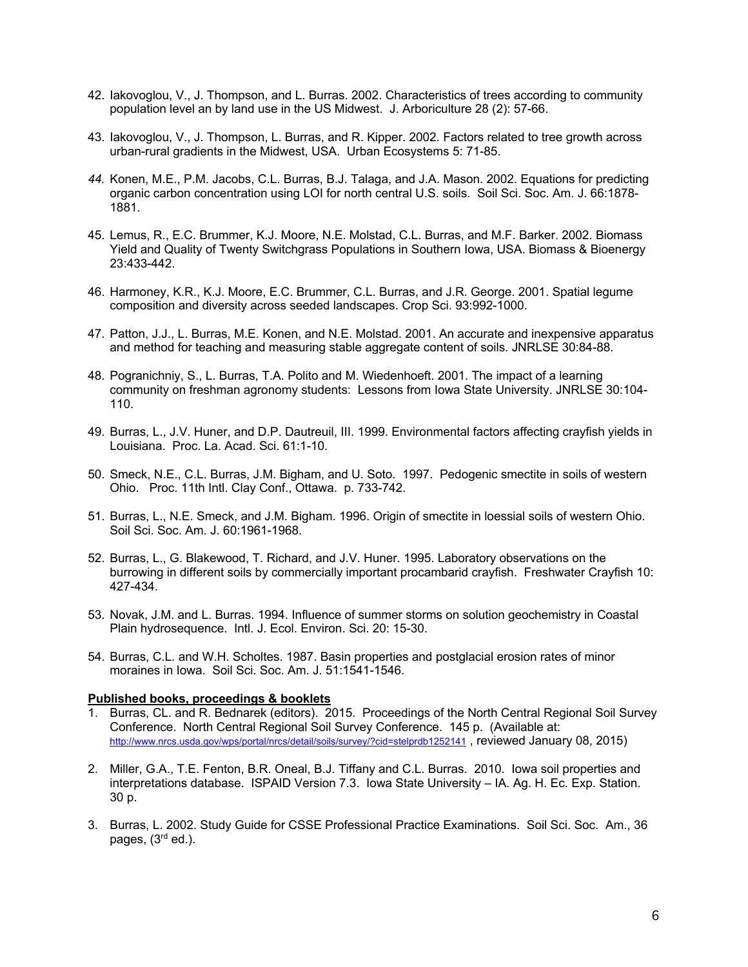- 42. Iakovoglou, V., J. Thompson, and L. Burras. 2002. Characteristics of trees according to community population level an by land use in the US Midwest. J. Arboriculture 28 (2): 57-66.
- 43. Iakovoglou, V., J. Thompson, L. Burras, and R. Kipper. 2002. Factors related to tree growth across urban-rural gradients in the Midwest, USA. Urban Ecosystems 5: 71-85.
- *44.* Konen, M.E., P.M. Jacobs, C.L. Burras, B.J. Talaga, and J.A. Mason. 2002. Equations for predicting organic carbon concentration using LOI for north central U.S. soils. Soil Sci. Soc. Am. J. 66:1878- 1881.
- 45. Lemus, R., E.C. Brummer, K.J. Moore, N.E. Molstad, C.L. Burras, and M.F. Barker. 2002. Biomass Yield and Quality of Twenty Switchgrass Populations in Southern Iowa, USA. Biomass & Bioenergy 23:433-442.
- 46. Harmoney, K.R., K.J. Moore, E.C. Brummer, C.L. Burras, and J.R. George. 2001. Spatial legume composition and diversity across seeded landscapes. Crop Sci. 93:992-1000.
- 47. Patton, J.J., L. Burras, M.E. Konen, and N.E. Molstad. 2001. An accurate and inexpensive apparatus and method for teaching and measuring stable aggregate content of soils. JNRLSE 30:84-88.
- 48. Pogranichniy, S., L. Burras, T.A. Polito and M. Wiedenhoeft. 2001. The impact of a learning community on freshman agronomy students: Lessons from Iowa State University. JNRLSE 30:104- 110.
- 49. Burras, L., J.V. Huner, and D.P. Dautreuil, III. 1999. Environmental factors affecting crayfish yields in Louisiana. Proc. La. Acad. Sci. 61:1-10.
- 50. Smeck, N.E., C.L. Burras, J.M. Bigham, and U. Soto. 1997. Pedogenic smectite in soils of western Ohio. Proc. 11th Intl. Clay Conf., Ottawa. p. 733-742.
- 51. Burras, L., N.E. Smeck, and J.M. Bigham. 1996. Origin of smectite in loessial soils of western Ohio. Soil Sci. Soc. Am. J. 60:1961-1968.
- 52. Burras, L., G. Blakewood, T. Richard, and J.V. Huner. 1995. Laboratory observations on the burrowing in different soils by commercially important procambarid crayfish. Freshwater Crayfish 10: 427-434.
- 53. Novak, J.M. and L. Burras. 1994. Influence of summer storms on solution geochemistry in Coastal Plain hydrosequence. Intl. J. Ecol. Environ. Sci. 20: 15-30.
- 54. Burras, C.L. and W.H. Scholtes. 1987. Basin properties and postglacial erosion rates of minor moraines in Iowa. Soil Sci. Soc. Am. J. 51:1541-1546.

#### **Published books, proceedings & booklets**

- 1. Burras, CL. and R. Bednarek (editors). 2015. Proceedings of the North Central Regional Soil Survey Conference. North Central Regional Soil Survey Conference. 145 p. (Available at: http://www.nrcs.usda.gov/wps/portal/nrcs/detail/soils/survey/?cid=stelprdb1252141 , reviewed January 08, 2015)
- 2. Miller, G.A., T.E. Fenton, B.R. Oneal, B.J. Tiffany and C.L. Burras. 2010. Iowa soil properties and interpretations database. ISPAID Version 7.3. Iowa State University – IA. Ag. H. Ec. Exp. Station. 30 p.
- 3. Burras, L. 2002. Study Guide for CSSE Professional Practice Examinations. Soil Sci. Soc. Am., 36 pages, (3<sup>rd</sup> ed.).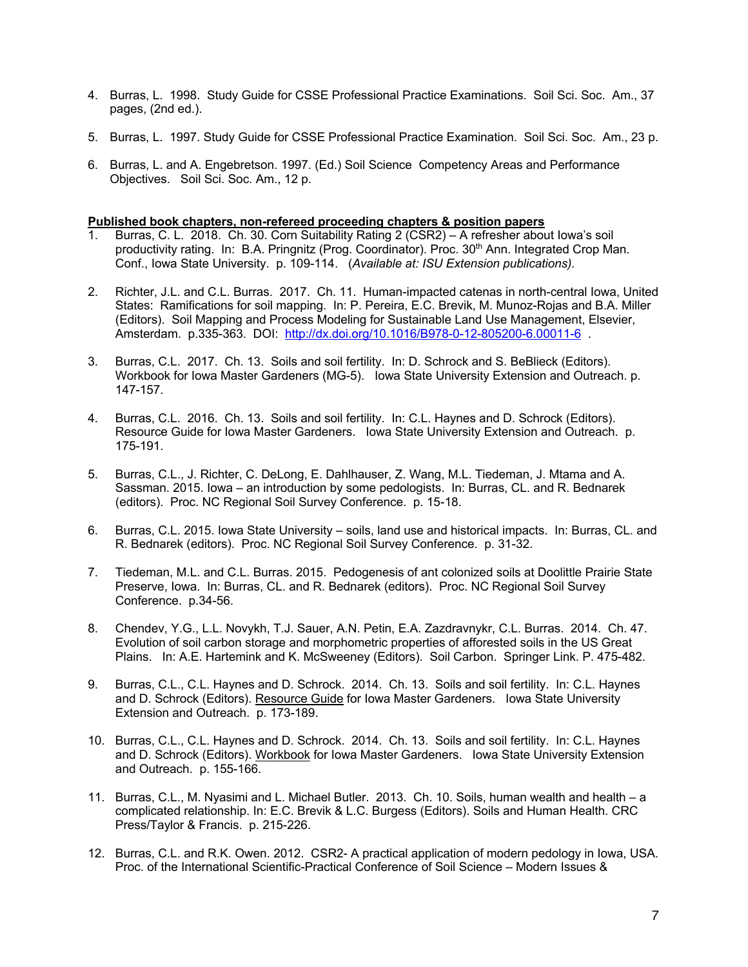- 4. Burras, L. 1998. Study Guide for CSSE Professional Practice Examinations. Soil Sci. Soc. Am., 37 pages, (2nd ed.).
- 5. Burras, L. 1997. Study Guide for CSSE Professional Practice Examination. Soil Sci. Soc. Am., 23 p.
- 6. Burras, L. and A. Engebretson. 1997. (Ed.) Soil Science Competency Areas and Performance Objectives. Soil Sci. Soc. Am., 12 p.

# **Published book chapters, non-refereed proceeding chapters & position papers**

- 1. Burras, C. L. 2018. Ch. 30. Corn Suitability Rating 2 (CSR2) A refresher about Iowa's soil productivity rating. In: B.A. Pringnitz (Prog. Coordinator). Proc. 30<sup>th</sup> Ann. Integrated Crop Man. Conf., Iowa State University. p. 109-114. (*Available at: ISU Extension publications).*
- 2. Richter, J.L. and C.L. Burras. 2017. Ch. 11. Human-impacted catenas in north-central Iowa, United States: Ramifications for soil mapping. In: P. Pereira, E.C. Brevik, M. Munoz-Rojas and B.A. Miller (Editors). Soil Mapping and Process Modeling for Sustainable Land Use Management, Elsevier, Amsterdam. p.335-363. DOI: http://dx.doi.org/10.1016/B978-0-12-805200-6.00011-6 .
- 3. Burras, C.L. 2017. Ch. 13. Soils and soil fertility. In: D. Schrock and S. BeBlieck (Editors). Workbook for Iowa Master Gardeners (MG-5). Iowa State University Extension and Outreach. p. 147-157.
- 4. Burras, C.L. 2016. Ch. 13. Soils and soil fertility. In: C.L. Haynes and D. Schrock (Editors). Resource Guide for Iowa Master Gardeners. Iowa State University Extension and Outreach. p. 175-191.
- 5. Burras, C.L., J. Richter, C. DeLong, E. Dahlhauser, Z. Wang, M.L. Tiedeman, J. Mtama and A. Sassman. 2015. Iowa – an introduction by some pedologists. In: Burras, CL. and R. Bednarek (editors). Proc. NC Regional Soil Survey Conference. p. 15-18.
- 6. Burras, C.L. 2015. Iowa State University soils, land use and historical impacts. In: Burras, CL. and R. Bednarek (editors). Proc. NC Regional Soil Survey Conference. p. 31-32.
- 7. Tiedeman, M.L. and C.L. Burras. 2015. Pedogenesis of ant colonized soils at Doolittle Prairie State Preserve, Iowa. In: Burras, CL. and R. Bednarek (editors). Proc. NC Regional Soil Survey Conference. p.34-56.
- 8. Chendev, Y.G., L.L. Novykh, T.J. Sauer, A.N. Petin, E.A. Zazdravnykr, C.L. Burras. 2014. Ch. 47. Evolution of soil carbon storage and morphometric properties of afforested soils in the US Great Plains. In: A.E. Hartemink and K. McSweeney (Editors). Soil Carbon. Springer Link. P. 475-482.
- 9. Burras, C.L., C.L. Haynes and D. Schrock. 2014. Ch. 13. Soils and soil fertility. In: C.L. Haynes and D. Schrock (Editors). Resource Guide for Iowa Master Gardeners. Iowa State University Extension and Outreach. p. 173-189.
- 10. Burras, C.L., C.L. Haynes and D. Schrock. 2014. Ch. 13. Soils and soil fertility. In: C.L. Haynes and D. Schrock (Editors). Workbook for Iowa Master Gardeners. Iowa State University Extension and Outreach. p. 155-166.
- 11. Burras, C.L., M. Nyasimi and L. Michael Butler. 2013. Ch. 10. Soils, human wealth and health a complicated relationship. In: E.C. Brevik & L.C. Burgess (Editors). Soils and Human Health. CRC Press/Taylor & Francis. p. 215-226.
- 12. Burras, C.L. and R.K. Owen. 2012. CSR2- A practical application of modern pedology in Iowa, USA. Proc. of the International Scientific-Practical Conference of Soil Science – Modern Issues &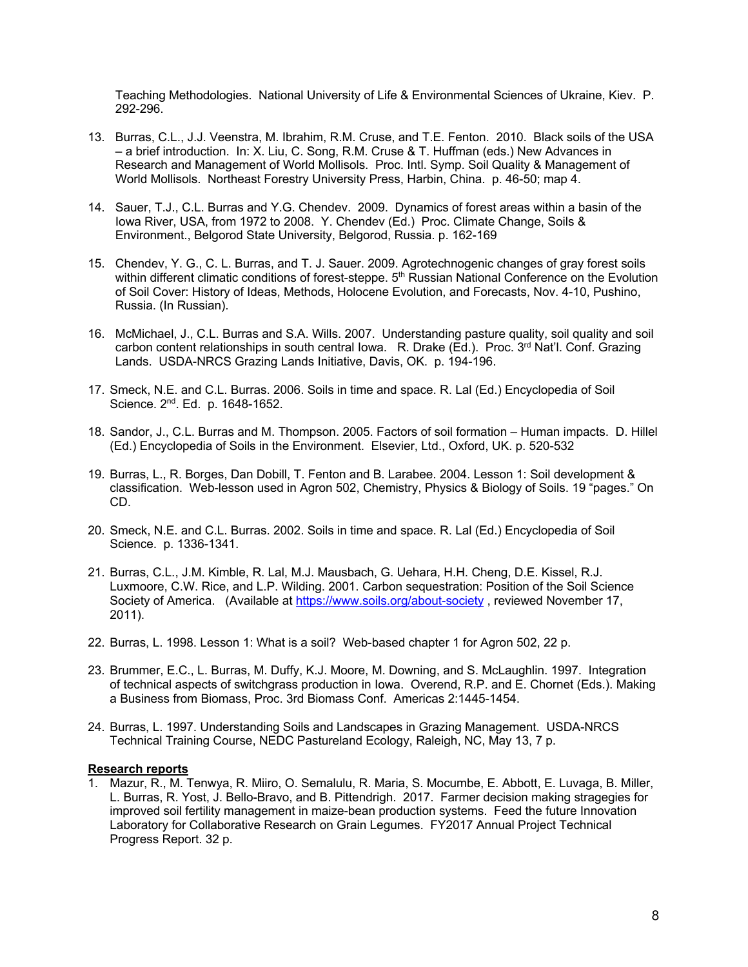Teaching Methodologies. National University of Life & Environmental Sciences of Ukraine, Kiev. P. 292-296.

- 13. Burras, C.L., J.J. Veenstra, M. Ibrahim, R.M. Cruse, and T.E. Fenton. 2010. Black soils of the USA – a brief introduction. In: X. Liu, C. Song, R.M. Cruse & T. Huffman (eds.) New Advances in Research and Management of World Mollisols. Proc. Intl. Symp. Soil Quality & Management of World Mollisols. Northeast Forestry University Press, Harbin, China. p. 46-50; map 4.
- 14. Sauer, T.J., C.L. Burras and Y.G. Chendev. 2009. Dynamics of forest areas within a basin of the Iowa River, USA, from 1972 to 2008. Y. Chendev (Ed.) Proc. Climate Change, Soils & Environment., Belgorod State University, Belgorod, Russia. p. 162-169
- 15. Chendev, Y. G., C. L. Burras, and T. J. Sauer. 2009. Agrotechnogenic changes of gray forest soils within different climatic conditions of forest-steppe. 5<sup>th</sup> Russian National Conference on the Evolution of Soil Cover: History of Ideas, Methods, Holocene Evolution, and Forecasts, Nov. 4-10, Pushino, Russia. (In Russian).
- 16. McMichael, J., C.L. Burras and S.A. Wills. 2007. Understanding pasture quality, soil quality and soil carbon content relationships in south central Iowa. R. Drake (Ed.). Proc. 3<sup>rd</sup> Nat'l. Conf. Grazing Lands. USDA-NRCS Grazing Lands Initiative, Davis, OK. p. 194-196.
- 17. Smeck, N.E. and C.L. Burras. 2006. Soils in time and space. R. Lal (Ed.) Encyclopedia of Soil Science. 2<sup>nd</sup>. Ed. p. 1648-1652.
- 18. Sandor, J., C.L. Burras and M. Thompson. 2005. Factors of soil formation Human impacts. D. Hillel (Ed.) Encyclopedia of Soils in the Environment. Elsevier, Ltd., Oxford, UK. p. 520-532
- 19. Burras, L., R. Borges, Dan Dobill, T. Fenton and B. Larabee. 2004. Lesson 1: Soil development & classification. Web-lesson used in Agron 502, Chemistry, Physics & Biology of Soils. 19 "pages." On CD.
- 20. Smeck, N.E. and C.L. Burras. 2002. Soils in time and space. R. Lal (Ed.) Encyclopedia of Soil Science. p. 1336-1341.
- 21. Burras, C.L., J.M. Kimble, R. Lal, M.J. Mausbach, G. Uehara, H.H. Cheng, D.E. Kissel, R.J. Luxmoore, C.W. Rice, and L.P. Wilding. 2001. Carbon sequestration: Position of the Soil Science Society of America. (Available at https://www.soils.org/about-society, reviewed November 17, 2011).
- 22. Burras, L. 1998. Lesson 1: What is a soil? Web-based chapter 1 for Agron 502, 22 p.
- 23. Brummer, E.C., L. Burras, M. Duffy, K.J. Moore, M. Downing, and S. McLaughlin. 1997. Integration of technical aspects of switchgrass production in Iowa. Overend, R.P. and E. Chornet (Eds.). Making a Business from Biomass, Proc. 3rd Biomass Conf. Americas 2:1445-1454.
- 24. Burras, L. 1997. Understanding Soils and Landscapes in Grazing Management. USDA-NRCS Technical Training Course, NEDC Pastureland Ecology, Raleigh, NC, May 13, 7 p.

#### **Research reports**

1. Mazur, R., M. Tenwya, R. Miiro, O. Semalulu, R. Maria, S. Mocumbe, E. Abbott, E. Luvaga, B. Miller, L. Burras, R. Yost, J. Bello-Bravo, and B. Pittendrigh. 2017. Farmer decision making stragegies for improved soil fertility management in maize-bean production systems. Feed the future Innovation Laboratory for Collaborative Research on Grain Legumes. FY2017 Annual Project Technical Progress Report. 32 p.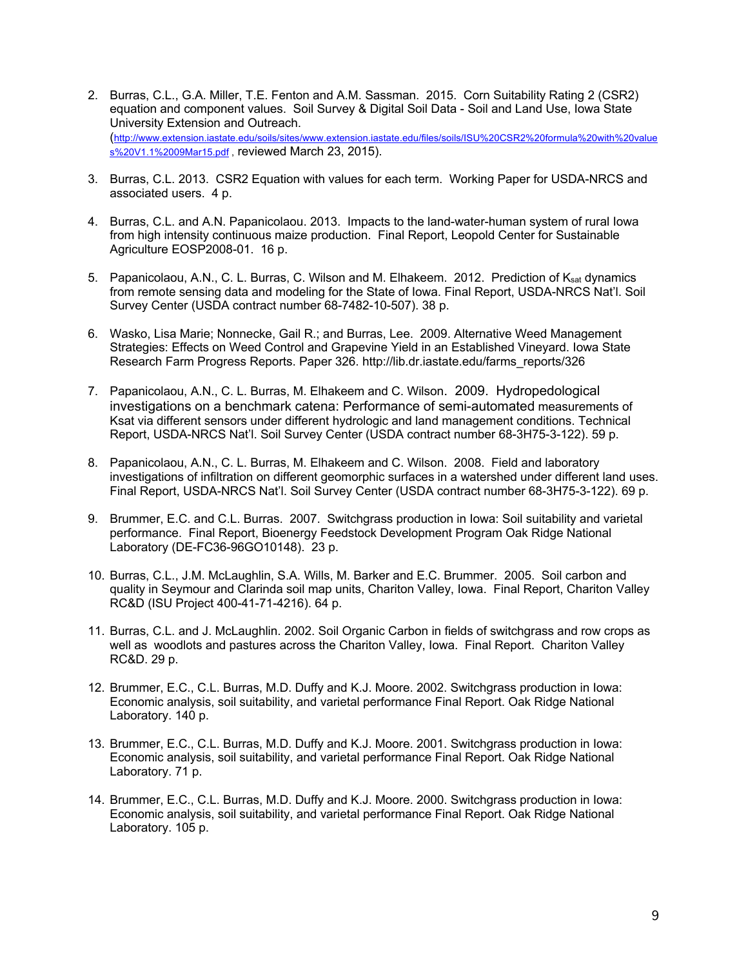- 2. Burras, C.L., G.A. Miller, T.E. Fenton and A.M. Sassman. 2015. Corn Suitability Rating 2 (CSR2) equation and component values. Soil Survey & Digital Soil Data - Soil and Land Use, Iowa State University Extension and Outreach. (http://www.extension.iastate.edu/soils/sites/www.extension.iastate.edu/files/soils/ISU%20CSR2%20formula%20with%20value s%20V1.1%2009Mar15.pdf, reviewed March 23, 2015).
- 3. Burras, C.L. 2013. CSR2 Equation with values for each term. Working Paper for USDA-NRCS and associated users. 4 p.
- 4. Burras, C.L. and A.N. Papanicolaou. 2013. Impacts to the land-water-human system of rural Iowa from high intensity continuous maize production. Final Report, Leopold Center for Sustainable Agriculture EOSP2008-01. 16 p.
- 5. Papanicolaou, A.N., C. L. Burras, C. Wilson and M. Elhakeem. 2012. Prediction of Ksat dynamics from remote sensing data and modeling for the State of Iowa. Final Report, USDA-NRCS Nat'l. Soil Survey Center (USDA contract number 68-7482-10-507). 38 p.
- 6. Wasko, Lisa Marie; Nonnecke, Gail R.; and Burras, Lee. 2009. Alternative Weed Management Strategies: Effects on Weed Control and Grapevine Yield in an Established Vineyard. Iowa State Research Farm Progress Reports. Paper 326. http://lib.dr.iastate.edu/farms\_reports/326
- 7. Papanicolaou, A.N., C. L. Burras, M. Elhakeem and C. Wilson. 2009. Hydropedological investigations on a benchmark catena: Performance of semi-automated measurements of Ksat via different sensors under different hydrologic and land management conditions. Technical Report, USDA-NRCS Nat'l. Soil Survey Center (USDA contract number 68-3H75-3-122). 59 p.
- 8. Papanicolaou, A.N., C. L. Burras, M. Elhakeem and C. Wilson. 2008. Field and laboratory investigations of infiltration on different geomorphic surfaces in a watershed under different land uses. Final Report, USDA-NRCS Nat'l. Soil Survey Center (USDA contract number 68-3H75-3-122). 69 p.
- 9. Brummer, E.C. and C.L. Burras. 2007. Switchgrass production in Iowa: Soil suitability and varietal performance. Final Report, Bioenergy Feedstock Development Program Oak Ridge National Laboratory (DE-FC36-96GO10148). 23 p.
- 10. Burras, C.L., J.M. McLaughlin, S.A. Wills, M. Barker and E.C. Brummer. 2005. Soil carbon and quality in Seymour and Clarinda soil map units, Chariton Valley, Iowa. Final Report, Chariton Valley RC&D (ISU Project 400-41-71-4216). 64 p.
- 11. Burras, C.L. and J. McLaughlin. 2002. Soil Organic Carbon in fields of switchgrass and row crops as well as woodlots and pastures across the Chariton Valley, Iowa. Final Report. Chariton Valley RC&D. 29 p.
- 12. Brummer, E.C., C.L. Burras, M.D. Duffy and K.J. Moore. 2002. Switchgrass production in Iowa: Economic analysis, soil suitability, and varietal performance Final Report. Oak Ridge National Laboratory. 140 p.
- 13. Brummer, E.C., C.L. Burras, M.D. Duffy and K.J. Moore. 2001. Switchgrass production in Iowa: Economic analysis, soil suitability, and varietal performance Final Report. Oak Ridge National Laboratory. 71 p.
- 14. Brummer, E.C., C.L. Burras, M.D. Duffy and K.J. Moore. 2000. Switchgrass production in Iowa: Economic analysis, soil suitability, and varietal performance Final Report. Oak Ridge National Laboratory. 105 p.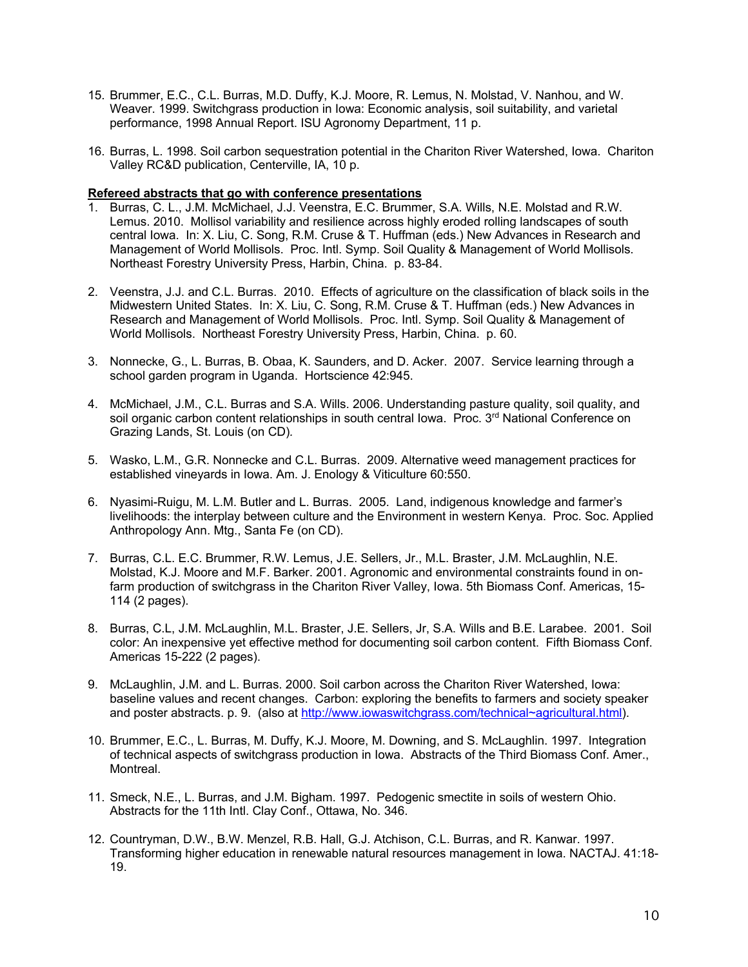- 15. Brummer, E.C., C.L. Burras, M.D. Duffy, K.J. Moore, R. Lemus, N. Molstad, V. Nanhou, and W. Weaver, 1999. Switchgrass production in Iowa: Economic analysis, soil suitability, and varietal performance, 1998 Annual Report. ISU Agronomy Department, 11 p.
- 16. Burras, L. 1998. Soil carbon sequestration potential in the Chariton River Watershed, Iowa. Chariton Valley RC&D publication, Centerville, IA, 10 p.

# **Refereed abstracts that go with conference presentations**

- 1. Burras, C. L., J.M. McMichael, J.J. Veenstra, E.C. Brummer, S.A. Wills, N.E. Molstad and R.W. Lemus. 2010. Mollisol variability and resilience across highly eroded rolling landscapes of south central Iowa. In: X. Liu, C. Song, R.M. Cruse & T. Huffman (eds.) New Advances in Research and Management of World Mollisols. Proc. Intl. Symp. Soil Quality & Management of World Mollisols. Northeast Forestry University Press, Harbin, China. p. 83-84.
- 2. Veenstra, J.J. and C.L. Burras. 2010. Effects of agriculture on the classification of black soils in the Midwestern United States. In: X. Liu, C. Song, R.M. Cruse & T. Huffman (eds.) New Advances in Research and Management of World Mollisols. Proc. Intl. Symp. Soil Quality & Management of World Mollisols. Northeast Forestry University Press, Harbin, China. p. 60.
- 3. Nonnecke, G., L. Burras, B. Obaa, K. Saunders, and D. Acker. 2007. Service learning through a school garden program in Uganda. Hortscience 42:945.
- 4. McMichael, J.M., C.L. Burras and S.A. Wills. 2006. Understanding pasture quality, soil quality, and soil organic carbon content relationships in south central Iowa. Proc. 3<sup>rd</sup> National Conference on Grazing Lands, St. Louis (on CD)*.*
- 5. Wasko, L.M., G.R. Nonnecke and C.L. Burras. 2009. Alternative weed management practices for established vineyards in Iowa. Am. J. Enology & Viticulture 60:550.
- 6. Nyasimi-Ruigu, M. L.M. Butler and L. Burras. 2005. Land, indigenous knowledge and farmer's livelihoods: the interplay between culture and the Environment in western Kenya. Proc. Soc. Applied Anthropology Ann. Mtg., Santa Fe (on CD).
- 7. Burras, C.L. E.C. Brummer, R.W. Lemus, J.E. Sellers, Jr., M.L. Braster, J.M. McLaughlin, N.E. Molstad, K.J. Moore and M.F. Barker. 2001. Agronomic and environmental constraints found in onfarm production of switchgrass in the Chariton River Valley, Iowa. 5th Biomass Conf. Americas, 15-114 (2 pages).
- 8. Burras, C.L, J.M. McLaughlin, M.L. Braster, J.E. Sellers, Jr, S.A. Wills and B.E. Larabee. 2001. Soil color: An inexpensive yet effective method for documenting soil carbon content. Fifth Biomass Conf. Americas 15-222 (2 pages).
- 9. McLaughlin, J.M. and L. Burras. 2000. Soil carbon across the Chariton River Watershed, Iowa: baseline values and recent changes. Carbon: exploring the benefits to farmers and society speaker and poster abstracts. p. 9. (also at http://www.iowaswitchgrass.com/technical~agricultural.html).
- 10. Brummer, E.C., L. Burras, M. Duffy, K.J. Moore, M. Downing, and S. McLaughlin. 1997. Integration of technical aspects of switchgrass production in Iowa. Abstracts of the Third Biomass Conf. Amer., **Montreal**
- 11. Smeck, N.E., L. Burras, and J.M. Bigham. 1997. Pedogenic smectite in soils of western Ohio. Abstracts for the 11th Intl. Clay Conf., Ottawa, No. 346.
- 12. Countryman, D.W., B.W. Menzel, R.B. Hall, G.J. Atchison, C.L. Burras, and R. Kanwar. 1997. Transforming higher education in renewable natural resources management in Iowa. NACTAJ. 41:18- 19.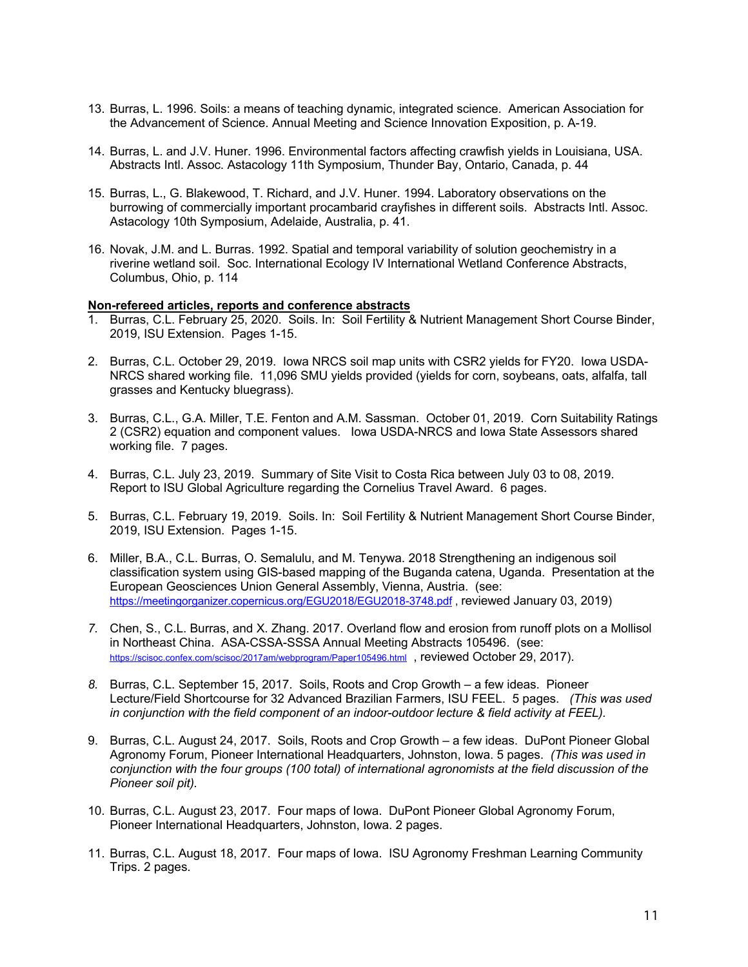- 13. Burras, L. 1996. Soils: a means of teaching dynamic, integrated science. American Association for the Advancement of Science. Annual Meeting and Science Innovation Exposition, p. A-19.
- 14. Burras, L. and J.V. Huner. 1996. Environmental factors affecting crawfish yields in Louisiana, USA. Abstracts Intl. Assoc. Astacology 11th Symposium, Thunder Bay, Ontario, Canada, p. 44
- 15. Burras, L., G. Blakewood, T. Richard, and J.V. Huner. 1994. Laboratory observations on the burrowing of commercially important procambarid crayfishes in different soils. Abstracts Intl. Assoc. Astacology 10th Symposium, Adelaide, Australia, p. 41.
- 16. Novak, J.M. and L. Burras. 1992. Spatial and temporal variability of solution geochemistry in a riverine wetland soil. Soc. International Ecology IV International Wetland Conference Abstracts, Columbus, Ohio, p. 114

# **Non-refereed articles, reports and conference abstracts**

- 1. Burras, C.L. February 25, 2020. Soils. In: Soil Fertility & Nutrient Management Short Course Binder, 2019, ISU Extension. Pages 1-15.
- 2. Burras, C.L. October 29, 2019. Iowa NRCS soil map units with CSR2 yields for FY20. Iowa USDA-NRCS shared working file. 11,096 SMU yields provided (yields for corn, soybeans, oats, alfalfa, tall grasses and Kentucky bluegrass).
- 3. Burras, C.L., G.A. Miller, T.E. Fenton and A.M. Sassman. October 01, 2019. Corn Suitability Ratings 2 (CSR2) equation and component values. Iowa USDA-NRCS and Iowa State Assessors shared working file. 7 pages.
- 4. Burras, C.L. July 23, 2019. Summary of Site Visit to Costa Rica between July 03 to 08, 2019. Report to ISU Global Agriculture regarding the Cornelius Travel Award. 6 pages.
- 5. Burras, C.L. February 19, 2019. Soils. In: Soil Fertility & Nutrient Management Short Course Binder, 2019, ISU Extension. Pages 1-15.
- 6. Miller, B.A., C.L. Burras, O. Semalulu, and M. Tenywa. 2018 Strengthening an indigenous soil classification system using GIS-based mapping of the Buganda catena, Uganda. Presentation at the European Geosciences Union General Assembly, Vienna, Austria. (see: https://meetingorganizer.copernicus.org/EGU2018/EGU2018-3748.pdf , reviewed January 03, 2019)
- *7.* Chen, S., C.L. Burras, and X. Zhang. 2017. Overland flow and erosion from runoff plots on a Mollisol in Northeast China. ASA-CSSA-SSSA Annual Meeting Abstracts 105496. (see: https://scisoc.confex.com/scisoc/2017am/webprogram/Paper105496.html , reviewed October 29, 2017).
- *8.* Burras, C.L. September 15, 2017. Soils, Roots and Crop Growth a few ideas. Pioneer Lecture/Field Shortcourse for 32 Advanced Brazilian Farmers, ISU FEEL. 5 pages. *(This was used in conjunction with the field component of an indoor-outdoor lecture & field activity at FEEL).*
- 9. Burras, C.L. August 24, 2017. Soils, Roots and Crop Growth a few ideas. DuPont Pioneer Global Agronomy Forum, Pioneer International Headquarters, Johnston, Iowa. 5 pages. *(This was used in conjunction with the four groups (100 total) of international agronomists at the field discussion of the Pioneer soil pit).*
- 10. Burras, C.L. August 23, 2017. Four maps of Iowa. DuPont Pioneer Global Agronomy Forum, Pioneer International Headquarters, Johnston, Iowa. 2 pages.
- 11. Burras, C.L. August 18, 2017. Four maps of Iowa. ISU Agronomy Freshman Learning Community Trips. 2 pages.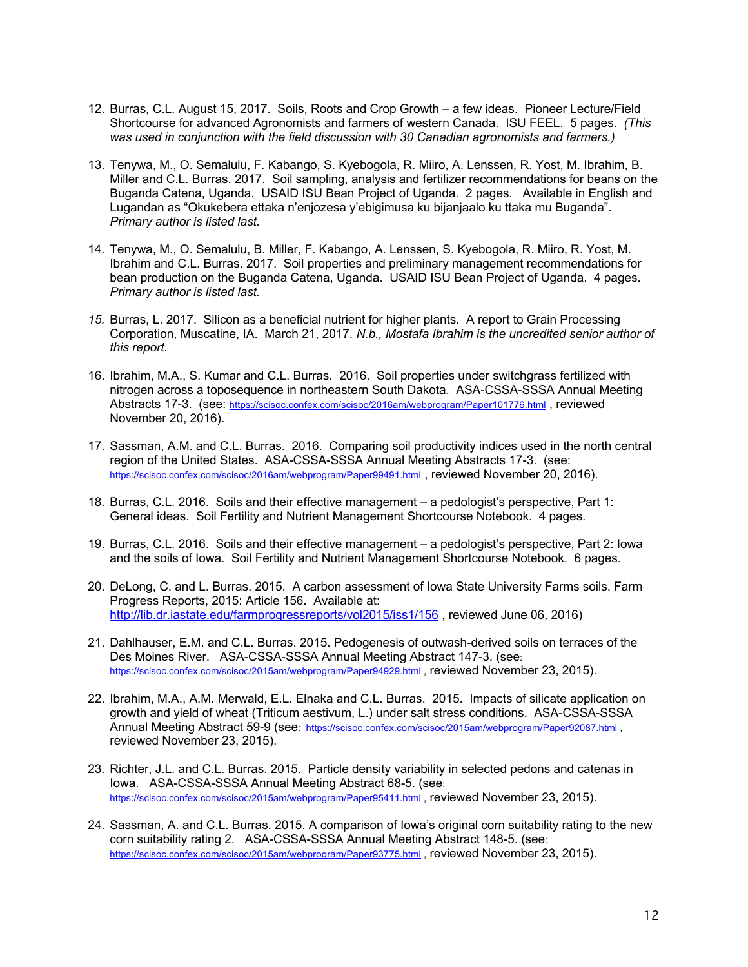- 12. Burras, C.L. August 15, 2017. Soils, Roots and Crop Growth a few ideas. Pioneer Lecture/Field Shortcourse for advanced Agronomists and farmers of western Canada. ISU FEEL. 5 pages. *(This was used in conjunction with the field discussion with 30 Canadian agronomists and farmers.)*
- 13. Tenywa, M., O. Semalulu, F. Kabango, S. Kyebogola, R. Miiro, A. Lenssen, R. Yost, M. Ibrahim, B. Miller and C.L. Burras. 2017. Soil sampling, analysis and fertilizer recommendations for beans on the Buganda Catena, Uganda. USAID ISU Bean Project of Uganda. 2 pages. Available in English and Lugandan as "Okukebera ettaka n'enjozesa y'ebigimusa ku bijanjaalo ku ttaka mu Buganda". *Primary author is listed last.*
- 14. Tenywa, M., O. Semalulu, B. Miller, F. Kabango, A. Lenssen, S. Kyebogola, R. Miiro, R. Yost, M. Ibrahim and C.L. Burras. 2017. Soil properties and preliminary management recommendations for bean production on the Buganda Catena, Uganda. USAID ISU Bean Project of Uganda. 4 pages. *Primary author is listed last.*
- *15.* Burras, L. 2017. Silicon as a beneficial nutrient for higher plants. A report to Grain Processing Corporation, Muscatine, IA. March 21, 2017. *N.b., Mostafa Ibrahim is the uncredited senior author of this report.*
- 16. Ibrahim, M.A., S. Kumar and C.L. Burras. 2016. Soil properties under switchgrass fertilized with nitrogen across a toposequence in northeastern South Dakota. ASA-CSSA-SSSA Annual Meeting Abstracts 17-3. (see: https://scisoc.confex.com/scisoc/2016am/webprogram/Paper101776.html , reviewed November 20, 2016).
- 17. Sassman, A.M. and C.L. Burras. 2016. Comparing soil productivity indices used in the north central region of the United States. ASA-CSSA-SSSA Annual Meeting Abstracts 17-3. (see: https://scisoc.confex.com/scisoc/2016am/webprogram/Paper99491.html , reviewed November 20, 2016).
- 18. Burras, C.L. 2016. Soils and their effective management a pedologist's perspective, Part 1: General ideas. Soil Fertility and Nutrient Management Shortcourse Notebook. 4 pages.
- 19. Burras, C.L. 2016. Soils and their effective management a pedologist's perspective, Part 2: Iowa and the soils of Iowa. Soil Fertility and Nutrient Management Shortcourse Notebook. 6 pages.
- 20. DeLong, C. and L. Burras. 2015. A carbon assessment of Iowa State University Farms soils. Farm Progress Reports, 2015: Article 156. Available at: http://lib.dr.iastate.edu/farmprogressreports/vol2015/iss1/156 , reviewed June 06, 2016)
- 21. Dahlhauser, E.M. and C.L. Burras. 2015. Pedogenesis of outwash-derived soils on terraces of the Des Moines River. ASA-CSSA-SSSA Annual Meeting Abstract 147-3. (see: https://scisoc.confex.com/scisoc/2015am/webprogram/Paper94929.html, reviewed November 23, 2015).
- 22. Ibrahim, M.A., A.M. Merwald, E.L. Elnaka and C.L. Burras. 2015. Impacts of silicate application on growth and yield of wheat (Triticum aestivum, L.) under salt stress conditions. ASA-CSSA-SSSA Annual Meeting Abstract 59-9 (see: https://scisoc.confex.com/scisoc/2015am/webprogram/Paper92087.html , reviewed November 23, 2015).
- 23. Richter, J.L. and C.L. Burras. 2015. Particle density variability in selected pedons and catenas in Iowa. ASA-CSSA-SSSA Annual Meeting Abstract 68-5. (see: https://scisoc.confex.com/scisoc/2015am/webprogram/Paper95411.html , reviewed November 23, 2015).
- 24. Sassman, A. and C.L. Burras. 2015. A comparison of Iowa's original corn suitability rating to the new corn suitability rating 2. ASA-CSSA-SSSA Annual Meeting Abstract 148-5. (see: https://scisoc.confex.com/scisoc/2015am/webprogram/Paper93775.html , reviewed November 23, 2015).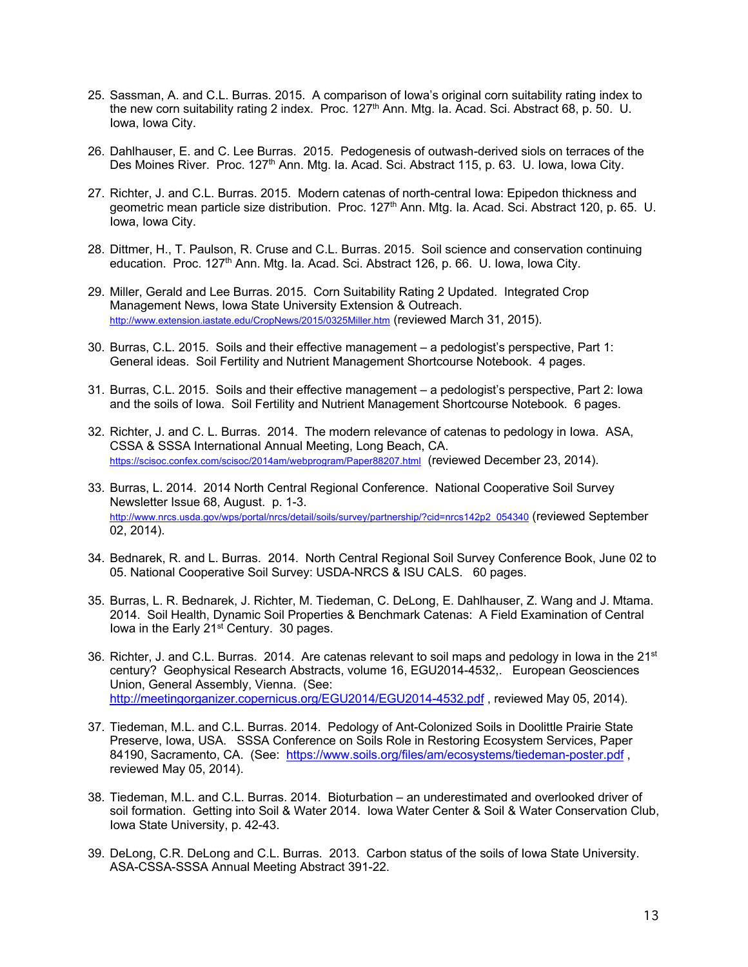- 25. Sassman, A. and C.L. Burras. 2015. A comparison of Iowa's original corn suitability rating index to the new corn suitability rating 2 index. Proc. 127th Ann. Mtg. Ia. Acad. Sci. Abstract 68, p. 50. U. Iowa, Iowa City.
- 26. Dahlhauser, E. and C. Lee Burras. 2015. Pedogenesis of outwash-derived siols on terraces of the Des Moines River. Proc. 127<sup>th</sup> Ann. Mtg. Ia. Acad. Sci. Abstract 115, p. 63. U. Iowa, Iowa City.
- 27. Richter, J. and C.L. Burras. 2015. Modern catenas of north-central Iowa: Epipedon thickness and geometric mean particle size distribution. Proc. 127<sup>th</sup> Ann. Mtg. Ia. Acad. Sci. Abstract 120, p. 65. U. Iowa, Iowa City.
- 28. Dittmer, H., T. Paulson, R. Cruse and C.L. Burras. 2015. Soil science and conservation continuing education. Proc. 127<sup>th</sup> Ann. Mtg. Ia. Acad. Sci. Abstract 126, p. 66. U. Iowa, Iowa City.
- 29. Miller, Gerald and Lee Burras. 2015. Corn Suitability Rating 2 Updated. Integrated Crop Management News, Iowa State University Extension & Outreach. http://www.extension.iastate.edu/CropNews/2015/0325Miller.htm (reviewed March 31, 2015).
- 30. Burras, C.L. 2015. Soils and their effective management a pedologist's perspective, Part 1: General ideas. Soil Fertility and Nutrient Management Shortcourse Notebook. 4 pages.
- 31. Burras, C.L. 2015. Soils and their effective management a pedologist's perspective, Part 2: Iowa and the soils of Iowa. Soil Fertility and Nutrient Management Shortcourse Notebook. 6 pages.
- 32. Richter, J. and C. L. Burras. 2014. The modern relevance of catenas to pedology in Iowa. ASA, CSSA & SSSA International Annual Meeting, Long Beach, CA. https://scisoc.confex.com/scisoc/2014am/webprogram/Paper88207.html (reviewed December 23, 2014).
- 33. Burras, L. 2014. 2014 North Central Regional Conference. National Cooperative Soil Survey Newsletter Issue 68, August. p. 1-3. http://www.nrcs.usda.gov/wps/portal/nrcs/detail/soils/survey/partnership/?cid=nrcs142p2\_054340 (reviewed September 02, 2014).
- 34. Bednarek, R. and L. Burras. 2014. North Central Regional Soil Survey Conference Book, June 02 to 05. National Cooperative Soil Survey: USDA-NRCS & ISU CALS. 60 pages.
- 35. Burras, L. R. Bednarek, J. Richter, M. Tiedeman, C. DeLong, E. Dahlhauser, Z. Wang and J. Mtama. 2014. Soil Health, Dynamic Soil Properties & Benchmark Catenas: A Field Examination of Central lowa in the Early 21<sup>st</sup> Century. 30 pages.
- 36. Richter, J. and C.L. Burras. 2014. Are catenas relevant to soil maps and pedology in lowa in the  $21<sup>st</sup>$ century? Geophysical Research Abstracts, volume 16, EGU2014-4532,. European Geosciences Union, General Assembly, Vienna. (See: http://meetingorganizer.copernicus.org/EGU2014/EGU2014-4532.pdf , reviewed May 05, 2014).
- 37. Tiedeman, M.L. and C.L. Burras. 2014. Pedology of Ant-Colonized Soils in Doolittle Prairie State Preserve, Iowa, USA. SSSA Conference on Soils Role in Restoring Ecosystem Services, Paper 84190, Sacramento, CA. (See: https://www.soils.org/files/am/ecosystems/tiedeman-poster.pdf. reviewed May 05, 2014).
- 38. Tiedeman, M.L. and C.L. Burras. 2014. Bioturbation an underestimated and overlooked driver of soil formation. Getting into Soil & Water 2014. Iowa Water Center & Soil & Water Conservation Club, Iowa State University, p. 42-43.
- 39. DeLong, C.R. DeLong and C.L. Burras. 2013. Carbon status of the soils of Iowa State University. ASA-CSSA-SSSA Annual Meeting Abstract 391-22.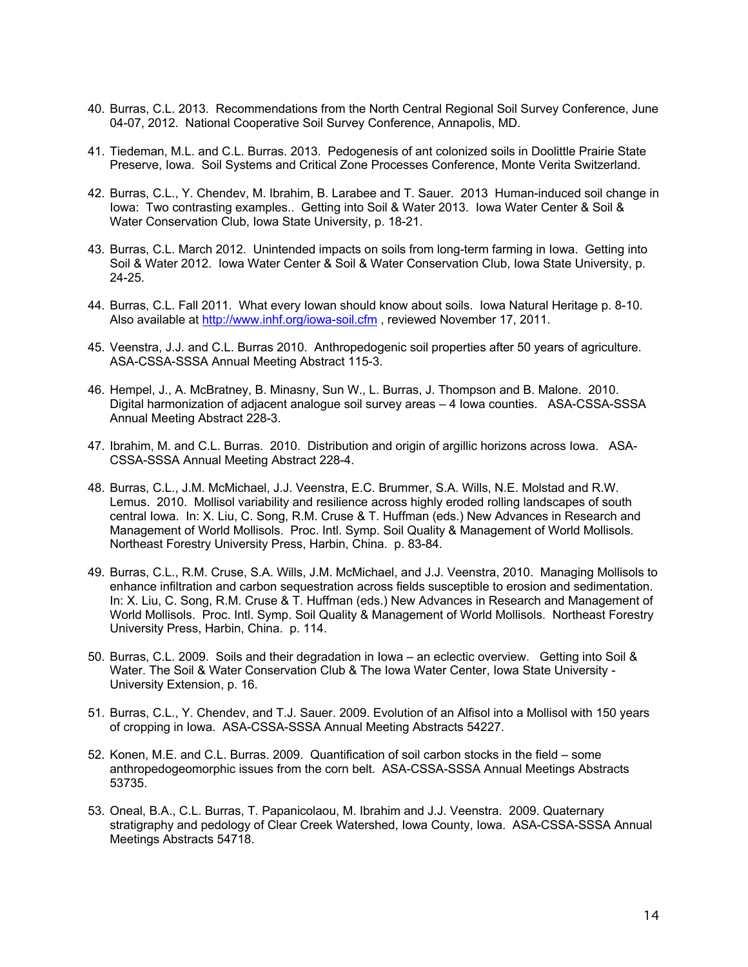- 40. Burras, C.L. 2013. Recommendations from the North Central Regional Soil Survey Conference, June 04-07, 2012. National Cooperative Soil Survey Conference, Annapolis, MD.
- 41. Tiedeman, M.L. and C.L. Burras. 2013. Pedogenesis of ant colonized soils in Doolittle Prairie State Preserve, Iowa. Soil Systems and Critical Zone Processes Conference, Monte Verita Switzerland.
- 42. Burras, C.L., Y. Chendev, M. Ibrahim, B. Larabee and T. Sauer. 2013 Human-induced soil change in Iowa: Two contrasting examples.. Getting into Soil & Water 2013. Iowa Water Center & Soil & Water Conservation Club, Iowa State University, p. 18-21.
- 43. Burras, C.L. March 2012. Unintended impacts on soils from long-term farming in Iowa. Getting into Soil & Water 2012. Iowa Water Center & Soil & Water Conservation Club, Iowa State University, p. 24-25.
- 44. Burras, C.L. Fall 2011. What every Iowan should know about soils. Iowa Natural Heritage p. 8-10. Also available at http://www.inhf.org/iowa-soil.cfm , reviewed November 17, 2011.
- 45. Veenstra, J.J. and C.L. Burras 2010. Anthropedogenic soil properties after 50 years of agriculture. ASA-CSSA-SSSA Annual Meeting Abstract 115-3.
- 46. Hempel, J., A. McBratney, B. Minasny, Sun W., L. Burras, J. Thompson and B. Malone. 2010. Digital harmonization of adjacent analogue soil survey areas – 4 Iowa counties. ASA-CSSA-SSSA Annual Meeting Abstract 228-3.
- 47. Ibrahim, M. and C.L. Burras. 2010. Distribution and origin of argillic horizons across Iowa. ASA-CSSA-SSSA Annual Meeting Abstract 228-4.
- 48. Burras, C.L., J.M. McMichael, J.J. Veenstra, E.C. Brummer, S.A. Wills, N.E. Molstad and R.W. Lemus. 2010. Mollisol variability and resilience across highly eroded rolling landscapes of south central Iowa. In: X. Liu, C. Song, R.M. Cruse & T. Huffman (eds.) New Advances in Research and Management of World Mollisols. Proc. Intl. Symp. Soil Quality & Management of World Mollisols. Northeast Forestry University Press, Harbin, China. p. 83-84.
- 49. Burras, C.L., R.M. Cruse, S.A. Wills, J.M. McMichael, and J.J. Veenstra, 2010. Managing Mollisols to enhance infiltration and carbon sequestration across fields susceptible to erosion and sedimentation. In: X. Liu, C. Song, R.M. Cruse & T. Huffman (eds.) New Advances in Research and Management of World Mollisols. Proc. Intl. Symp. Soil Quality & Management of World Mollisols. Northeast Forestry University Press, Harbin, China. p. 114.
- 50. Burras, C.L. 2009. Soils and their degradation in Iowa an eclectic overview. Getting into Soil & Water. The Soil & Water Conservation Club & The Iowa Water Center, Iowa State University - University Extension, p. 16.
- 51. Burras, C.L., Y. Chendev, and T.J. Sauer. 2009. Evolution of an Alfisol into a Mollisol with 150 years of cropping in Iowa. ASA-CSSA-SSSA Annual Meeting Abstracts 54227.
- 52. Konen, M.E. and C.L. Burras. 2009. Quantification of soil carbon stocks in the field some anthropedogeomorphic issues from the corn belt. ASA-CSSA-SSSA Annual Meetings Abstracts 53735.
- 53. Oneal, B.A., C.L. Burras, T. Papanicolaou, M. Ibrahim and J.J. Veenstra. 2009. Quaternary stratigraphy and pedology of Clear Creek Watershed, Iowa County, Iowa. ASA-CSSA-SSSA Annual Meetings Abstracts 54718.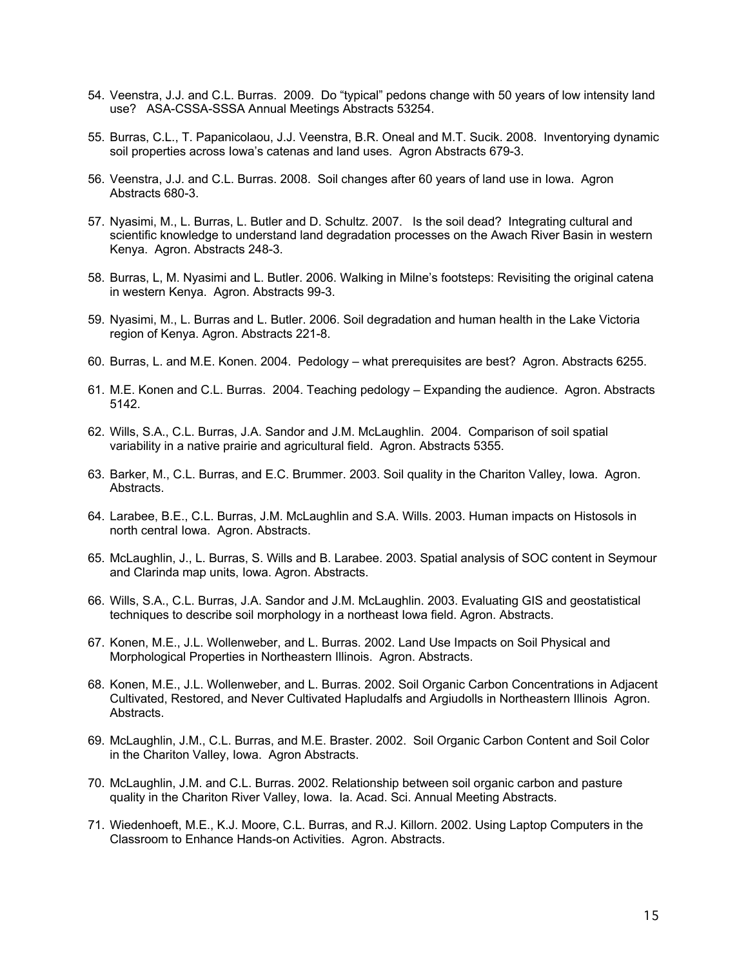- 54. Veenstra, J.J. and C.L. Burras. 2009. Do "typical" pedons change with 50 years of low intensity land use? ASA-CSSA-SSSA Annual Meetings Abstracts 53254.
- 55. Burras, C.L., T. Papanicolaou, J.J. Veenstra, B.R. Oneal and M.T. Sucik. 2008. Inventorying dynamic soil properties across Iowa's catenas and land uses. Agron Abstracts 679-3.
- 56. Veenstra, J.J. and C.L. Burras. 2008. Soil changes after 60 years of land use in Iowa. Agron Abstracts 680-3.
- 57. Nyasimi, M., L. Burras, L. Butler and D. Schultz. 2007. Is the soil dead? Integrating cultural and scientific knowledge to understand land degradation processes on the Awach River Basin in western Kenya. Agron. Abstracts 248-3.
- 58. Burras, L, M. Nyasimi and L. Butler. 2006. Walking in Milne's footsteps: Revisiting the original catena in western Kenya. Agron. Abstracts 99-3.
- 59. Nyasimi, M., L. Burras and L. Butler. 2006. Soil degradation and human health in the Lake Victoria region of Kenya. Agron. Abstracts 221-8.
- 60. Burras, L. and M.E. Konen. 2004. Pedology what prerequisites are best? Agron. Abstracts 6255.
- 61. M.E. Konen and C.L. Burras. 2004. Teaching pedology Expanding the audience. Agron. Abstracts 5142.
- 62. Wills, S.A., C.L. Burras, J.A. Sandor and J.M. McLaughlin. 2004. Comparison of soil spatial variability in a native prairie and agricultural field. Agron. Abstracts 5355.
- 63. Barker, M., C.L. Burras, and E.C. Brummer. 2003. Soil quality in the Chariton Valley, Iowa. Agron. Abstracts.
- 64. Larabee, B.E., C.L. Burras, J.M. McLaughlin and S.A. Wills. 2003. Human impacts on Histosols in north central Iowa. Agron. Abstracts.
- 65. McLaughlin, J., L. Burras, S. Wills and B. Larabee. 2003. Spatial analysis of SOC content in Seymour and Clarinda map units, Iowa. Agron. Abstracts.
- 66. Wills, S.A., C.L. Burras, J.A. Sandor and J.M. McLaughlin. 2003. Evaluating GIS and geostatistical techniques to describe soil morphology in a northeast Iowa field. Agron. Abstracts.
- 67. Konen, M.E., J.L. Wollenweber, and L. Burras. 2002. Land Use Impacts on Soil Physical and Morphological Properties in Northeastern Illinois. Agron. Abstracts.
- 68. Konen, M.E., J.L. Wollenweber, and L. Burras. 2002. Soil Organic Carbon Concentrations in Adjacent Cultivated, Restored, and Never Cultivated Hapludalfs and Argiudolls in Northeastern Illinois Agron. Abstracts.
- 69. McLaughlin, J.M., C.L. Burras, and M.E. Braster. 2002. Soil Organic Carbon Content and Soil Color in the Chariton Valley, Iowa. Agron Abstracts.
- 70. McLaughlin, J.M. and C.L. Burras. 2002. Relationship between soil organic carbon and pasture quality in the Chariton River Valley, Iowa. Ia. Acad. Sci. Annual Meeting Abstracts.
- 71. Wiedenhoeft, M.E., K.J. Moore, C.L. Burras, and R.J. Killorn. 2002. Using Laptop Computers in the Classroom to Enhance Hands-on Activities. Agron. Abstracts.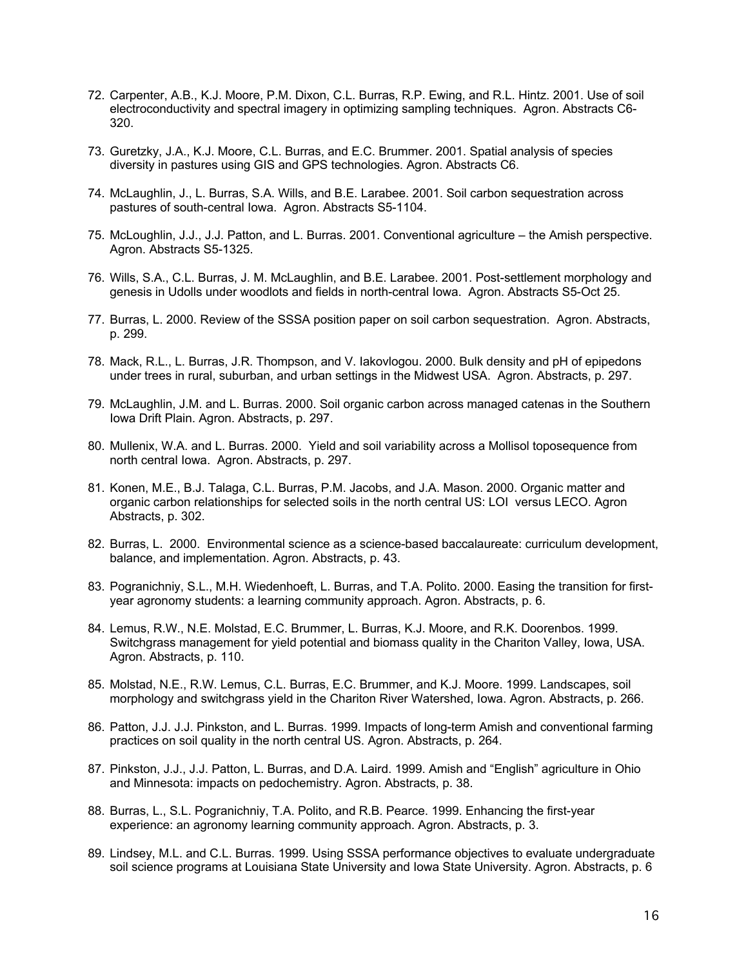- 72. Carpenter, A.B., K.J. Moore, P.M. Dixon, C.L. Burras, R.P. Ewing, and R.L. Hintz. 2001. Use of soil electroconductivity and spectral imagery in optimizing sampling techniques. Agron. Abstracts C6- 320.
- 73. Guretzky, J.A., K.J. Moore, C.L. Burras, and E.C. Brummer. 2001. Spatial analysis of species diversity in pastures using GIS and GPS technologies. Agron. Abstracts C6.
- 74. McLaughlin, J., L. Burras, S.A. Wills, and B.E. Larabee. 2001. Soil carbon sequestration across pastures of south-central Iowa. Agron. Abstracts S5-1104.
- 75. McLoughlin, J.J., J.J. Patton, and L. Burras. 2001. Conventional agriculture the Amish perspective. Agron. Abstracts S5-1325.
- 76. Wills, S.A., C.L. Burras, J. M. McLaughlin, and B.E. Larabee. 2001. Post-settlement morphology and genesis in Udolls under woodlots and fields in north-central Iowa. Agron. Abstracts S5-Oct 25.
- 77. Burras, L. 2000. Review of the SSSA position paper on soil carbon sequestration. Agron. Abstracts, p. 299.
- 78. Mack, R.L., L. Burras, J.R. Thompson, and V. Iakovlogou. 2000. Bulk density and pH of epipedons under trees in rural, suburban, and urban settings in the Midwest USA. Agron. Abstracts, p. 297.
- 79. McLaughlin, J.M. and L. Burras. 2000. Soil organic carbon across managed catenas in the Southern Iowa Drift Plain. Agron. Abstracts, p. 297.
- 80. Mullenix, W.A. and L. Burras. 2000. Yield and soil variability across a Mollisol toposequence from north central Iowa. Agron. Abstracts, p. 297.
- 81. Konen, M.E., B.J. Talaga, C.L. Burras, P.M. Jacobs, and J.A. Mason. 2000. Organic matter and organic carbon relationships for selected soils in the north central US: LOI versus LECO. Agron Abstracts, p. 302.
- 82. Burras, L. 2000. Environmental science as a science-based baccalaureate: curriculum development, balance, and implementation. Agron. Abstracts, p. 43.
- 83. Pogranichniy, S.L., M.H. Wiedenhoeft, L. Burras, and T.A. Polito. 2000. Easing the transition for firstyear agronomy students: a learning community approach. Agron. Abstracts, p. 6.
- 84. Lemus, R.W., N.E. Molstad, E.C. Brummer, L. Burras, K.J. Moore, and R.K. Doorenbos. 1999. Switchgrass management for yield potential and biomass quality in the Chariton Valley, Iowa, USA. Agron. Abstracts, p. 110.
- 85. Molstad, N.E., R.W. Lemus, C.L. Burras, E.C. Brummer, and K.J. Moore. 1999. Landscapes, soil morphology and switchgrass yield in the Chariton River Watershed, Iowa. Agron. Abstracts, p. 266.
- 86. Patton, J.J. J.J. Pinkston, and L. Burras. 1999. Impacts of long-term Amish and conventional farming practices on soil quality in the north central US. Agron. Abstracts, p. 264.
- 87. Pinkston, J.J., J.J. Patton, L. Burras, and D.A. Laird. 1999. Amish and "English" agriculture in Ohio and Minnesota: impacts on pedochemistry. Agron. Abstracts, p. 38.
- 88. Burras, L., S.L. Pogranichniy, T.A. Polito, and R.B. Pearce. 1999. Enhancing the first-year experience: an agronomy learning community approach. Agron. Abstracts, p. 3.
- 89. Lindsey, M.L. and C.L. Burras. 1999. Using SSSA performance objectives to evaluate undergraduate soil science programs at Louisiana State University and Iowa State University. Agron. Abstracts, p. 6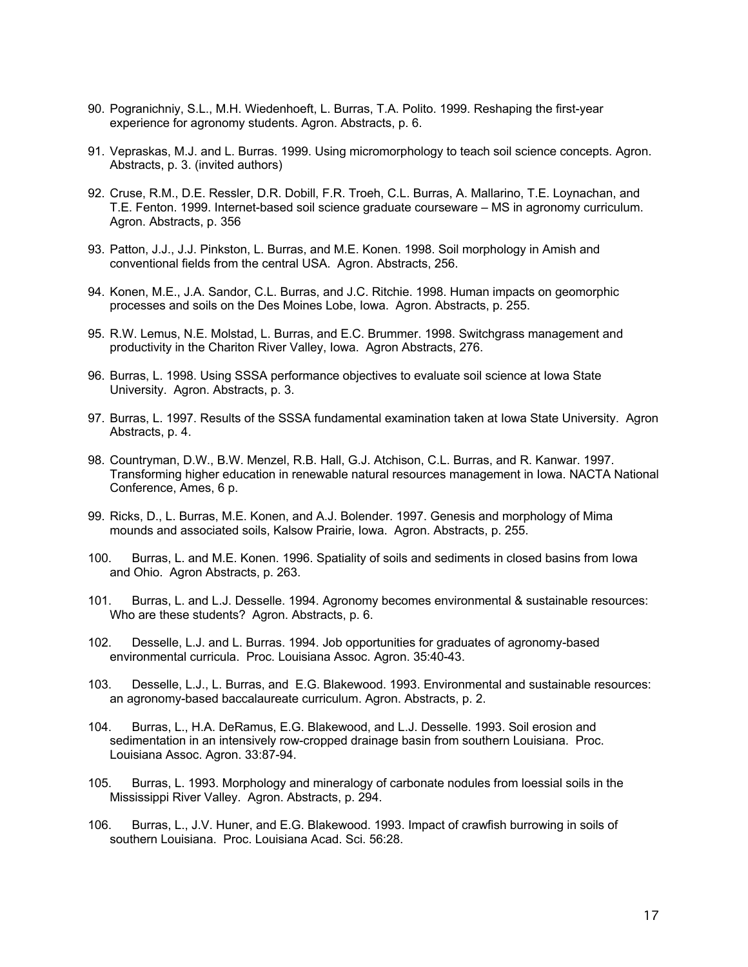- 90. Pogranichniy, S.L., M.H. Wiedenhoeft, L. Burras, T.A. Polito. 1999. Reshaping the first-year experience for agronomy students. Agron. Abstracts, p. 6.
- 91. Vepraskas, M.J. and L. Burras. 1999. Using micromorphology to teach soil science concepts. Agron. Abstracts, p. 3. (invited authors)
- 92. Cruse, R.M., D.E. Ressler, D.R. Dobill, F.R. Troeh, C.L. Burras, A. Mallarino, T.E. Loynachan, and T.E. Fenton. 1999. Internet-based soil science graduate courseware – MS in agronomy curriculum. Agron. Abstracts, p. 356
- 93. Patton, J.J., J.J. Pinkston, L. Burras, and M.E. Konen. 1998. Soil morphology in Amish and conventional fields from the central USA. Agron. Abstracts, 256.
- 94. Konen, M.E., J.A. Sandor, C.L. Burras, and J.C. Ritchie. 1998. Human impacts on geomorphic processes and soils on the Des Moines Lobe, Iowa. Agron. Abstracts, p. 255.
- 95. R.W. Lemus, N.E. Molstad, L. Burras, and E.C. Brummer. 1998. Switchgrass management and productivity in the Chariton River Valley, Iowa. Agron Abstracts, 276.
- 96. Burras, L. 1998. Using SSSA performance objectives to evaluate soil science at Iowa State University. Agron. Abstracts, p. 3.
- 97. Burras, L. 1997. Results of the SSSA fundamental examination taken at Iowa State University. Agron Abstracts, p. 4.
- 98. Countryman, D.W., B.W. Menzel, R.B. Hall, G.J. Atchison, C.L. Burras, and R. Kanwar. 1997. Transforming higher education in renewable natural resources management in Iowa. NACTA National Conference, Ames, 6 p.
- 99. Ricks, D., L. Burras, M.E. Konen, and A.J. Bolender. 1997. Genesis and morphology of Mima mounds and associated soils, Kalsow Prairie, Iowa. Agron. Abstracts, p. 255.
- 100. Burras, L. and M.E. Konen. 1996. Spatiality of soils and sediments in closed basins from Iowa and Ohio. Agron Abstracts, p. 263.
- 101. Burras, L. and L.J. Desselle. 1994. Agronomy becomes environmental & sustainable resources: Who are these students? Agron. Abstracts, p. 6.
- 102. Desselle, L.J. and L. Burras. 1994. Job opportunities for graduates of agronomy-based environmental curricula. Proc. Louisiana Assoc. Agron. 35:40-43.
- 103. Desselle, L.J., L. Burras, and E.G. Blakewood. 1993. Environmental and sustainable resources: an agronomy-based baccalaureate curriculum. Agron. Abstracts, p. 2.
- 104. Burras, L., H.A. DeRamus, E.G. Blakewood, and L.J. Desselle. 1993. Soil erosion and sedimentation in an intensively row-cropped drainage basin from southern Louisiana. Proc. Louisiana Assoc. Agron. 33:87-94.
- 105. Burras, L. 1993. Morphology and mineralogy of carbonate nodules from loessial soils in the Mississippi River Valley. Agron. Abstracts, p. 294.
- 106. Burras, L., J.V. Huner, and E.G. Blakewood. 1993. Impact of crawfish burrowing in soils of southern Louisiana. Proc. Louisiana Acad. Sci. 56:28.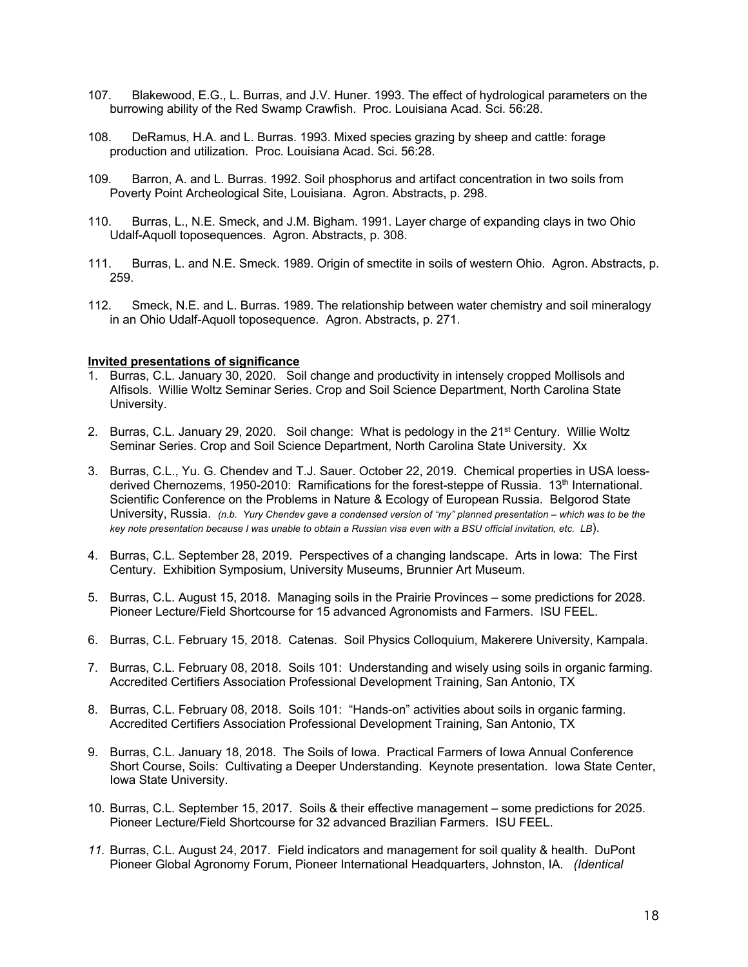- 107. Blakewood, E.G., L. Burras, and J.V. Huner. 1993. The effect of hydrological parameters on the burrowing ability of the Red Swamp Crawfish. Proc. Louisiana Acad. Sci. 56:28.
- 108. DeRamus, H.A. and L. Burras. 1993. Mixed species grazing by sheep and cattle: forage production and utilization. Proc. Louisiana Acad. Sci. 56:28.
- 109. Barron, A. and L. Burras. 1992. Soil phosphorus and artifact concentration in two soils from Poverty Point Archeological Site, Louisiana. Agron. Abstracts, p. 298.
- 110. Burras, L., N.E. Smeck, and J.M. Bigham. 1991. Layer charge of expanding clays in two Ohio Udalf-Aquoll toposequences. Agron. Abstracts, p. 308.
- 111. Burras, L. and N.E. Smeck. 1989. Origin of smectite in soils of western Ohio. Agron. Abstracts, p. 259.
- 112. Smeck, N.E. and L. Burras. 1989. The relationship between water chemistry and soil mineralogy in an Ohio Udalf-Aquoll toposequence. Agron. Abstracts, p. 271.

# **Invited presentations of significance**

- 1. Burras, C.L. January 30, 2020. Soil change and productivity in intensely cropped Mollisols and Alfisols. Willie Woltz Seminar Series. Crop and Soil Science Department, North Carolina State University.
- 2. Burras, C.L. January 29, 2020. Soil change: What is pedology in the 21<sup>st</sup> Century. Willie Woltz Seminar Series. Crop and Soil Science Department, North Carolina State University. Xx
- 3. Burras, C.L., Yu. G. Chendev and T.J. Sauer. October 22, 2019. Chemical properties in USA loessderived Chernozems, 1950-2010: Ramifications for the forest-steppe of Russia. 13<sup>th</sup> International. Scientific Conference on the Problems in Nature & Ecology of European Russia. Belgorod State University, Russia. *(n.b. Yury Chendev gave a condensed version of "my" planned presentation – which was to be the key note presentation because I was unable to obtain a Russian visa even with a BSU official invitation, etc. LB*).
- 4. Burras, C.L. September 28, 2019. Perspectives of a changing landscape. Arts in Iowa: The First Century. Exhibition Symposium, University Museums, Brunnier Art Museum.
- 5. Burras, C.L. August 15, 2018. Managing soils in the Prairie Provinces some predictions for 2028. Pioneer Lecture/Field Shortcourse for 15 advanced Agronomists and Farmers. ISU FEEL.
- 6. Burras, C.L. February 15, 2018. Catenas. Soil Physics Colloquium, Makerere University, Kampala.
- 7. Burras, C.L. February 08, 2018. Soils 101: Understanding and wisely using soils in organic farming. Accredited Certifiers Association Professional Development Training, San Antonio, TX
- 8. Burras, C.L. February 08, 2018. Soils 101: "Hands-on" activities about soils in organic farming. Accredited Certifiers Association Professional Development Training, San Antonio, TX
- 9. Burras, C.L. January 18, 2018. The Soils of Iowa. Practical Farmers of Iowa Annual Conference Short Course, Soils: Cultivating a Deeper Understanding. Keynote presentation. Iowa State Center, Iowa State University.
- 10. Burras, C.L. September 15, 2017. Soils & their effective management some predictions for 2025. Pioneer Lecture/Field Shortcourse for 32 advanced Brazilian Farmers. ISU FEEL.
- *11.* Burras, C.L. August 24, 2017. Field indicators and management for soil quality & health. DuPont Pioneer Global Agronomy Forum, Pioneer International Headquarters, Johnston, IA. *(Identical*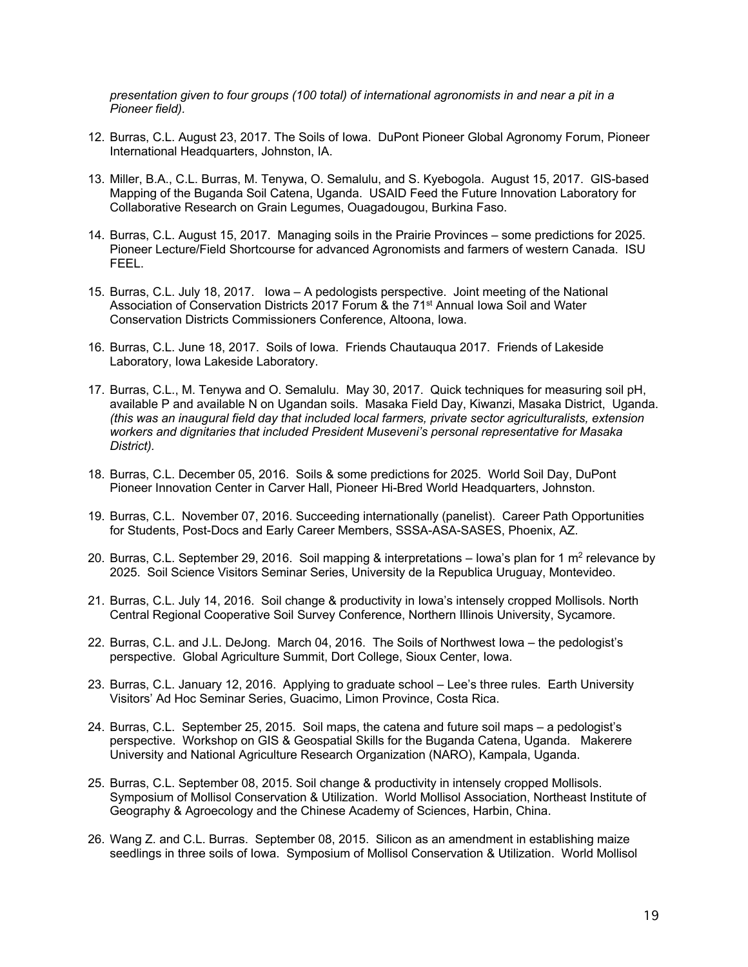*presentation given to four groups (100 total) of international agronomists in and near a pit in a Pioneer field).*

- 12. Burras, C.L. August 23, 2017. The Soils of Iowa. DuPont Pioneer Global Agronomy Forum, Pioneer International Headquarters, Johnston, IA.
- 13. Miller, B.A., C.L. Burras, M. Tenywa, O. Semalulu, and S. Kyebogola. August 15, 2017. GIS-based Mapping of the Buganda Soil Catena, Uganda. USAID Feed the Future Innovation Laboratory for Collaborative Research on Grain Legumes, Ouagadougou, Burkina Faso.
- 14. Burras, C.L. August 15, 2017. Managing soils in the Prairie Provinces some predictions for 2025. Pioneer Lecture/Field Shortcourse for advanced Agronomists and farmers of western Canada. ISU FEEL.
- 15. Burras, C.L. July 18, 2017. Iowa A pedologists perspective. Joint meeting of the National Association of Conservation Districts 2017 Forum & the 71<sup>st</sup> Annual lowa Soil and Water Conservation Districts Commissioners Conference, Altoona, Iowa.
- 16. Burras, C.L. June 18, 2017. Soils of Iowa. Friends Chautauqua 2017. Friends of Lakeside Laboratory, Iowa Lakeside Laboratory.
- 17. Burras, C.L., M. Tenywa and O. Semalulu. May 30, 2017. Quick techniques for measuring soil pH, available P and available N on Ugandan soils. Masaka Field Day, Kiwanzi, Masaka District, Uganda. *(this was an inaugural field day that included local farmers, private sector agriculturalists, extension workers and dignitaries that included President Museveni's personal representative for Masaka District).*
- 18. Burras, C.L. December 05, 2016. Soils & some predictions for 2025. World Soil Day, DuPont Pioneer Innovation Center in Carver Hall, Pioneer Hi-Bred World Headquarters, Johnston.
- 19. Burras, C.L. November 07, 2016. Succeeding internationally (panelist). Career Path Opportunities for Students, Post-Docs and Early Career Members, SSSA-ASA-SASES, Phoenix, AZ.
- 20. Burras, C.L. September 29, 2016. Soil mapping & interpretations lowa's plan for 1  $m^2$  relevance by 2025. Soil Science Visitors Seminar Series, University de la Republica Uruguay, Montevideo.
- 21. Burras, C.L. July 14, 2016. Soil change & productivity in Iowa's intensely cropped Mollisols. North Central Regional Cooperative Soil Survey Conference, Northern Illinois University, Sycamore.
- 22. Burras, C.L. and J.L. DeJong. March 04, 2016. The Soils of Northwest Iowa the pedologist's perspective. Global Agriculture Summit, Dort College, Sioux Center, Iowa.
- 23. Burras, C.L. January 12, 2016. Applying to graduate school Lee's three rules. Earth University Visitors' Ad Hoc Seminar Series, Guacimo, Limon Province, Costa Rica.
- 24. Burras, C.L. September 25, 2015. Soil maps, the catena and future soil maps a pedologist's perspective. Workshop on GIS & Geospatial Skills for the Buganda Catena, Uganda. Makerere University and National Agriculture Research Organization (NARO), Kampala, Uganda.
- 25. Burras, C.L. September 08, 2015. Soil change & productivity in intensely cropped Mollisols. Symposium of Mollisol Conservation & Utilization. World Mollisol Association, Northeast Institute of Geography & Agroecology and the Chinese Academy of Sciences, Harbin, China.
- 26. Wang Z. and C.L. Burras. September 08, 2015. Silicon as an amendment in establishing maize seedlings in three soils of Iowa. Symposium of Mollisol Conservation & Utilization. World Mollisol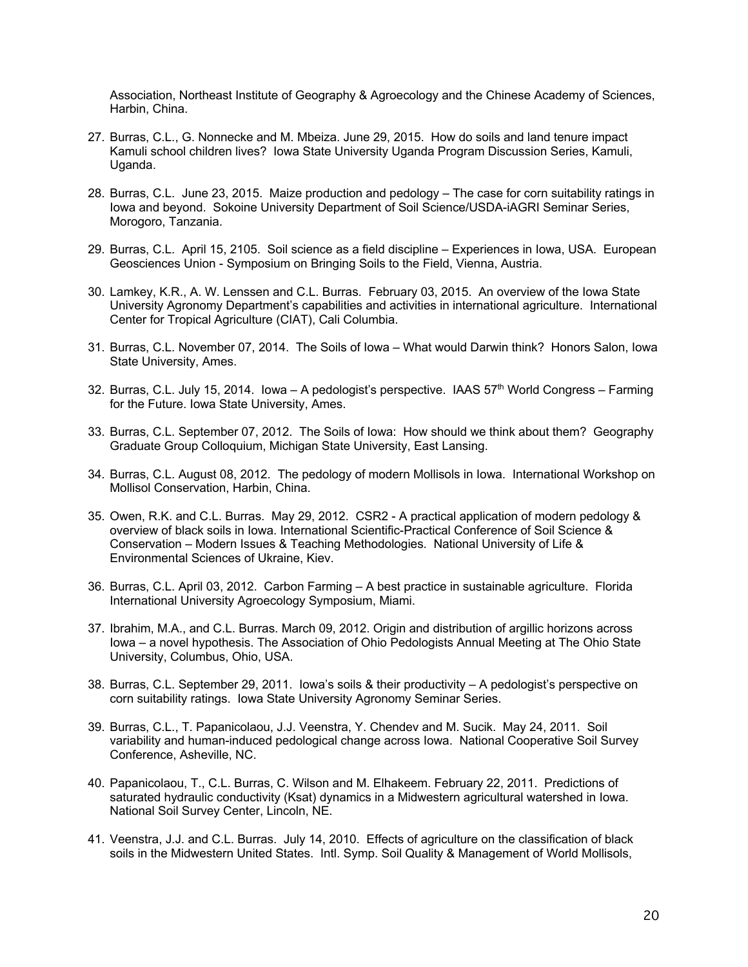Association, Northeast Institute of Geography & Agroecology and the Chinese Academy of Sciences, Harbin, China.

- 27. Burras, C.L., G. Nonnecke and M. Mbeiza. June 29, 2015. How do soils and land tenure impact Kamuli school children lives? Iowa State University Uganda Program Discussion Series, Kamuli, Uganda.
- 28. Burras, C.L. June 23, 2015. Maize production and pedology The case for corn suitability ratings in Iowa and beyond. Sokoine University Department of Soil Science/USDA-iAGRI Seminar Series, Morogoro, Tanzania.
- 29. Burras, C.L. April 15, 2105. Soil science as a field discipline Experiences in Iowa, USA. European Geosciences Union - Symposium on Bringing Soils to the Field, Vienna, Austria.
- 30. Lamkey, K.R., A. W. Lenssen and C.L. Burras. February 03, 2015. An overview of the Iowa State University Agronomy Department's capabilities and activities in international agriculture. International Center for Tropical Agriculture (CIAT), Cali Columbia.
- 31. Burras, C.L. November 07, 2014. The Soils of Iowa What would Darwin think? Honors Salon, Iowa State University, Ames.
- 32. Burras, C.L. July 15, 2014. Iowa A pedologist's perspective. IAAS  $57<sup>th</sup>$  World Congress Farming for the Future. Iowa State University, Ames.
- 33. Burras, C.L. September 07, 2012. The Soils of Iowa: How should we think about them? Geography Graduate Group Colloquium, Michigan State University, East Lansing.
- 34. Burras, C.L. August 08, 2012. The pedology of modern Mollisols in Iowa. International Workshop on Mollisol Conservation, Harbin, China.
- 35. Owen, R.K. and C.L. Burras. May 29, 2012. CSR2 A practical application of modern pedology & overview of black soils in Iowa. International Scientific-Practical Conference of Soil Science & Conservation – Modern Issues & Teaching Methodologies. National University of Life & Environmental Sciences of Ukraine, Kiev.
- 36. Burras, C.L. April 03, 2012. Carbon Farming A best practice in sustainable agriculture. Florida International University Agroecology Symposium, Miami.
- 37. Ibrahim, M.A., and C.L. Burras. March 09, 2012. Origin and distribution of argillic horizons across Iowa – a novel hypothesis. The Association of Ohio Pedologists Annual Meeting at The Ohio State University, Columbus, Ohio, USA.
- 38. Burras, C.L. September 29, 2011. Iowa's soils & their productivity A pedologist's perspective on corn suitability ratings. Iowa State University Agronomy Seminar Series.
- 39. Burras, C.L., T. Papanicolaou, J.J. Veenstra, Y. Chendev and M. Sucik. May 24, 2011. Soil variability and human-induced pedological change across Iowa. National Cooperative Soil Survey Conference, Asheville, NC.
- 40. Papanicolaou, T., C.L. Burras, C. Wilson and M. Elhakeem. February 22, 2011. Predictions of saturated hydraulic conductivity (Ksat) dynamics in a Midwestern agricultural watershed in Iowa. National Soil Survey Center, Lincoln, NE.
- 41. Veenstra, J.J. and C.L. Burras. July 14, 2010. Effects of agriculture on the classification of black soils in the Midwestern United States. Intl. Symp. Soil Quality & Management of World Mollisols,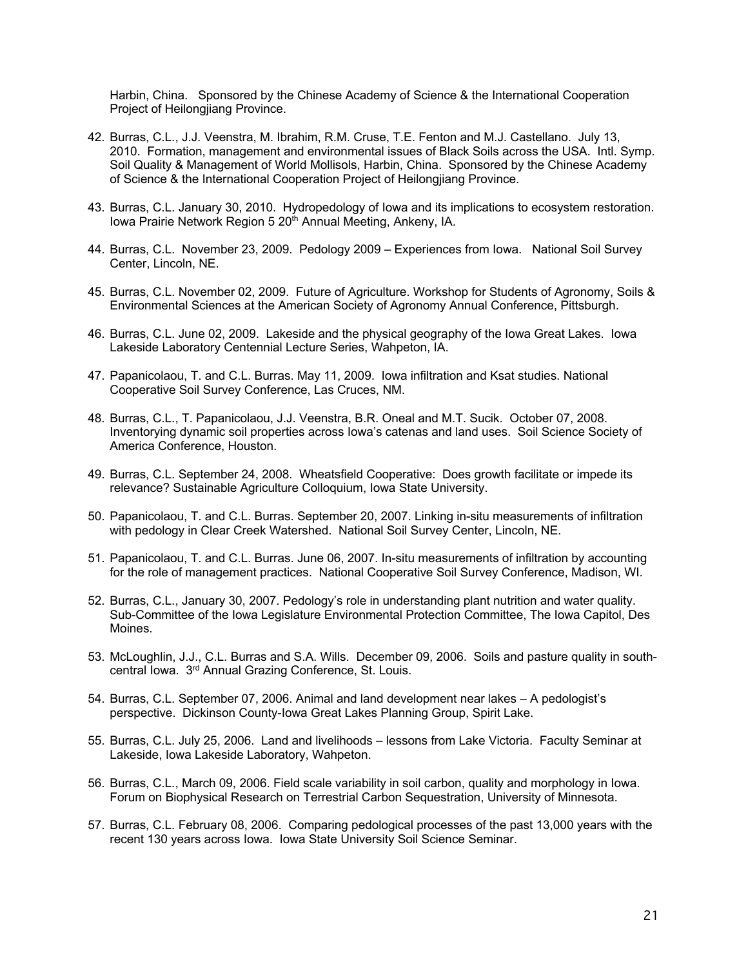Harbin, China. Sponsored by the Chinese Academy of Science & the International Cooperation Project of Heilongijang Province.

- 42. Burras, C.L., J.J. Veenstra, M. Ibrahim, R.M. Cruse, T.E. Fenton and M.J. Castellano. July 13, 2010. Formation, management and environmental issues of Black Soils across the USA. Intl. Symp. Soil Quality & Management of World Mollisols, Harbin, China. Sponsored by the Chinese Academy of Science & the International Cooperation Project of Heilongjiang Province.
- 43. Burras, C.L. January 30, 2010. Hydropedology of Iowa and its implications to ecosystem restoration. Iowa Prairie Network Region 5 20<sup>th</sup> Annual Meeting, Ankeny, IA.
- 44. Burras, C.L. November 23, 2009. Pedology 2009 Experiences from Iowa. National Soil Survey Center, Lincoln, NE.
- 45. Burras, C.L. November 02, 2009. Future of Agriculture. Workshop for Students of Agronomy, Soils & Environmental Sciences at the American Society of Agronomy Annual Conference, Pittsburgh.
- 46. Burras, C.L. June 02, 2009. Lakeside and the physical geography of the Iowa Great Lakes. Iowa Lakeside Laboratory Centennial Lecture Series, Wahpeton, IA.
- 47. Papanicolaou, T. and C.L. Burras. May 11, 2009. Iowa infiltration and Ksat studies. National Cooperative Soil Survey Conference, Las Cruces, NM.
- 48. Burras, C.L., T. Papanicolaou, J.J. Veenstra, B.R. Oneal and M.T. Sucik. October 07, 2008. Inventorying dynamic soil properties across Iowa's catenas and land uses. Soil Science Society of America Conference, Houston.
- 49. Burras, C.L. September 24, 2008. Wheatsfield Cooperative: Does growth facilitate or impede its relevance? Sustainable Agriculture Colloquium, Iowa State University.
- 50. Papanicolaou, T. and C.L. Burras. September 20, 2007. Linking in-situ measurements of infiltration with pedology in Clear Creek Watershed. National Soil Survey Center, Lincoln, NE.
- 51. Papanicolaou, T. and C.L. Burras. June 06, 2007. In-situ measurements of infiltration by accounting for the role of management practices. National Cooperative Soil Survey Conference, Madison, WI.
- 52. Burras, C.L., January 30, 2007. Pedology's role in understanding plant nutrition and water quality. Sub-Committee of the Iowa Legislature Environmental Protection Committee, The Iowa Capitol, Des Moines.
- 53. McLoughlin, J.J., C.L. Burras and S.A. Wills. December 09, 2006. Soils and pasture quality in southcentral Iowa. 3<sup>rd</sup> Annual Grazing Conference, St. Louis.
- 54. Burras, C.L. September 07, 2006. Animal and land development near lakes A pedologist's perspective. Dickinson County-Iowa Great Lakes Planning Group, Spirit Lake.
- 55. Burras, C.L. July 25, 2006. Land and livelihoods lessons from Lake Victoria. Faculty Seminar at Lakeside, Iowa Lakeside Laboratory, Wahpeton.
- 56. Burras, C.L., March 09, 2006. Field scale variability in soil carbon, quality and morphology in Iowa. Forum on Biophysical Research on Terrestrial Carbon Sequestration, University of Minnesota.
- 57. Burras, C.L. February 08, 2006. Comparing pedological processes of the past 13,000 years with the recent 130 years across Iowa. Iowa State University Soil Science Seminar.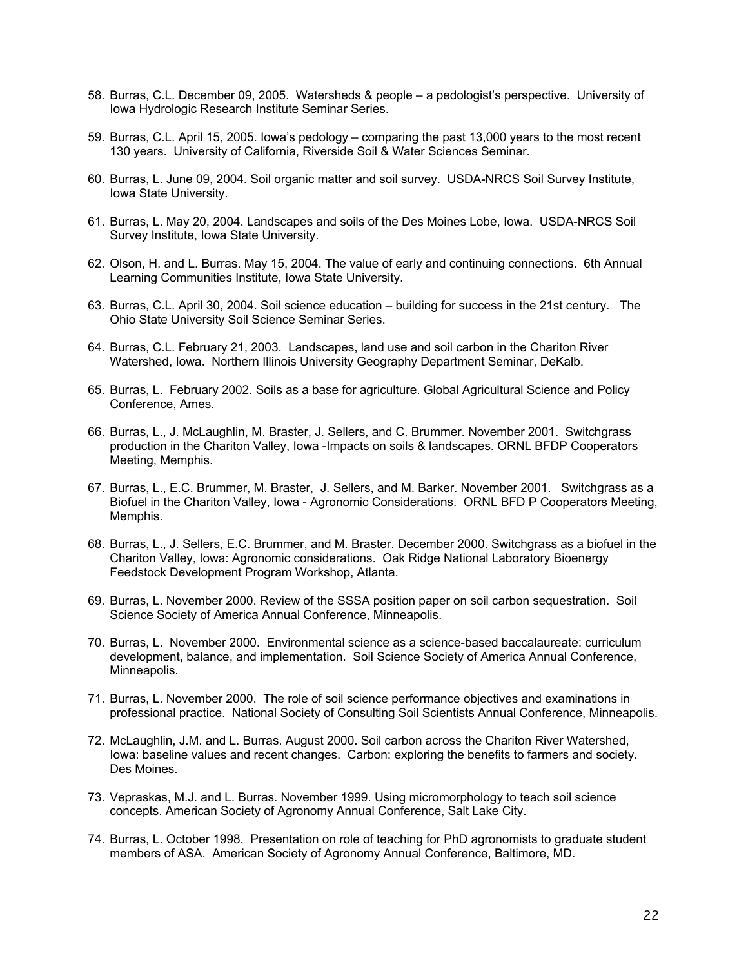- 58. Burras, C.L. December 09, 2005. Watersheds & people a pedologist's perspective. University of Iowa Hydrologic Research Institute Seminar Series.
- 59. Burras, C.L. April 15, 2005. Iowa's pedology comparing the past 13,000 years to the most recent 130 years. University of California, Riverside Soil & Water Sciences Seminar.
- 60. Burras, L. June 09, 2004. Soil organic matter and soil survey. USDA-NRCS Soil Survey Institute, Iowa State University.
- 61. Burras, L. May 20, 2004. Landscapes and soils of the Des Moines Lobe, Iowa. USDA-NRCS Soil Survey Institute, Iowa State University.
- 62. Olson, H. and L. Burras. May 15, 2004. The value of early and continuing connections. 6th Annual Learning Communities Institute, Iowa State University.
- 63. Burras, C.L. April 30, 2004. Soil science education building for success in the 21st century. The Ohio State University Soil Science Seminar Series.
- 64. Burras, C.L. February 21, 2003. Landscapes, land use and soil carbon in the Chariton River Watershed, Iowa. Northern Illinois University Geography Department Seminar, DeKalb.
- 65. Burras, L. February 2002. Soils as a base for agriculture. Global Agricultural Science and Policy Conference, Ames.
- 66. Burras, L., J. McLaughlin, M. Braster, J. Sellers, and C. Brummer. November 2001. Switchgrass production in the Chariton Valley, Iowa -Impacts on soils & landscapes. ORNL BFDP Cooperators Meeting, Memphis.
- 67. Burras, L., E.C. Brummer, M. Braster, J. Sellers, and M. Barker. November 2001. Switchgrass as a Biofuel in the Chariton Valley, Iowa - Agronomic Considerations. ORNL BFD P Cooperators Meeting, Memphis.
- 68. Burras, L., J. Sellers, E.C. Brummer, and M. Braster. December 2000. Switchgrass as a biofuel in the Chariton Valley, Iowa: Agronomic considerations. Oak Ridge National Laboratory Bioenergy Feedstock Development Program Workshop, Atlanta.
- 69. Burras, L. November 2000. Review of the SSSA position paper on soil carbon sequestration. Soil Science Society of America Annual Conference, Minneapolis.
- 70. Burras, L. November 2000. Environmental science as a science-based baccalaureate: curriculum development, balance, and implementation. Soil Science Society of America Annual Conference, Minneapolis.
- 71. Burras, L. November 2000. The role of soil science performance objectives and examinations in professional practice. National Society of Consulting Soil Scientists Annual Conference, Minneapolis.
- 72. McLaughlin, J.M. and L. Burras. August 2000. Soil carbon across the Chariton River Watershed, Iowa: baseline values and recent changes. Carbon: exploring the benefits to farmers and society. Des Moines.
- 73. Vepraskas, M.J. and L. Burras. November 1999. Using micromorphology to teach soil science concepts. American Society of Agronomy Annual Conference, Salt Lake City.
- 74. Burras, L. October 1998. Presentation on role of teaching for PhD agronomists to graduate student members of ASA. American Society of Agronomy Annual Conference, Baltimore, MD.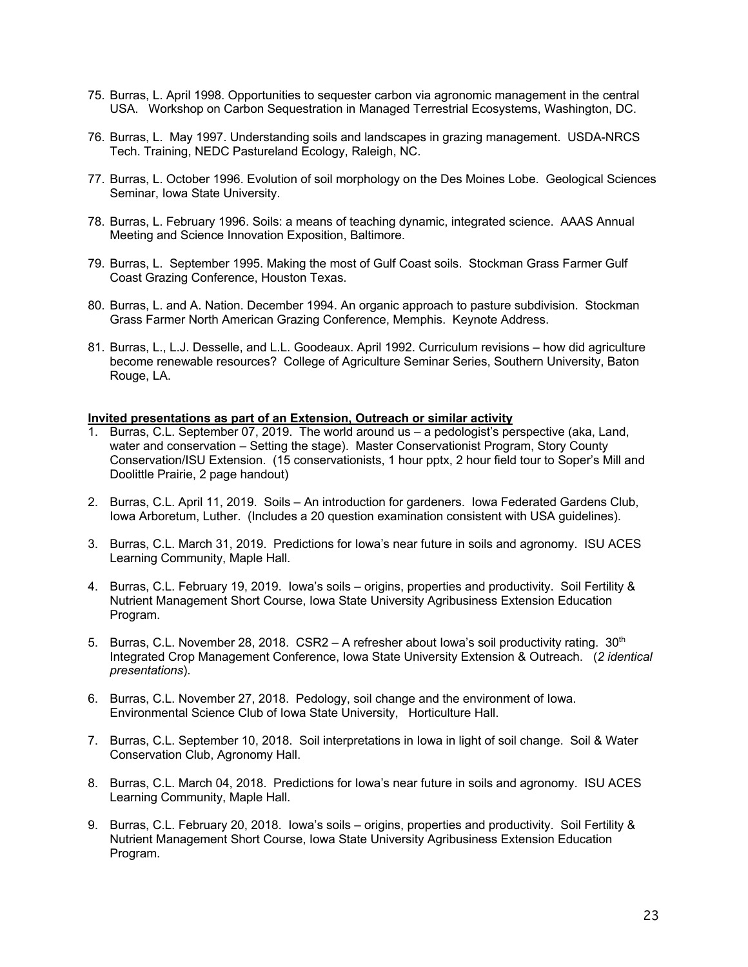- 75. Burras, L. April 1998. Opportunities to sequester carbon via agronomic management in the central USA. Workshop on Carbon Sequestration in Managed Terrestrial Ecosystems, Washington, DC.
- 76. Burras, L. May 1997. Understanding soils and landscapes in grazing management. USDA-NRCS Tech. Training, NEDC Pastureland Ecology, Raleigh, NC.
- 77. Burras, L. October 1996. Evolution of soil morphology on the Des Moines Lobe. Geological Sciences Seminar, Iowa State University.
- 78. Burras, L. February 1996. Soils: a means of teaching dynamic, integrated science. AAAS Annual Meeting and Science Innovation Exposition, Baltimore.
- 79. Burras, L. September 1995. Making the most of Gulf Coast soils. Stockman Grass Farmer Gulf Coast Grazing Conference, Houston Texas.
- 80. Burras, L. and A. Nation. December 1994. An organic approach to pasture subdivision. Stockman Grass Farmer North American Grazing Conference, Memphis. Keynote Address.
- 81. Burras, L., L.J. Desselle, and L.L. Goodeaux. April 1992. Curriculum revisions how did agriculture become renewable resources? College of Agriculture Seminar Series, Southern University, Baton Rouge, LA.

#### **Invited presentations as part of an Extension, Outreach or similar activity**

- 1. Burras, C.L. September 07, 2019. The world around us a pedologist's perspective (aka, Land, water and conservation – Setting the stage). Master Conservationist Program, Story County Conservation/ISU Extension. (15 conservationists, 1 hour pptx, 2 hour field tour to Soper's Mill and Doolittle Prairie, 2 page handout)
- 2. Burras, C.L. April 11, 2019. Soils An introduction for gardeners. Iowa Federated Gardens Club, Iowa Arboretum, Luther. (Includes a 20 question examination consistent with USA guidelines).
- 3. Burras, C.L. March 31, 2019. Predictions for Iowa's near future in soils and agronomy. ISU ACES Learning Community, Maple Hall.
- 4. Burras, C.L. February 19, 2019. Iowa's soils origins, properties and productivity. Soil Fertility & Nutrient Management Short Course, Iowa State University Agribusiness Extension Education Program.
- 5. Burras, C.L. November 28, 2018. CSR2 A refresher about Iowa's soil productivity rating. 30<sup>th</sup> Integrated Crop Management Conference, Iowa State University Extension & Outreach. (*2 identical presentations*).
- 6. Burras, C.L. November 27, 2018. Pedology, soil change and the environment of Iowa. Environmental Science Club of Iowa State University, Horticulture Hall.
- 7. Burras, C.L. September 10, 2018. Soil interpretations in Iowa in light of soil change. Soil & Water Conservation Club, Agronomy Hall.
- 8. Burras, C.L. March 04, 2018. Predictions for Iowa's near future in soils and agronomy. ISU ACES Learning Community, Maple Hall.
- 9. Burras, C.L. February 20, 2018. Iowa's soils origins, properties and productivity. Soil Fertility & Nutrient Management Short Course, Iowa State University Agribusiness Extension Education Program.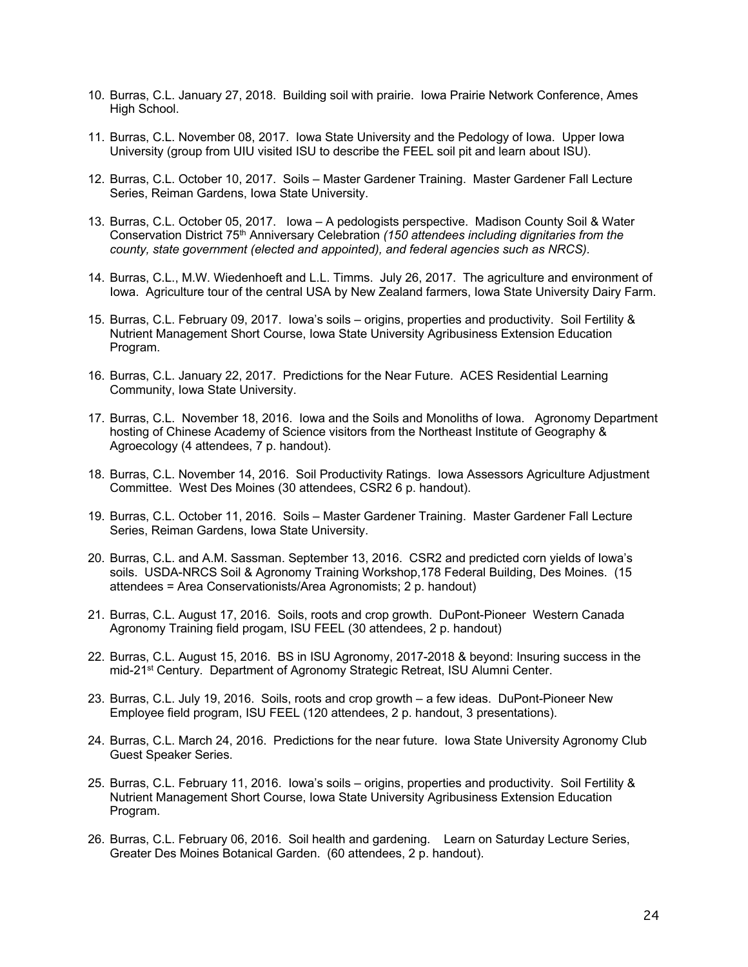- 10. Burras, C.L. January 27, 2018. Building soil with prairie. Iowa Prairie Network Conference, Ames High School.
- 11. Burras, C.L. November 08, 2017. Iowa State University and the Pedology of Iowa. Upper Iowa University (group from UIU visited ISU to describe the FEEL soil pit and learn about ISU).
- 12. Burras, C.L. October 10, 2017. Soils Master Gardener Training. Master Gardener Fall Lecture Series, Reiman Gardens, Iowa State University.
- 13. Burras, C.L. October 05, 2017. Iowa A pedologists perspective. Madison County Soil & Water Conservation District 75th Anniversary Celebration *(150 attendees including dignitaries from the county, state government (elected and appointed), and federal agencies such as NRCS).*
- 14. Burras, C.L., M.W. Wiedenhoeft and L.L. Timms. July 26, 2017. The agriculture and environment of Iowa. Agriculture tour of the central USA by New Zealand farmers, Iowa State University Dairy Farm.
- 15. Burras, C.L. February 09, 2017. Iowa's soils origins, properties and productivity. Soil Fertility & Nutrient Management Short Course, Iowa State University Agribusiness Extension Education Program.
- 16. Burras, C.L. January 22, 2017. Predictions for the Near Future. ACES Residential Learning Community, Iowa State University.
- 17. Burras, C.L. November 18, 2016. Iowa and the Soils and Monoliths of Iowa. Agronomy Department hosting of Chinese Academy of Science visitors from the Northeast Institute of Geography & Agroecology (4 attendees, 7 p. handout).
- 18. Burras, C.L. November 14, 2016. Soil Productivity Ratings. Iowa Assessors Agriculture Adjustment Committee. West Des Moines (30 attendees, CSR2 6 p. handout).
- 19. Burras, C.L. October 11, 2016. Soils Master Gardener Training. Master Gardener Fall Lecture Series, Reiman Gardens, Iowa State University.
- 20. Burras, C.L. and A.M. Sassman. September 13, 2016. CSR2 and predicted corn yields of Iowa's soils. USDA-NRCS Soil & Agronomy Training Workshop,178 Federal Building, Des Moines. (15 attendees = Area Conservationists/Area Agronomists; 2 p. handout)
- 21. Burras, C.L. August 17, 2016. Soils, roots and crop growth. DuPont-Pioneer Western Canada Agronomy Training field progam, ISU FEEL (30 attendees, 2 p. handout)
- 22. Burras, C.L. August 15, 2016. BS in ISU Agronomy, 2017-2018 & beyond: Insuring success in the mid-21<sup>st</sup> Century. Department of Agronomy Strategic Retreat, ISU Alumni Center.
- 23. Burras, C.L. July 19, 2016. Soils, roots and crop growth a few ideas. DuPont-Pioneer New Employee field program, ISU FEEL (120 attendees, 2 p. handout, 3 presentations).
- 24. Burras, C.L. March 24, 2016. Predictions for the near future. Iowa State University Agronomy Club Guest Speaker Series.
- 25. Burras, C.L. February 11, 2016. Iowa's soils origins, properties and productivity. Soil Fertility & Nutrient Management Short Course, Iowa State University Agribusiness Extension Education Program.
- 26. Burras, C.L. February 06, 2016. Soil health and gardening. Learn on Saturday Lecture Series, Greater Des Moines Botanical Garden. (60 attendees, 2 p. handout).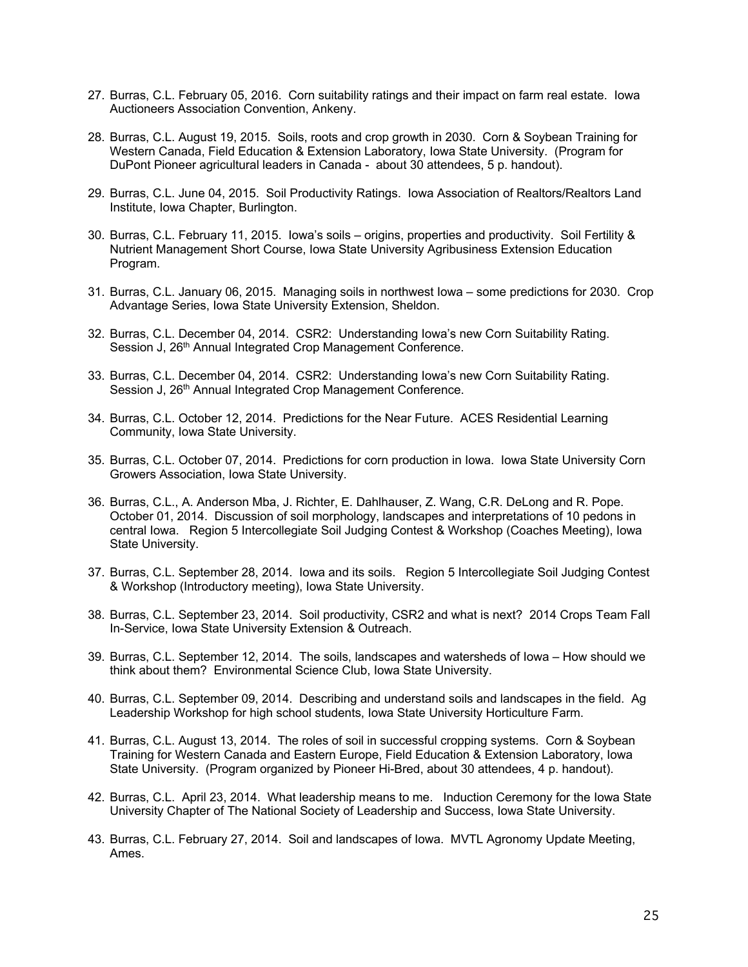- 27. Burras, C.L. February 05, 2016. Corn suitability ratings and their impact on farm real estate. Iowa Auctioneers Association Convention, Ankeny.
- 28. Burras, C.L. August 19, 2015. Soils, roots and crop growth in 2030. Corn & Soybean Training for Western Canada, Field Education & Extension Laboratory, Iowa State University. (Program for DuPont Pioneer agricultural leaders in Canada - about 30 attendees, 5 p. handout).
- 29. Burras, C.L. June 04, 2015. Soil Productivity Ratings. Iowa Association of Realtors/Realtors Land Institute, Iowa Chapter, Burlington.
- 30. Burras, C.L. February 11, 2015. Iowa's soils origins, properties and productivity. Soil Fertility & Nutrient Management Short Course, Iowa State University Agribusiness Extension Education Program.
- 31. Burras, C.L. January 06, 2015. Managing soils in northwest Iowa some predictions for 2030. Crop Advantage Series, Iowa State University Extension, Sheldon.
- 32. Burras, C.L. December 04, 2014. CSR2: Understanding Iowa's new Corn Suitability Rating. Session J, 26<sup>th</sup> Annual Integrated Crop Management Conference.
- 33. Burras, C.L. December 04, 2014. CSR2: Understanding Iowa's new Corn Suitability Rating. Session J, 26<sup>th</sup> Annual Integrated Crop Management Conference.
- 34. Burras, C.L. October 12, 2014. Predictions for the Near Future. ACES Residential Learning Community, Iowa State University.
- 35. Burras, C.L. October 07, 2014. Predictions for corn production in Iowa. Iowa State University Corn Growers Association, Iowa State University.
- 36. Burras, C.L., A. Anderson Mba, J. Richter, E. Dahlhauser, Z. Wang, C.R. DeLong and R. Pope. October 01, 2014. Discussion of soil morphology, landscapes and interpretations of 10 pedons in central Iowa. Region 5 Intercollegiate Soil Judging Contest & Workshop (Coaches Meeting), Iowa State University.
- 37. Burras, C.L. September 28, 2014. Iowa and its soils. Region 5 Intercollegiate Soil Judging Contest & Workshop (Introductory meeting), Iowa State University.
- 38. Burras, C.L. September 23, 2014. Soil productivity, CSR2 and what is next? 2014 Crops Team Fall In-Service, Iowa State University Extension & Outreach.
- 39. Burras, C.L. September 12, 2014. The soils, landscapes and watersheds of Iowa How should we think about them? Environmental Science Club, Iowa State University.
- 40. Burras, C.L. September 09, 2014. Describing and understand soils and landscapes in the field. Ag Leadership Workshop for high school students, Iowa State University Horticulture Farm.
- 41. Burras, C.L. August 13, 2014. The roles of soil in successful cropping systems. Corn & Soybean Training for Western Canada and Eastern Europe, Field Education & Extension Laboratory, Iowa State University. (Program organized by Pioneer Hi-Bred, about 30 attendees, 4 p. handout).
- 42. Burras, C.L. April 23, 2014. What leadership means to me. Induction Ceremony for the Iowa State University Chapter of The National Society of Leadership and Success, Iowa State University.
- 43. Burras, C.L. February 27, 2014. Soil and landscapes of Iowa. MVTL Agronomy Update Meeting, Ames.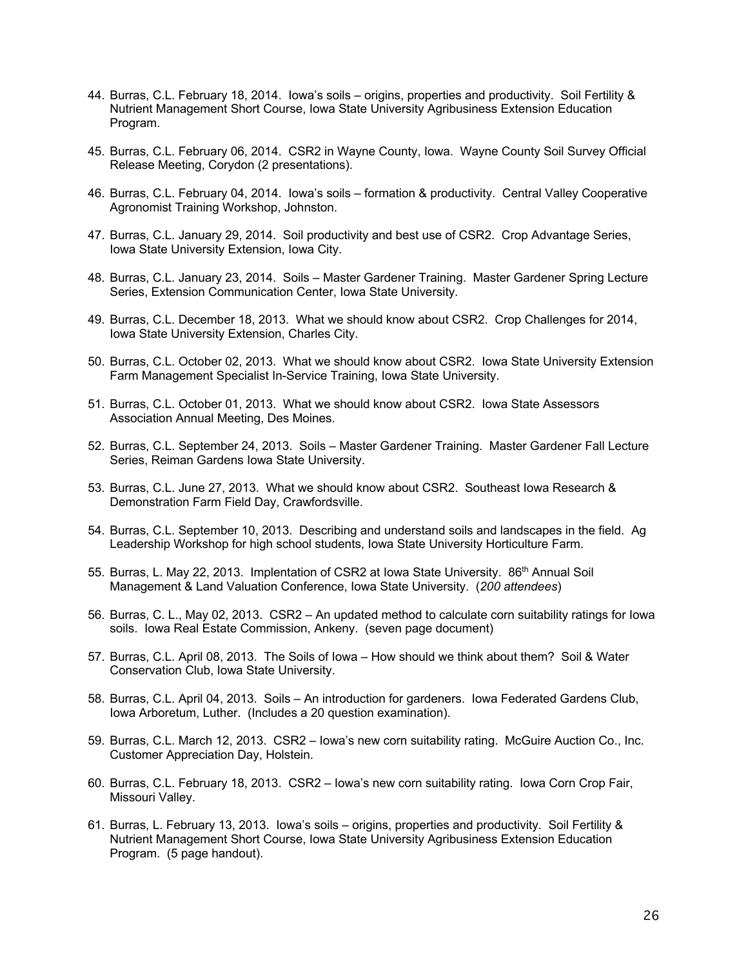- 44. Burras, C.L. February 18, 2014. Iowa's soils origins, properties and productivity. Soil Fertility & Nutrient Management Short Course, Iowa State University Agribusiness Extension Education Program.
- 45. Burras, C.L. February 06, 2014. CSR2 in Wayne County, Iowa. Wayne County Soil Survey Official Release Meeting, Corydon (2 presentations).
- 46. Burras, C.L. February 04, 2014. Iowa's soils formation & productivity. Central Valley Cooperative Agronomist Training Workshop, Johnston.
- 47. Burras, C.L. January 29, 2014. Soil productivity and best use of CSR2. Crop Advantage Series, Iowa State University Extension, Iowa City.
- 48. Burras, C.L. January 23, 2014. Soils Master Gardener Training. Master Gardener Spring Lecture Series, Extension Communication Center, Iowa State University.
- 49. Burras, C.L. December 18, 2013. What we should know about CSR2. Crop Challenges for 2014, Iowa State University Extension, Charles City.
- 50. Burras, C.L. October 02, 2013. What we should know about CSR2. Iowa State University Extension Farm Management Specialist In-Service Training, Iowa State University.
- 51. Burras, C.L. October 01, 2013. What we should know about CSR2. Iowa State Assessors Association Annual Meeting, Des Moines.
- 52. Burras, C.L. September 24, 2013. Soils Master Gardener Training. Master Gardener Fall Lecture Series, Reiman Gardens Iowa State University.
- 53. Burras, C.L. June 27, 2013. What we should know about CSR2. Southeast Iowa Research & Demonstration Farm Field Day, Crawfordsville.
- 54. Burras, C.L. September 10, 2013. Describing and understand soils and landscapes in the field. Ag Leadership Workshop for high school students, Iowa State University Horticulture Farm.
- 55. Burras, L. May 22, 2013. Implentation of CSR2 at Iowa State University. 86<sup>th</sup> Annual Soil Management & Land Valuation Conference, Iowa State University. (*200 attendees*)
- 56. Burras, C. L., May 02, 2013. CSR2 An updated method to calculate corn suitability ratings for Iowa soils. Iowa Real Estate Commission, Ankeny. (seven page document)
- 57. Burras, C.L. April 08, 2013. The Soils of Iowa How should we think about them? Soil & Water Conservation Club, Iowa State University.
- 58. Burras, C.L. April 04, 2013. Soils An introduction for gardeners. Iowa Federated Gardens Club, Iowa Arboretum, Luther. (Includes a 20 question examination).
- 59. Burras, C.L. March 12, 2013. CSR2 Iowa's new corn suitability rating. McGuire Auction Co., Inc. Customer Appreciation Day, Holstein.
- 60. Burras, C.L. February 18, 2013. CSR2 Iowa's new corn suitability rating. Iowa Corn Crop Fair, Missouri Valley.
- 61. Burras, L. February 13, 2013. Iowa's soils origins, properties and productivity. Soil Fertility & Nutrient Management Short Course, Iowa State University Agribusiness Extension Education Program. (5 page handout).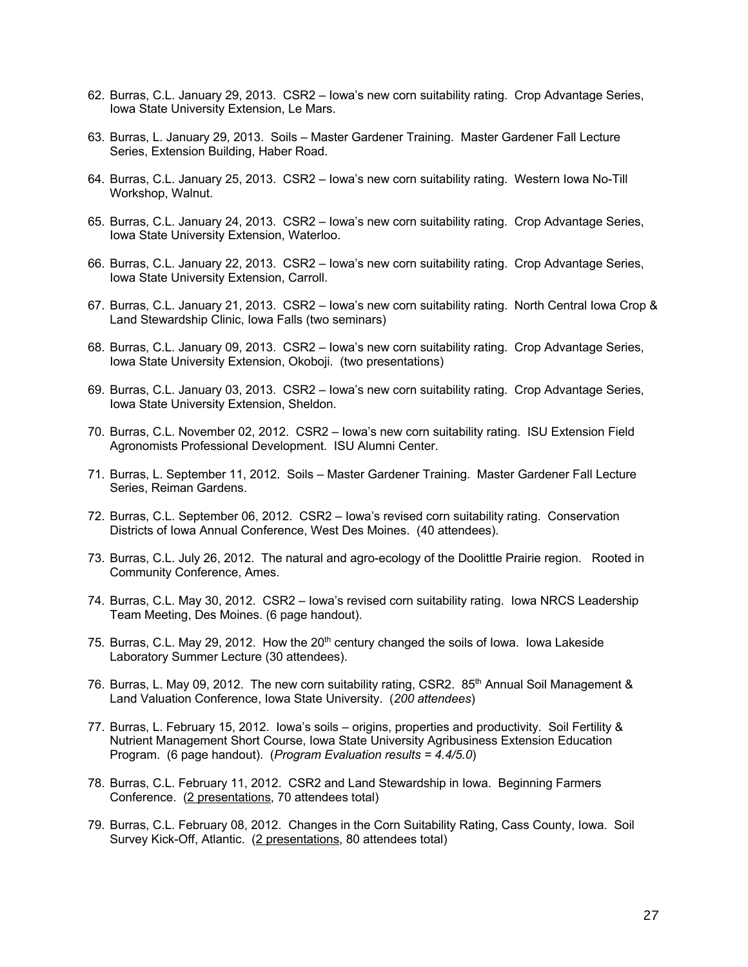- 62. Burras, C.L. January 29, 2013. CSR2 Iowa's new corn suitability rating. Crop Advantage Series, Iowa State University Extension, Le Mars.
- 63. Burras, L. January 29, 2013. Soils Master Gardener Training. Master Gardener Fall Lecture Series, Extension Building, Haber Road.
- 64. Burras, C.L. January 25, 2013. CSR2 Iowa's new corn suitability rating. Western Iowa No-Till Workshop, Walnut.
- 65. Burras, C.L. January 24, 2013. CSR2 Iowa's new corn suitability rating. Crop Advantage Series, Iowa State University Extension, Waterloo.
- 66. Burras, C.L. January 22, 2013. CSR2 Iowa's new corn suitability rating. Crop Advantage Series, Iowa State University Extension, Carroll.
- 67. Burras, C.L. January 21, 2013. CSR2 Iowa's new corn suitability rating. North Central Iowa Crop & Land Stewardship Clinic, Iowa Falls (two seminars)
- 68. Burras, C.L. January 09, 2013. CSR2 Iowa's new corn suitability rating. Crop Advantage Series, Iowa State University Extension, Okoboji. (two presentations)
- 69. Burras, C.L. January 03, 2013. CSR2 Iowa's new corn suitability rating. Crop Advantage Series, Iowa State University Extension, Sheldon.
- 70. Burras, C.L. November 02, 2012. CSR2 Iowa's new corn suitability rating. ISU Extension Field Agronomists Professional Development. ISU Alumni Center.
- 71. Burras, L. September 11, 2012. Soils Master Gardener Training. Master Gardener Fall Lecture Series, Reiman Gardens.
- 72. Burras, C.L. September 06, 2012. CSR2 Iowa's revised corn suitability rating. Conservation Districts of Iowa Annual Conference, West Des Moines. (40 attendees).
- 73. Burras, C.L. July 26, 2012. The natural and agro-ecology of the Doolittle Prairie region. Rooted in Community Conference, Ames.
- 74. Burras, C.L. May 30, 2012. CSR2 Iowa's revised corn suitability rating. Iowa NRCS Leadership Team Meeting, Des Moines. (6 page handout).
- 75. Burras, C.L. May 29, 2012. How the 20<sup>th</sup> century changed the soils of Iowa. Iowa Lakeside Laboratory Summer Lecture (30 attendees).
- 76. Burras, L. May 09, 2012. The new corn suitability rating, CSR2. 85<sup>th</sup> Annual Soil Management & Land Valuation Conference, Iowa State University. (*200 attendees*)
- 77. Burras, L. February 15, 2012. Iowa's soils origins, properties and productivity. Soil Fertility & Nutrient Management Short Course, Iowa State University Agribusiness Extension Education Program. (6 page handout). (*Program Evaluation results = 4.4/5.0*)
- 78. Burras, C.L. February 11, 2012. CSR2 and Land Stewardship in Iowa. Beginning Farmers Conference. (2 presentations, 70 attendees total)
- 79. Burras, C.L. February 08, 2012. Changes in the Corn Suitability Rating, Cass County, Iowa. Soil Survey Kick-Off, Atlantic. (2 presentations, 80 attendees total)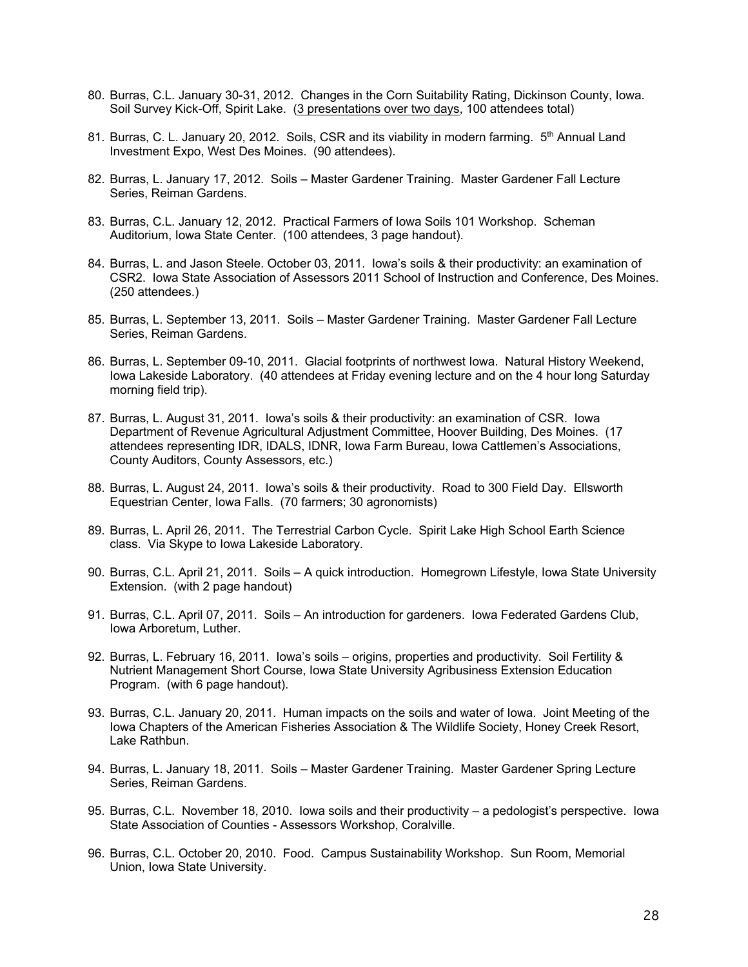- 80. Burras, C.L. January 30-31, 2012. Changes in the Corn Suitability Rating, Dickinson County, Iowa. Soil Survey Kick-Off, Spirit Lake. (3 presentations over two days, 100 attendees total)
- 81. Burras, C. L. January 20, 2012. Soils, CSR and its viability in modern farming. 5<sup>th</sup> Annual Land Investment Expo, West Des Moines. (90 attendees).
- 82. Burras, L. January 17, 2012. Soils Master Gardener Training. Master Gardener Fall Lecture Series, Reiman Gardens.
- 83. Burras, C.L. January 12, 2012. Practical Farmers of Iowa Soils 101 Workshop. Scheman Auditorium, Iowa State Center. (100 attendees, 3 page handout).
- 84. Burras, L. and Jason Steele. October 03, 2011. Iowa's soils & their productivity: an examination of CSR2. Iowa State Association of Assessors 2011 School of Instruction and Conference, Des Moines. (250 attendees.)
- 85. Burras, L. September 13, 2011. Soils Master Gardener Training. Master Gardener Fall Lecture Series, Reiman Gardens.
- 86. Burras, L. September 09-10, 2011. Glacial footprints of northwest Iowa. Natural History Weekend, Iowa Lakeside Laboratory. (40 attendees at Friday evening lecture and on the 4 hour long Saturday morning field trip).
- 87. Burras, L. August 31, 2011. Iowa's soils & their productivity: an examination of CSR. Iowa Department of Revenue Agricultural Adjustment Committee, Hoover Building, Des Moines. (17 attendees representing IDR, IDALS, IDNR, Iowa Farm Bureau, Iowa Cattlemen's Associations, County Auditors, County Assessors, etc.)
- 88. Burras, L. August 24, 2011. Iowa's soils & their productivity. Road to 300 Field Day. Ellsworth Equestrian Center, Iowa Falls. (70 farmers; 30 agronomists)
- 89. Burras, L. April 26, 2011. The Terrestrial Carbon Cycle. Spirit Lake High School Earth Science class. Via Skype to Iowa Lakeside Laboratory.
- 90. Burras, C.L. April 21, 2011. Soils A quick introduction. Homegrown Lifestyle, Iowa State University Extension. (with 2 page handout)
- 91. Burras, C.L. April 07, 2011. Soils An introduction for gardeners. Iowa Federated Gardens Club, Iowa Arboretum, Luther.
- 92. Burras, L. February 16, 2011. Iowa's soils origins, properties and productivity. Soil Fertility & Nutrient Management Short Course, Iowa State University Agribusiness Extension Education Program. (with 6 page handout).
- 93. Burras, C.L. January 20, 2011. Human impacts on the soils and water of Iowa. Joint Meeting of the Iowa Chapters of the American Fisheries Association & The Wildlife Society, Honey Creek Resort, Lake Rathbun.
- 94. Burras, L. January 18, 2011. Soils Master Gardener Training. Master Gardener Spring Lecture Series, Reiman Gardens.
- 95. Burras, C.L. November 18, 2010. Iowa soils and their productivity a pedologist's perspective. Iowa State Association of Counties - Assessors Workshop, Coralville.
- 96. Burras, C.L. October 20, 2010. Food. Campus Sustainability Workshop. Sun Room, Memorial Union, Iowa State University.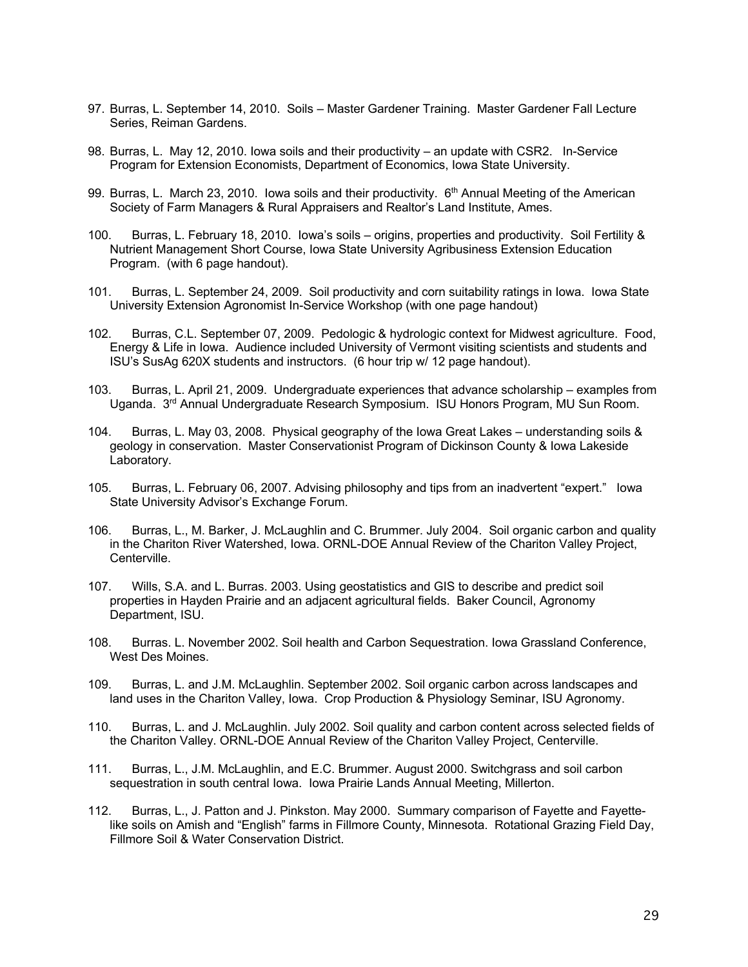- 97. Burras, L. September 14, 2010. Soils Master Gardener Training. Master Gardener Fall Lecture Series, Reiman Gardens.
- 98. Burras, L. May 12, 2010. Iowa soils and their productivity an update with CSR2. In-Service Program for Extension Economists, Department of Economics, Iowa State University.
- 99. Burras, L. March 23, 2010. Iowa soils and their productivity.  $6<sup>th</sup>$  Annual Meeting of the American Society of Farm Managers & Rural Appraisers and Realtor's Land Institute, Ames.
- 100. Burras, L. February 18, 2010. Iowa's soils origins, properties and productivity. Soil Fertility & Nutrient Management Short Course, Iowa State University Agribusiness Extension Education Program. (with 6 page handout).
- 101. Burras, L. September 24, 2009. Soil productivity and corn suitability ratings in Iowa. Iowa State University Extension Agronomist In-Service Workshop (with one page handout)
- 102. Burras, C.L. September 07, 2009. Pedologic & hydrologic context for Midwest agriculture. Food, Energy & Life in Iowa. Audience included University of Vermont visiting scientists and students and ISU's SusAg 620X students and instructors. (6 hour trip w/ 12 page handout).
- 103. Burras, L. April 21, 2009. Undergraduate experiences that advance scholarship examples from Uganda. 3<sup>rd</sup> Annual Undergraduate Research Symposium. ISU Honors Program, MU Sun Room.
- 104. Burras, L. May 03, 2008. Physical geography of the Iowa Great Lakes understanding soils & geology in conservation. Master Conservationist Program of Dickinson County & Iowa Lakeside Laboratory.
- 105. Burras, L. February 06, 2007. Advising philosophy and tips from an inadvertent "expert." Iowa State University Advisor's Exchange Forum.
- 106. Burras, L., M. Barker, J. McLaughlin and C. Brummer. July 2004. Soil organic carbon and quality in the Chariton River Watershed, Iowa. ORNL-DOE Annual Review of the Chariton Valley Project, Centerville.
- 107. Wills, S.A. and L. Burras. 2003. Using geostatistics and GIS to describe and predict soil properties in Hayden Prairie and an adjacent agricultural fields. Baker Council, Agronomy Department, ISU.
- 108. Burras. L. November 2002. Soil health and Carbon Sequestration. Iowa Grassland Conference, West Des Moines.
- 109. Burras, L. and J.M. McLaughlin. September 2002. Soil organic carbon across landscapes and land uses in the Chariton Valley, Iowa. Crop Production & Physiology Seminar, ISU Agronomy.
- 110. Burras, L. and J. McLaughlin. July 2002. Soil quality and carbon content across selected fields of the Chariton Valley. ORNL-DOE Annual Review of the Chariton Valley Project, Centerville.
- 111. Burras, L., J.M. McLaughlin, and E.C. Brummer. August 2000. Switchgrass and soil carbon sequestration in south central Iowa. Iowa Prairie Lands Annual Meeting, Millerton.
- 112. Burras, L., J. Patton and J. Pinkston. May 2000. Summary comparison of Fayette and Fayettelike soils on Amish and "English" farms in Fillmore County, Minnesota. Rotational Grazing Field Day, Fillmore Soil & Water Conservation District.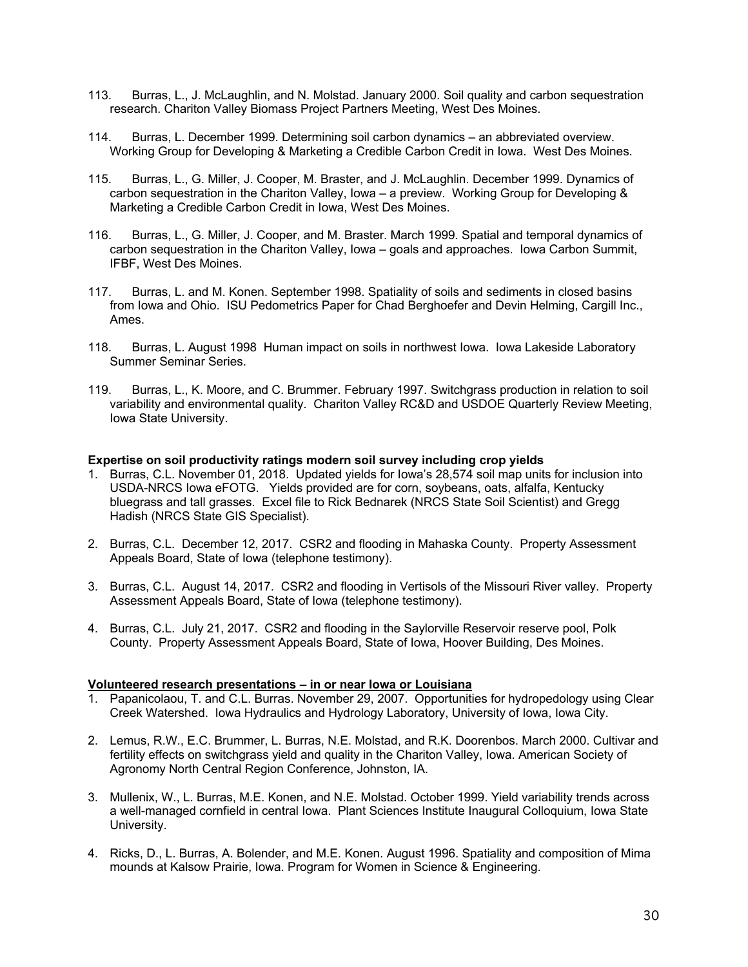- 113. Burras, L., J. McLaughlin, and N. Molstad. January 2000. Soil quality and carbon sequestration research. Chariton Valley Biomass Project Partners Meeting, West Des Moines.
- 114. Burras, L. December 1999. Determining soil carbon dynamics an abbreviated overview. Working Group for Developing & Marketing a Credible Carbon Credit in Iowa. West Des Moines.
- 115. Burras, L., G. Miller, J. Cooper, M. Braster, and J. McLaughlin. December 1999. Dynamics of carbon sequestration in the Chariton Valley, Iowa – a preview. Working Group for Developing & Marketing a Credible Carbon Credit in Iowa, West Des Moines.
- 116. Burras, L., G. Miller, J. Cooper, and M. Braster. March 1999. Spatial and temporal dynamics of carbon sequestration in the Chariton Valley, Iowa – goals and approaches. Iowa Carbon Summit, IFBF, West Des Moines.
- 117. Burras, L. and M. Konen. September 1998. Spatiality of soils and sediments in closed basins from Iowa and Ohio. ISU Pedometrics Paper for Chad Berghoefer and Devin Helming, Cargill Inc., Ames.
- 118. Burras, L. August 1998 Human impact on soils in northwest Iowa. Iowa Lakeside Laboratory Summer Seminar Series.
- 119. Burras, L., K. Moore, and C. Brummer. February 1997. Switchgrass production in relation to soil variability and environmental quality. Chariton Valley RC&D and USDOE Quarterly Review Meeting, Iowa State University.

# **Expertise on soil productivity ratings modern soil survey including crop yields**

- 1. Burras, C.L. November 01, 2018. Updated yields for Iowa's 28,574 soil map units for inclusion into USDA-NRCS Iowa eFOTG. Yields provided are for corn, soybeans, oats, alfalfa, Kentucky bluegrass and tall grasses. Excel file to Rick Bednarek (NRCS State Soil Scientist) and Gregg Hadish (NRCS State GIS Specialist).
- 2. Burras, C.L. December 12, 2017. CSR2 and flooding in Mahaska County. Property Assessment Appeals Board, State of Iowa (telephone testimony).
- 3. Burras, C.L. August 14, 2017. CSR2 and flooding in Vertisols of the Missouri River valley. Property Assessment Appeals Board, State of Iowa (telephone testimony).
- 4. Burras, C.L. July 21, 2017. CSR2 and flooding in the Saylorville Reservoir reserve pool, Polk County. Property Assessment Appeals Board, State of Iowa, Hoover Building, Des Moines.

#### **Volunteered research presentations – in or near Iowa or Louisiana**

- 1. Papanicolaou, T. and C.L. Burras. November 29, 2007. Opportunities for hydropedology using Clear Creek Watershed. Iowa Hydraulics and Hydrology Laboratory, University of Iowa, Iowa City.
- 2. Lemus, R.W., E.C. Brummer, L. Burras, N.E. Molstad, and R.K. Doorenbos. March 2000. Cultivar and fertility effects on switchgrass yield and quality in the Chariton Valley, Iowa. American Society of Agronomy North Central Region Conference, Johnston, IA.
- 3. Mullenix, W., L. Burras, M.E. Konen, and N.E. Molstad. October 1999. Yield variability trends across a well-managed cornfield in central Iowa. Plant Sciences Institute Inaugural Colloquium, Iowa State University.
- 4. Ricks, D., L. Burras, A. Bolender, and M.E. Konen. August 1996. Spatiality and composition of Mima mounds at Kalsow Prairie, Iowa. Program for Women in Science & Engineering.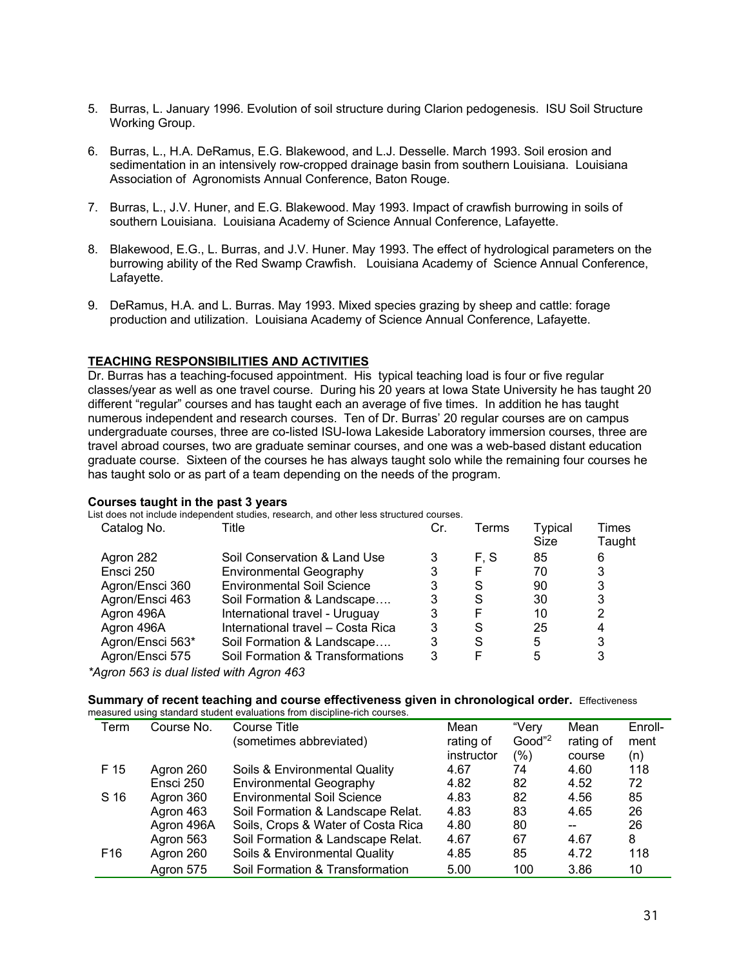- 5. Burras, L. January 1996. Evolution of soil structure during Clarion pedogenesis. ISU Soil Structure Working Group.
- 6. Burras, L., H.A. DeRamus, E.G. Blakewood, and L.J. Desselle. March 1993. Soil erosion and sedimentation in an intensively row-cropped drainage basin from southern Louisiana. Louisiana Association of Agronomists Annual Conference, Baton Rouge.
- 7. Burras, L., J.V. Huner, and E.G. Blakewood. May 1993. Impact of crawfish burrowing in soils of southern Louisiana. Louisiana Academy of Science Annual Conference, Lafayette.
- 8. Blakewood, E.G., L. Burras, and J.V. Huner. May 1993. The effect of hydrological parameters on the burrowing ability of the Red Swamp Crawfish. Louisiana Academy of Science Annual Conference, Lafayette.
- 9. DeRamus, H.A. and L. Burras. May 1993. Mixed species grazing by sheep and cattle: forage production and utilization. Louisiana Academy of Science Annual Conference, Lafayette.

# **TEACHING RESPONSIBILITIES AND ACTIVITIES**

Dr. Burras has a teaching-focused appointment. His typical teaching load is four or five regular classes/year as well as one travel course. During his 20 years at Iowa State University he has taught 20 different "regular" courses and has taught each an average of five times. In addition he has taught numerous independent and research courses. Ten of Dr. Burras' 20 regular courses are on campus undergraduate courses, three are co-listed ISU-Iowa Lakeside Laboratory immersion courses, three are travel abroad courses, two are graduate seminar courses, and one was a web-based distant education graduate course. Sixteen of the courses he has always taught solo while the remaining four courses he has taught solo or as part of a team depending on the needs of the program.

#### **Courses taught in the past 3 years**

List does not include independent studies, research, and other less structured courses.

| Catalog No.      | Title                             | Cr. | Terms | <b>Typical</b><br>Size | Times<br>Taught |
|------------------|-----------------------------------|-----|-------|------------------------|-----------------|
| Agron 282        | Soil Conservation & Land Use      |     | F. S  | 85                     | 6               |
| Ensci 250        | <b>Environmental Geography</b>    |     | F     | 70                     | 3               |
| Agron/Ensci 360  | <b>Environmental Soil Science</b> |     | S     | 90                     | 3               |
| Agron/Ensci 463  | Soil Formation & Landscape        |     | S     | 30                     | 3               |
| Agron 496A       | International travel - Uruguay    | 3   |       | 10                     | 2               |
| Agron 496A       | International travel - Costa Rica | 3   | S     | 25                     | 4               |
| Agron/Ensci 563* | Soil Formation & Landscape        | 3   | S     | 5                      | 3               |
| Agron/Ensci 575  | Soil Formation & Transformations  | 3   |       | 5                      | 3               |
|                  |                                   |     |       |                        |                 |

*\*Agron 563 is dual listed with Agron 463* 

# **Summary of recent teaching and course effectiveness given in chronological order.** Effectiveness

|                 |            | measured using standard student evaluations from discipline-rich courses. |            |                    |           |         |
|-----------------|------------|---------------------------------------------------------------------------|------------|--------------------|-----------|---------|
| Term            | Course No. | Course Title                                                              | Mean       | "Verv              | Mean      | Enroll- |
|                 |            | (sometimes abbreviated)                                                   | rating of  | Good" <sup>2</sup> | rating of | ment    |
|                 |            |                                                                           | instructor | $(\% )$            | course    | (n)     |
| F 15            | Agron 260  | Soils & Environmental Quality                                             | 4.67       | 74                 | 4.60      | 118     |
|                 | Ensci 250  | <b>Environmental Geography</b>                                            | 4.82       | 82                 | 4.52      | 72      |
| S 16            | Agron 360  | <b>Environmental Soil Science</b>                                         | 4.83       | 82                 | 4.56      | 85      |
|                 | Agron 463  | Soil Formation & Landscape Relat.                                         | 4.83       | 83                 | 4.65      | 26      |
|                 | Agron 496A | Soils, Crops & Water of Costa Rica                                        | 4.80       | 80                 | $- -$     | 26      |
|                 | Agron 563  | Soil Formation & Landscape Relat.                                         | 4.67       | 67                 | 4.67      | 8       |
| F <sub>16</sub> | Agron 260  | Soils & Environmental Quality                                             | 4.85       | 85                 | 4.72      | 118     |
|                 | Agron 575  | Soil Formation & Transformation                                           | 5.00       | 100                | 3.86      | 10      |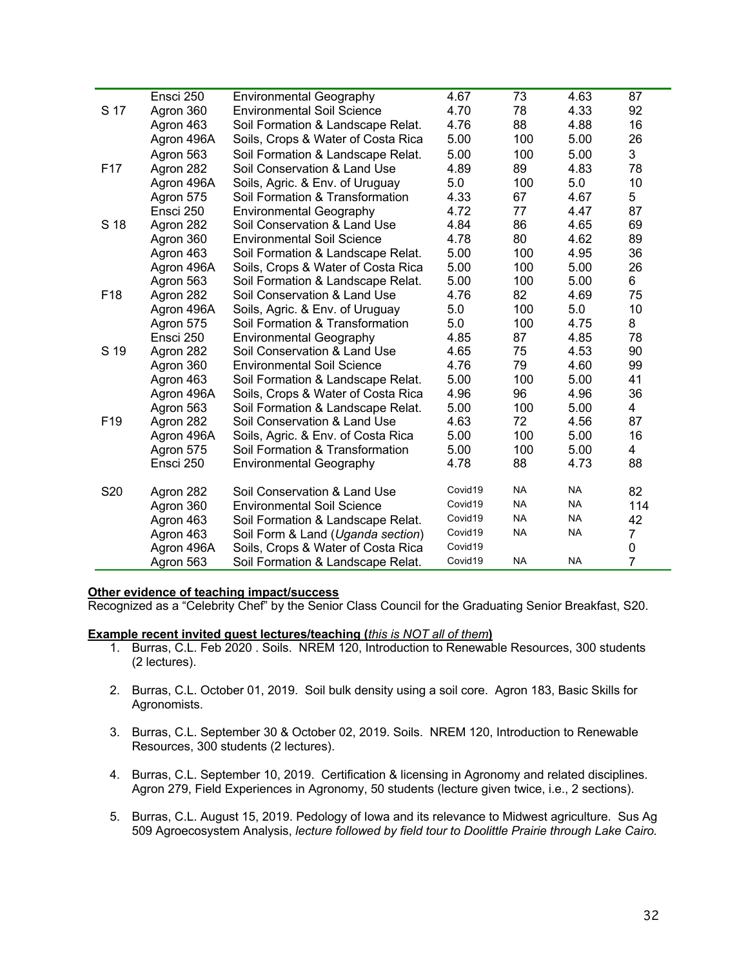|                 | Ensci 250  | <b>Environmental Geography</b>     | 4.67    | 73        | 4.63      | 87               |
|-----------------|------------|------------------------------------|---------|-----------|-----------|------------------|
| S 17            | Agron 360  | <b>Environmental Soil Science</b>  | 4.70    | 78        | 4.33      | 92               |
|                 | Agron 463  | Soil Formation & Landscape Relat.  | 4.76    | 88        | 4.88      | 16               |
|                 | Agron 496A | Soils, Crops & Water of Costa Rica | 5.00    | 100       | 5.00      | 26               |
|                 | Agron 563  | Soil Formation & Landscape Relat.  | 5.00    | 100       | 5.00      | 3                |
| F <sub>17</sub> | Agron 282  | Soil Conservation & Land Use       | 4.89    | 89        | 4.83      | 78               |
|                 | Agron 496A | Soils, Agric. & Env. of Uruguay    | 5.0     | 100       | 5.0       | 10               |
|                 | Agron 575  | Soil Formation & Transformation    | 4.33    | 67        | 4.67      | 5                |
|                 | Ensci 250  | <b>Environmental Geography</b>     | 4.72    | 77        | 4.47      | 87               |
| S 18            | Agron 282  | Soil Conservation & Land Use       | 4.84    | 86        | 4.65      | 69               |
|                 | Agron 360  | <b>Environmental Soil Science</b>  | 4.78    | 80        | 4.62      | 89               |
|                 | Agron 463  | Soil Formation & Landscape Relat.  | 5.00    | 100       | 4.95      | 36               |
|                 | Agron 496A | Soils, Crops & Water of Costa Rica | 5.00    | 100       | 5.00      | 26               |
|                 | Agron 563  | Soil Formation & Landscape Relat.  | 5.00    | 100       | 5.00      | 6                |
| F <sub>18</sub> | Agron 282  | Soil Conservation & Land Use       | 4.76    | 82        | 4.69      | 75               |
|                 | Agron 496A | Soils, Agric. & Env. of Uruguay    | 5.0     | 100       | 5.0       | 10               |
|                 | Agron 575  | Soil Formation & Transformation    | 5.0     | 100       | 4.75      | 8                |
|                 | Ensci 250  | <b>Environmental Geography</b>     | 4.85    | 87        | 4.85      | 78               |
| S 19            | Agron 282  | Soil Conservation & Land Use       | 4.65    | 75        | 4.53      | 90               |
|                 | Agron 360  | <b>Environmental Soil Science</b>  | 4.76    | 79        | 4.60      | 99               |
|                 | Agron 463  | Soil Formation & Landscape Relat.  | 5.00    | 100       | 5.00      | 41               |
|                 | Agron 496A | Soils, Crops & Water of Costa Rica | 4.96    | 96        | 4.96      | 36               |
|                 | Agron 563  | Soil Formation & Landscape Relat.  | 5.00    | 100       | 5.00      | $\overline{4}$   |
| F <sub>19</sub> | Agron 282  | Soil Conservation & Land Use       | 4.63    | 72        | 4.56      | 87               |
|                 | Agron 496A | Soils, Agric. & Env. of Costa Rica | 5.00    | 100       | 5.00      | 16               |
|                 | Agron 575  | Soil Formation & Transformation    | 5.00    | 100       | 5.00      | $\overline{4}$   |
|                 | Ensci 250  | <b>Environmental Geography</b>     | 4.78    | 88        | 4.73      | 88               |
| S20             | Agron 282  | Soil Conservation & Land Use       | Covid19 | <b>NA</b> | <b>NA</b> | 82               |
|                 | Agron 360  | <b>Environmental Soil Science</b>  | Covid19 | <b>NA</b> | <b>NA</b> | 114              |
|                 | Agron 463  | Soil Formation & Landscape Relat.  | Covid19 | <b>NA</b> | <b>NA</b> | 42               |
|                 | Agron 463  | Soil Form & Land (Uganda section)  | Covid19 | <b>NA</b> | <b>NA</b> | 7                |
|                 | Agron 496A | Soils, Crops & Water of Costa Rica | Covid19 |           |           | $\boldsymbol{0}$ |
|                 | Agron 563  | Soil Formation & Landscape Relat.  | Covid19 | <b>NA</b> | <b>NA</b> | $\overline{7}$   |

# **Other evidence of teaching impact/success**

Recognized as a "Celebrity Chef" by the Senior Class Council for the Graduating Senior Breakfast, S20.

# **Example recent invited guest lectures/teaching (***this is NOT all of them***)**

- 1. Burras, C.L. Feb 2020 . Soils. NREM 120, Introduction to Renewable Resources, 300 students (2 lectures).
- 2. Burras, C.L. October 01, 2019. Soil bulk density using a soil core. Agron 183, Basic Skills for Agronomists.
- 3. Burras, C.L. September 30 & October 02, 2019. Soils. NREM 120, Introduction to Renewable Resources, 300 students (2 lectures).
- 4. Burras, C.L. September 10, 2019. Certification & licensing in Agronomy and related disciplines. Agron 279, Field Experiences in Agronomy, 50 students (lecture given twice, i.e., 2 sections).
- 5. Burras, C.L. August 15, 2019. Pedology of Iowa and its relevance to Midwest agriculture. Sus Ag 509 Agroecosystem Analysis, *lecture followed by field tour to Doolittle Prairie through Lake Cairo.*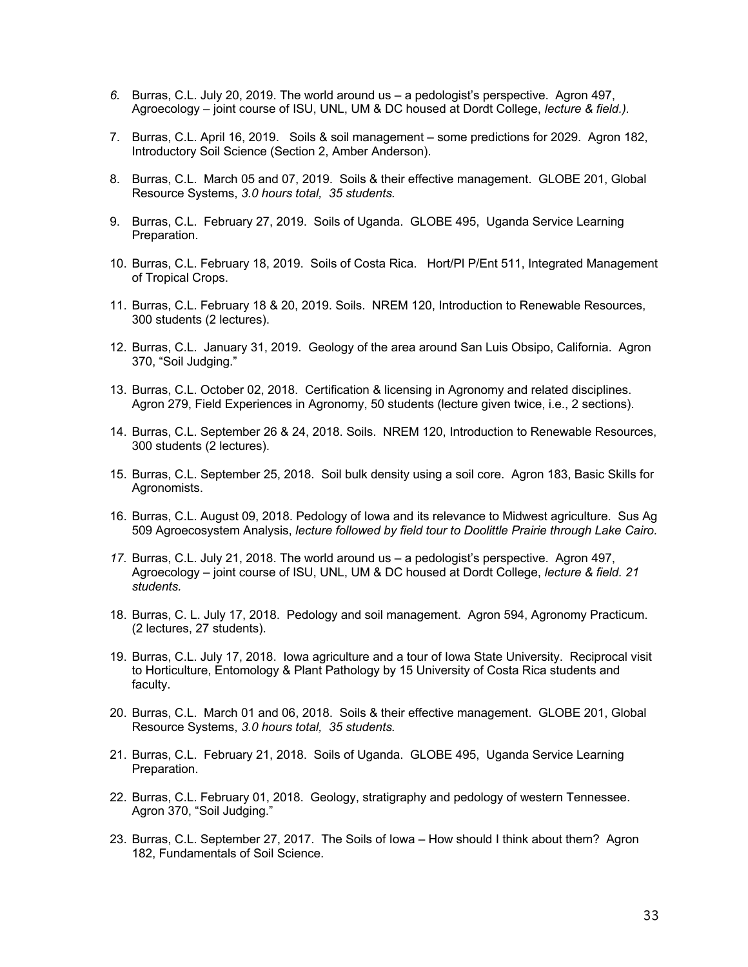- *6.* Burras, C.L. July 20, 2019. The world around us a pedologist's perspective. Agron 497, Agroecology – joint course of ISU, UNL, UM & DC housed at Dordt College, *lecture & field.).*
- 7. Burras, C.L. April 16, 2019. Soils & soil management some predictions for 2029. Agron 182, Introductory Soil Science (Section 2, Amber Anderson).
- 8. Burras, C.L. March 05 and 07, 2019. Soils & their effective management. GLOBE 201, Global Resource Systems, *3.0 hours total, 35 students.*
- 9. Burras, C.L. February 27, 2019. Soils of Uganda. GLOBE 495, Uganda Service Learning Preparation.
- 10. Burras, C.L. February 18, 2019. Soils of Costa Rica. Hort/Pl P/Ent 511, Integrated Management of Tropical Crops.
- 11. Burras, C.L. February 18 & 20, 2019. Soils. NREM 120, Introduction to Renewable Resources, 300 students (2 lectures).
- 12. Burras, C.L. January 31, 2019. Geology of the area around San Luis Obsipo, California. Agron 370, "Soil Judging."
- 13. Burras, C.L. October 02, 2018. Certification & licensing in Agronomy and related disciplines. Agron 279, Field Experiences in Agronomy, 50 students (lecture given twice, i.e., 2 sections).
- 14. Burras, C.L. September 26 & 24, 2018. Soils. NREM 120, Introduction to Renewable Resources, 300 students (2 lectures).
- 15. Burras, C.L. September 25, 2018. Soil bulk density using a soil core. Agron 183, Basic Skills for Agronomists.
- 16. Burras, C.L. August 09, 2018. Pedology of Iowa and its relevance to Midwest agriculture. Sus Ag 509 Agroecosystem Analysis, *lecture followed by field tour to Doolittle Prairie through Lake Cairo.*
- *17.* Burras, C.L. July 21, 2018. The world around us a pedologist's perspective. Agron 497, Agroecology – joint course of ISU, UNL, UM & DC housed at Dordt College, *lecture & field. 21 students.*
- 18. Burras, C. L. July 17, 2018. Pedology and soil management. Agron 594, Agronomy Practicum. (2 lectures, 27 students).
- 19. Burras, C.L. July 17, 2018. Iowa agriculture and a tour of Iowa State University. Reciprocal visit to Horticulture, Entomology & Plant Pathology by 15 University of Costa Rica students and faculty.
- 20. Burras, C.L. March 01 and 06, 2018. Soils & their effective management. GLOBE 201, Global Resource Systems, *3.0 hours total, 35 students.*
- 21. Burras, C.L. February 21, 2018. Soils of Uganda. GLOBE 495, Uganda Service Learning Preparation.
- 22. Burras, C.L. February 01, 2018. Geology, stratigraphy and pedology of western Tennessee. Agron 370, "Soil Judging."
- 23. Burras, C.L. September 27, 2017. The Soils of Iowa How should I think about them? Agron 182, Fundamentals of Soil Science.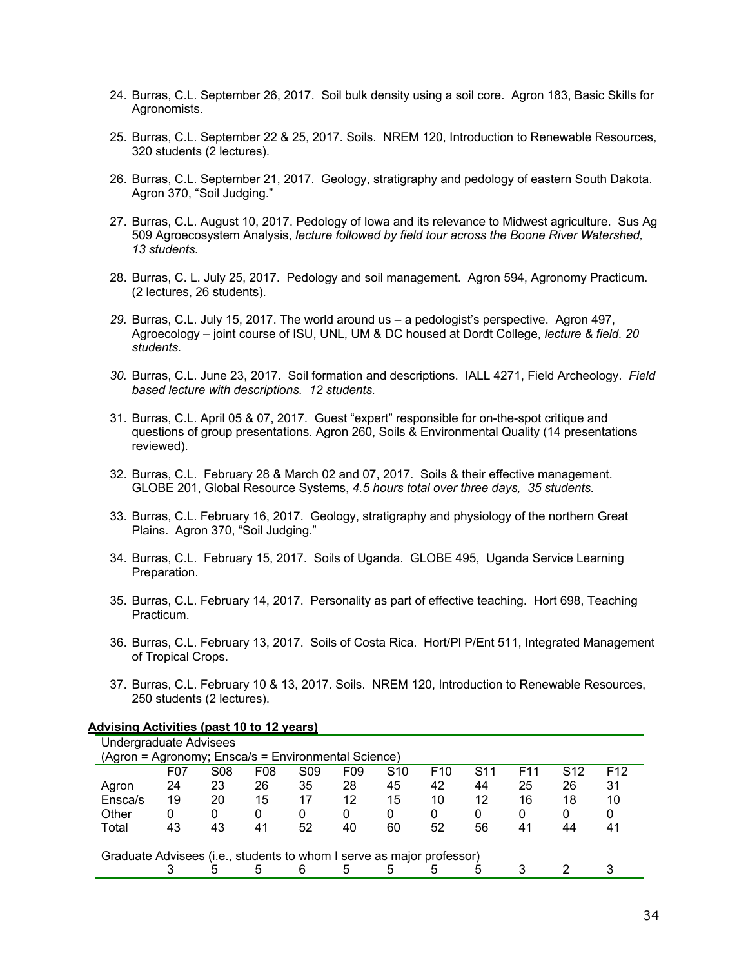- 24. Burras, C.L. September 26, 2017. Soil bulk density using a soil core. Agron 183, Basic Skills for Agronomists.
- 25. Burras, C.L. September 22 & 25, 2017. Soils. NREM 120, Introduction to Renewable Resources, 320 students (2 lectures).
- 26. Burras, C.L. September 21, 2017. Geology, stratigraphy and pedology of eastern South Dakota. Agron 370, "Soil Judging."
- 27. Burras, C.L. August 10, 2017. Pedology of Iowa and its relevance to Midwest agriculture. Sus Ag 509 Agroecosystem Analysis, *lecture followed by field tour across the Boone River Watershed, 13 students.*
- 28. Burras, C. L. July 25, 2017. Pedology and soil management. Agron 594, Agronomy Practicum. (2 lectures, 26 students).
- *29.* Burras, C.L. July 15, 2017. The world around us a pedologist's perspective. Agron 497, Agroecology – joint course of ISU, UNL, UM & DC housed at Dordt College, *lecture & field. 20 students.*
- *30.* Burras, C.L. June 23, 2017. Soil formation and descriptions. IALL 4271, Field Archeology. *Field based lecture with descriptions. 12 students.*
- 31. Burras, C.L. April 05 & 07, 2017. Guest "expert" responsible for on-the-spot critique and questions of group presentations. Agron 260, Soils & Environmental Quality (14 presentations reviewed).
- 32. Burras, C.L. February 28 & March 02 and 07, 2017. Soils & their effective management. GLOBE 201, Global Resource Systems, *4.5 hours total over three days, 35 students.*
- 33. Burras, C.L. February 16, 2017. Geology, stratigraphy and physiology of the northern Great Plains. Agron 370, "Soil Judging."
- 34. Burras, C.L. February 15, 2017. Soils of Uganda. GLOBE 495, Uganda Service Learning Preparation.
- 35. Burras, C.L. February 14, 2017. Personality as part of effective teaching. Hort 698, Teaching Practicum.
- 36. Burras, C.L. February 13, 2017. Soils of Costa Rica. Hort/Pl P/Ent 511, Integrated Management of Tropical Crops.
- 37. Burras, C.L. February 10 & 13, 2017. Soils. NREM 120, Introduction to Renewable Resources, 250 students (2 lectures).

#### **Advising Activities (past 10 to 12 years)**

| Undergraduate Advisees                                                |     |                 |                 |                 |                 |                 |                 |                 |                 |                 |                 |
|-----------------------------------------------------------------------|-----|-----------------|-----------------|-----------------|-----------------|-----------------|-----------------|-----------------|-----------------|-----------------|-----------------|
| (Agron = Agronomy; Ensca/s = Environmental Science)                   |     |                 |                 |                 |                 |                 |                 |                 |                 |                 |                 |
|                                                                       | F07 | S <sub>08</sub> | F <sub>08</sub> | S <sub>09</sub> | F <sub>09</sub> | S <sub>10</sub> | F <sub>10</sub> | S <sub>11</sub> | F <sub>11</sub> | S <sub>12</sub> | F <sub>12</sub> |
| Agron                                                                 | 24  | 23              | 26              | 35              | 28              | 45              | 42              | 44              | 25              | 26              | 31              |
| Ensca/s                                                               | 19  | 20              | 15              | 17              | 12              | 15              | 10              | 12              | 16              | 18              | 10              |
| Other                                                                 | 0   | 0               | 0               | 0               | 0               | 0               | 0               | 0               | 0               | 0               | 0               |
| Total                                                                 | 43  | 43              | 41              | 52              | 40              | 60              | 52              | 56              | 41              | 44              | 41              |
|                                                                       |     |                 |                 |                 |                 |                 |                 |                 |                 |                 |                 |
| Graduate Advisees (i.e., students to whom I serve as major professor) |     |                 |                 |                 |                 |                 |                 |                 |                 |                 |                 |
|                                                                       |     | 5               | 5               | 6               | 5               | 5               | 5               | 5               |                 |                 |                 |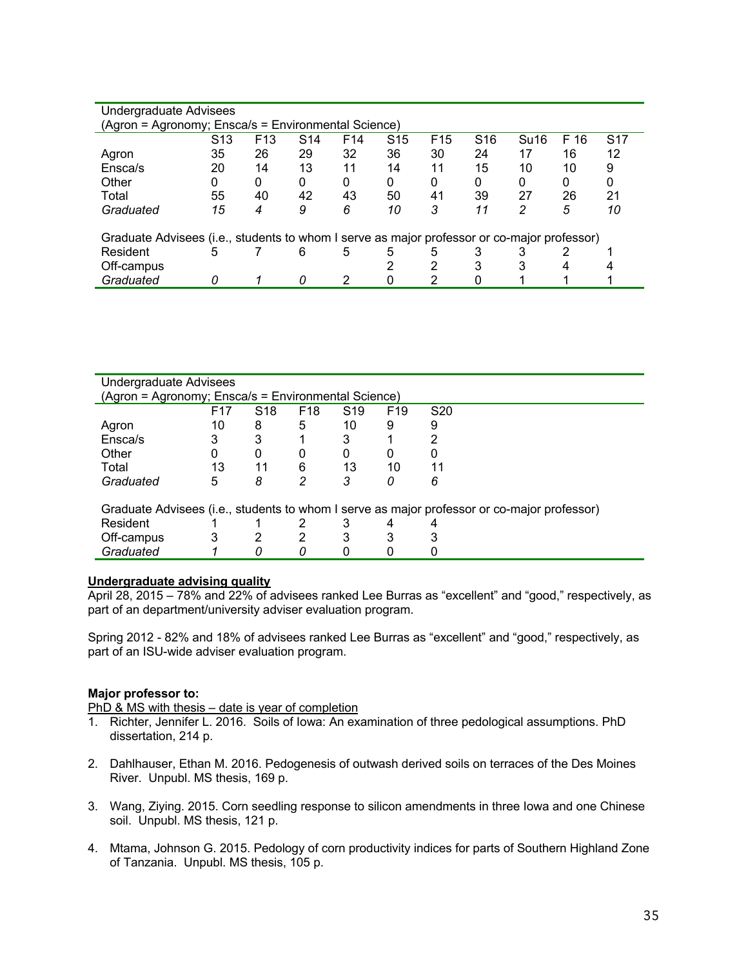| Undergraduate Advisees                                                                      |                 |                 |                 |                 |                 |                 |                 |                  |      |            |
|---------------------------------------------------------------------------------------------|-----------------|-----------------|-----------------|-----------------|-----------------|-----------------|-----------------|------------------|------|------------|
| (Agron = Agronomy; Ensca/s = Environmental Science)                                         |                 |                 |                 |                 |                 |                 |                 |                  |      |            |
|                                                                                             | S <sub>13</sub> | F <sub>13</sub> | S <sub>14</sub> | F <sub>14</sub> | S <sub>15</sub> | F <sub>15</sub> | S <sub>16</sub> | Su <sub>16</sub> | F 16 | <b>S17</b> |
| Agron                                                                                       | 35              | 26              | 29              | 32              | 36              | 30              | 24              | 17               | 16   | 12         |
| Ensca/s                                                                                     | 20              | 14              | 13              | 11              | 14              | 11              | 15              | 10               | 10   | 9          |
| Other                                                                                       |                 | 0               | $\Omega$        | $\Omega$        | 0               |                 | 0               | 0                | 0    | 0          |
| Total                                                                                       | 55              | 40              | 42              | 43              | 50              | 41              | 39              | 27               | 26   | 21         |
| Graduated                                                                                   | 15              | 4               | 9               | 6               | 10              | 3               | 11              | 2                | 5    | 10         |
|                                                                                             |                 |                 |                 |                 |                 |                 |                 |                  |      |            |
| Graduate Advisees (i.e., students to whom I serve as major professor or co-major professor) |                 |                 |                 |                 |                 |                 |                 |                  |      |            |
| Resident                                                                                    | 5               |                 | 6               | 5               | 5               | 5               |                 |                  |      |            |
| Off-campus                                                                                  |                 |                 |                 |                 |                 |                 |                 |                  |      |            |
| Graduated                                                                                   |                 |                 |                 |                 |                 |                 |                 |                  |      |            |

| Undergraduate Advisees                              |                 |                 |                 |                 |                 |                                                                                             |  |  |  |
|-----------------------------------------------------|-----------------|-----------------|-----------------|-----------------|-----------------|---------------------------------------------------------------------------------------------|--|--|--|
| (Agron = Agronomy; Ensca/s = Environmental Science) |                 |                 |                 |                 |                 |                                                                                             |  |  |  |
|                                                     | F <sub>17</sub> | S <sub>18</sub> | F <sub>18</sub> | S <sub>19</sub> | F <sub>19</sub> | S <sub>20</sub>                                                                             |  |  |  |
| Agron                                               | 10              | 8               | 5               | 10              | 9               | 9                                                                                           |  |  |  |
| Ensca/s                                             | 3               | 3               |                 | 3               |                 | າ                                                                                           |  |  |  |
| Other                                               | 0               | 0               |                 | 0               | 0               |                                                                                             |  |  |  |
| Total                                               | 13              | 11              | 6               | 13              | 10              | 11                                                                                          |  |  |  |
| Graduated                                           | 5               | 8               | 2               | 3               | 0               | 6                                                                                           |  |  |  |
|                                                     |                 |                 |                 |                 |                 |                                                                                             |  |  |  |
|                                                     |                 |                 |                 |                 |                 | Graduate Advisees (i.e., students to whom I serve as major professor or co-major professor) |  |  |  |
| Resident                                            |                 |                 |                 | 3               |                 |                                                                                             |  |  |  |
| Off-campus                                          |                 | 2               |                 | 3               |                 |                                                                                             |  |  |  |
| Graduated                                           |                 |                 |                 |                 |                 |                                                                                             |  |  |  |
|                                                     |                 |                 |                 |                 |                 |                                                                                             |  |  |  |

# **Undergraduate advising quality**

April 28, 2015 – 78% and 22% of advisees ranked Lee Burras as "excellent" and "good," respectively, as part of an department/university adviser evaluation program.

Spring 2012 - 82% and 18% of advisees ranked Lee Burras as "excellent" and "good," respectively, as part of an ISU-wide adviser evaluation program.

# **Major professor to:**

PhD & MS with thesis – date is year of completion

- 1. Richter, Jennifer L. 2016. Soils of Iowa: An examination of three pedological assumptions. PhD dissertation, 214 p.
- 2. Dahlhauser, Ethan M. 2016. Pedogenesis of outwash derived soils on terraces of the Des Moines River. Unpubl. MS thesis, 169 p.
- 3. Wang, Ziying. 2015. Corn seedling response to silicon amendments in three Iowa and one Chinese soil. Unpubl. MS thesis, 121 p.
- 4. Mtama, Johnson G. 2015. Pedology of corn productivity indices for parts of Southern Highland Zone of Tanzania. Unpubl. MS thesis, 105 p.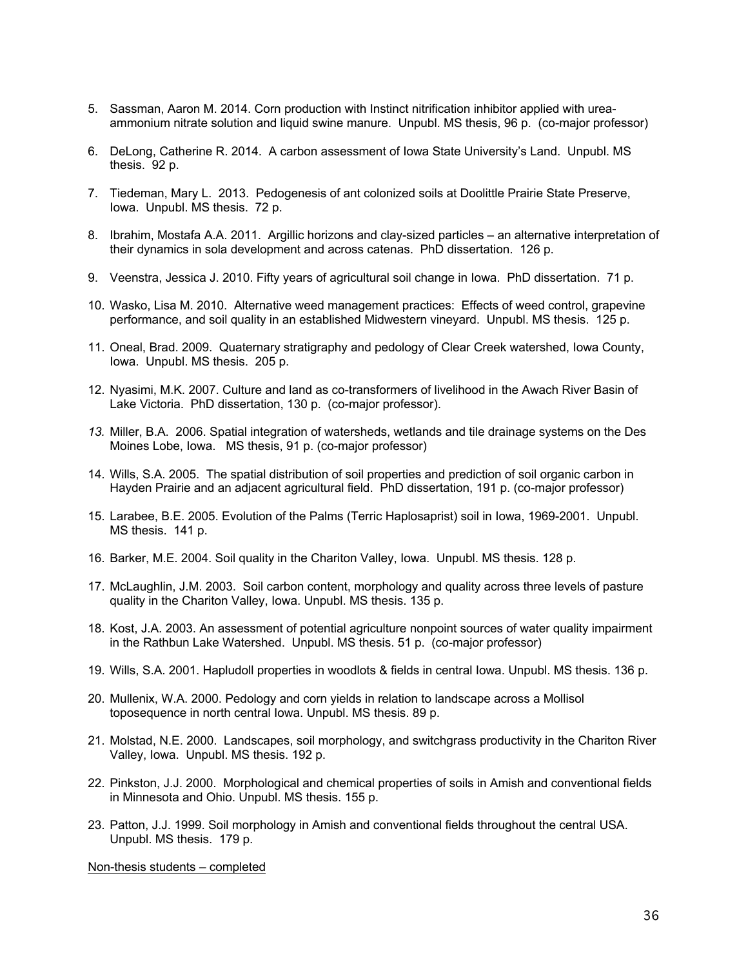- 5. Sassman, Aaron M. 2014. Corn production with Instinct nitrification inhibitor applied with ureaammonium nitrate solution and liquid swine manure. Unpubl. MS thesis, 96 p. (co-major professor)
- 6. DeLong, Catherine R. 2014. A carbon assessment of Iowa State University's Land. Unpubl. MS thesis. 92 p.
- 7. Tiedeman, Mary L. 2013. Pedogenesis of ant colonized soils at Doolittle Prairie State Preserve, Iowa. Unpubl. MS thesis. 72 p.
- 8. Ibrahim, Mostafa A.A. 2011. Argillic horizons and clay-sized particles an alternative interpretation of their dynamics in sola development and across catenas. PhD dissertation. 126 p.
- 9. Veenstra, Jessica J. 2010. Fifty years of agricultural soil change in Iowa. PhD dissertation. 71 p.
- 10. Wasko, Lisa M. 2010. Alternative weed management practices: Effects of weed control, grapevine performance, and soil quality in an established Midwestern vineyard. Unpubl. MS thesis. 125 p.
- 11. Oneal, Brad. 2009. Quaternary stratigraphy and pedology of Clear Creek watershed, Iowa County, Iowa. Unpubl. MS thesis. 205 p.
- 12. Nyasimi, M.K. 2007. Culture and land as co-transformers of livelihood in the Awach River Basin of Lake Victoria. PhD dissertation, 130 p. (co-major professor).
- *13.* Miller, B.A. 2006. Spatial integration of watersheds, wetlands and tile drainage systems on the Des Moines Lobe, Iowa. MS thesis, 91 p. (co-major professor)
- 14. Wills, S.A. 2005. The spatial distribution of soil properties and prediction of soil organic carbon in Hayden Prairie and an adjacent agricultural field. PhD dissertation, 191 p. (co-major professor)
- 15. Larabee, B.E. 2005. Evolution of the Palms (Terric Haplosaprist) soil in Iowa, 1969-2001. Unpubl. MS thesis. 141 p.
- 16. Barker, M.E. 2004. Soil quality in the Chariton Valley, Iowa. Unpubl. MS thesis. 128 p.
- 17. McLaughlin, J.M. 2003. Soil carbon content, morphology and quality across three levels of pasture quality in the Chariton Valley, Iowa. Unpubl. MS thesis. 135 p.
- 18. Kost, J.A. 2003. An assessment of potential agriculture nonpoint sources of water quality impairment in the Rathbun Lake Watershed. Unpubl. MS thesis. 51 p. (co-major professor)
- 19. Wills, S.A. 2001. Hapludoll properties in woodlots & fields in central Iowa. Unpubl. MS thesis. 136 p.
- 20. Mullenix, W.A. 2000. Pedology and corn yields in relation to landscape across a Mollisol toposequence in north central Iowa. Unpubl. MS thesis. 89 p.
- 21. Molstad, N.E. 2000. Landscapes, soil morphology, and switchgrass productivity in the Chariton River Valley, Iowa. Unpubl. MS thesis. 192 p.
- 22. Pinkston, J.J. 2000. Morphological and chemical properties of soils in Amish and conventional fields in Minnesota and Ohio. Unpubl. MS thesis. 155 p.
- 23. Patton, J.J. 1999. Soil morphology in Amish and conventional fields throughout the central USA. Unpubl. MS thesis. 179 p.

Non-thesis students – completed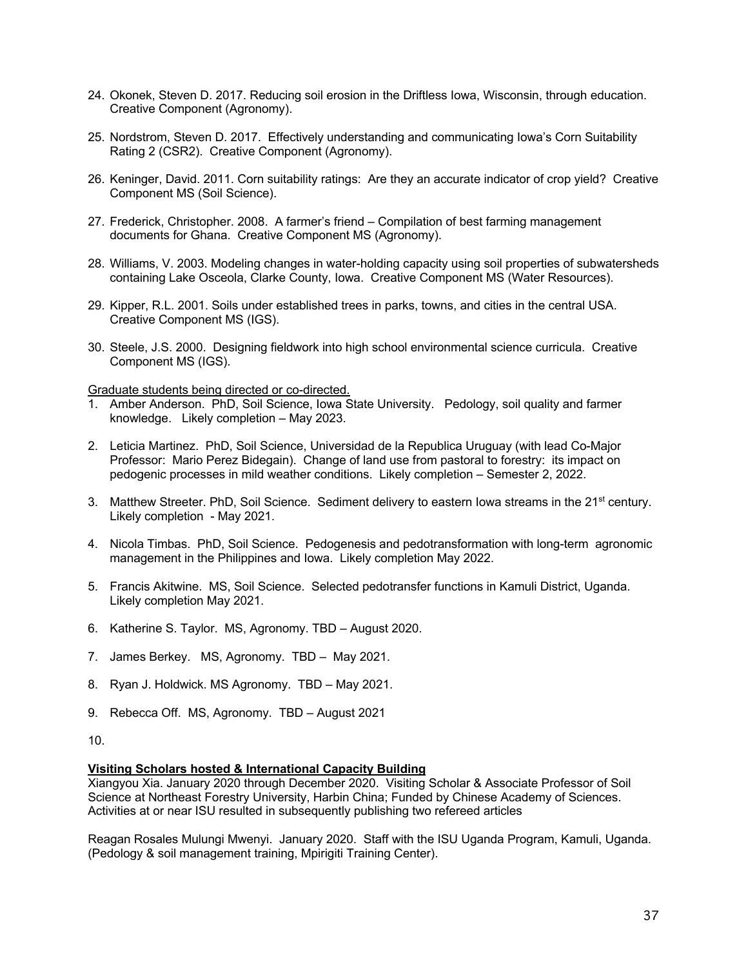- 24. Okonek, Steven D. 2017. Reducing soil erosion in the Driftless Iowa, Wisconsin, through education. Creative Component (Agronomy).
- 25. Nordstrom, Steven D. 2017. Effectively understanding and communicating Iowa's Corn Suitability Rating 2 (CSR2). Creative Component (Agronomy).
- 26. Keninger, David. 2011. Corn suitability ratings: Are they an accurate indicator of crop yield? Creative Component MS (Soil Science).
- 27. Frederick, Christopher. 2008. A farmer's friend Compilation of best farming management documents for Ghana. Creative Component MS (Agronomy).
- 28. Williams, V. 2003. Modeling changes in water-holding capacity using soil properties of subwatersheds containing Lake Osceola, Clarke County, Iowa. Creative Component MS (Water Resources).
- 29. Kipper, R.L. 2001. Soils under established trees in parks, towns, and cities in the central USA. Creative Component MS (IGS).
- 30. Steele, J.S. 2000. Designing fieldwork into high school environmental science curricula. Creative Component MS (IGS).

Graduate students being directed or co-directed.

- 1. Amber Anderson. PhD, Soil Science, Iowa State University. Pedology, soil quality and farmer knowledge. Likely completion – May 2023.
- 2. Leticia Martinez. PhD, Soil Science, Universidad de la Republica Uruguay (with lead Co-Major Professor: Mario Perez Bidegain). Change of land use from pastoral to forestry: its impact on pedogenic processes in mild weather conditions. Likely completion – Semester 2, 2022.
- 3. Matthew Streeter. PhD, Soil Science. Sediment delivery to eastern lowa streams in the 21<sup>st</sup> century. Likely completion - May 2021.
- 4. Nicola Timbas. PhD, Soil Science. Pedogenesis and pedotransformation with long-term agronomic management in the Philippines and Iowa. Likely completion May 2022.
- 5. Francis Akitwine. MS, Soil Science. Selected pedotransfer functions in Kamuli District, Uganda. Likely completion May 2021.
- 6. Katherine S. Taylor. MS, Agronomy. TBD August 2020.
- 7. James Berkey. MS, Agronomy. TBD May 2021.
- 8. Ryan J. Holdwick. MS Agronomy. TBD May 2021.
- 9. Rebecca Off. MS, Agronomy. TBD August 2021

10.

# **Visiting Scholars hosted & International Capacity Building**

Xiangyou Xia. January 2020 through December 2020. Visiting Scholar & Associate Professor of Soil Science at Northeast Forestry University, Harbin China; Funded by Chinese Academy of Sciences. Activities at or near ISU resulted in subsequently publishing two refereed articles

Reagan Rosales Mulungi Mwenyi. January 2020. Staff with the ISU Uganda Program, Kamuli, Uganda. (Pedology & soil management training, Mpirigiti Training Center).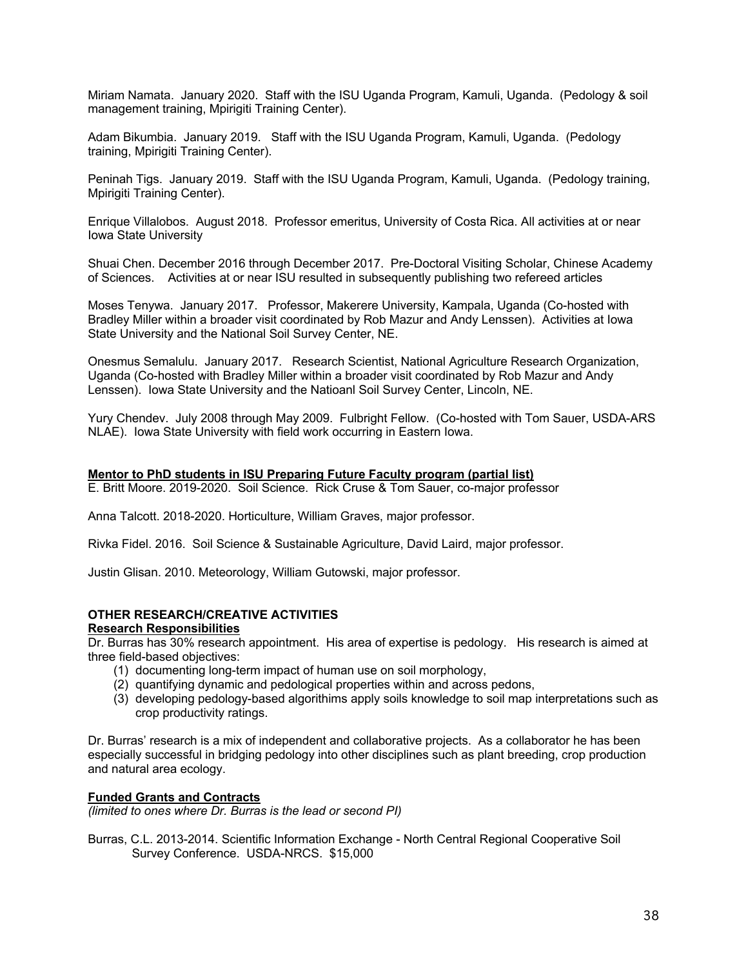Miriam Namata. January 2020. Staff with the ISU Uganda Program, Kamuli, Uganda. (Pedology & soil management training, Mpirigiti Training Center).

Adam Bikumbia. January 2019. Staff with the ISU Uganda Program, Kamuli, Uganda. (Pedology training, Mpirigiti Training Center).

Peninah Tigs. January 2019. Staff with the ISU Uganda Program, Kamuli, Uganda. (Pedology training, Mpirigiti Training Center).

Enrique Villalobos. August 2018. Professor emeritus, University of Costa Rica. All activities at or near Iowa State University

Shuai Chen. December 2016 through December 2017. Pre-Doctoral Visiting Scholar, Chinese Academy of Sciences. Activities at or near ISU resulted in subsequently publishing two refereed articles

Moses Tenywa. January 2017. Professor, Makerere University, Kampala, Uganda (Co-hosted with Bradley Miller within a broader visit coordinated by Rob Mazur and Andy Lenssen). Activities at Iowa State University and the National Soil Survey Center, NE.

Onesmus Semalulu. January 2017. Research Scientist, National Agriculture Research Organization, Uganda (Co-hosted with Bradley Miller within a broader visit coordinated by Rob Mazur and Andy Lenssen). Iowa State University and the Natioanl Soil Survey Center, Lincoln, NE.

Yury Chendev. July 2008 through May 2009. Fulbright Fellow. (Co-hosted with Tom Sauer, USDA-ARS NLAE). Iowa State University with field work occurring in Eastern Iowa.

#### **Mentor to PhD students in ISU Preparing Future Faculty program (partial list)**

E. Britt Moore. 2019-2020. Soil Science. Rick Cruse & Tom Sauer, co-major professor

Anna Talcott. 2018-2020. Horticulture, William Graves, major professor.

Rivka Fidel. 2016. Soil Science & Sustainable Agriculture, David Laird, major professor.

Justin Glisan. 2010. Meteorology, William Gutowski, major professor.

# **OTHER RESEARCH/CREATIVE ACTIVITIES**

#### **Research Responsibilities**

Dr. Burras has 30% research appointment. His area of expertise is pedology. His research is aimed at three field-based objectives:

- (1) documenting long-term impact of human use on soil morphology,
- (2) quantifying dynamic and pedological properties within and across pedons,
- (3) developing pedology-based algorithims apply soils knowledge to soil map interpretations such as crop productivity ratings.

Dr. Burras' research is a mix of independent and collaborative projects. As a collaborator he has been especially successful in bridging pedology into other disciplines such as plant breeding, crop production and natural area ecology.

# **Funded Grants and Contracts**

*(limited to ones where Dr. Burras is the lead or second PI)*

Burras, C.L. 2013-2014. Scientific Information Exchange - North Central Regional Cooperative Soil Survey Conference. USDA-NRCS. \$15,000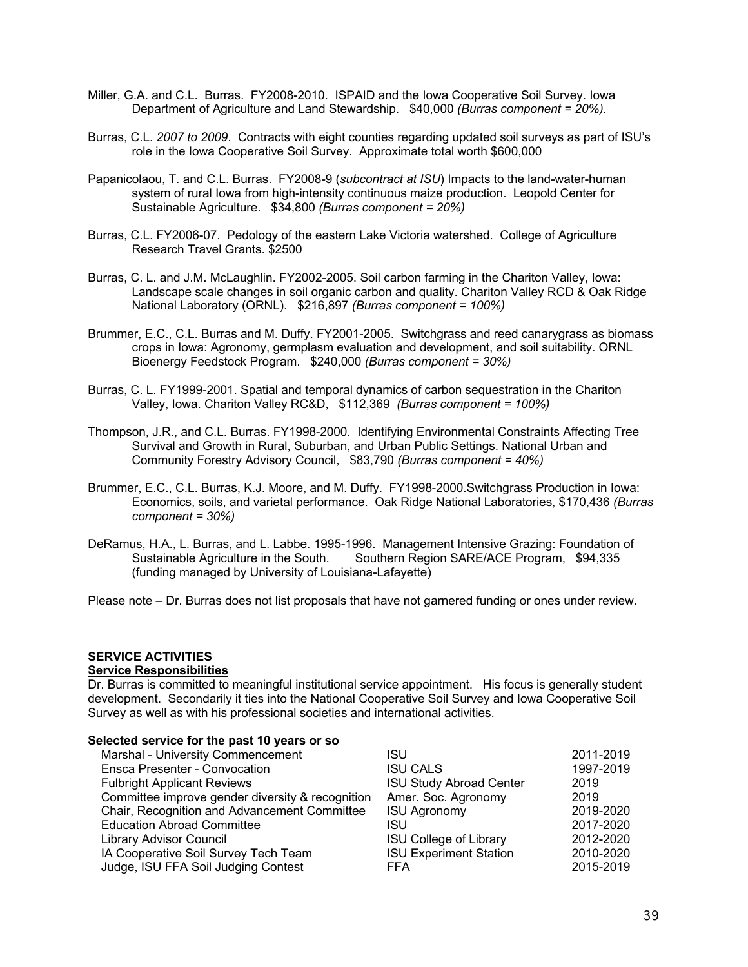- Miller, G.A. and C.L. Burras. FY2008-2010. ISPAID and the Iowa Cooperative Soil Survey. Iowa Department of Agriculture and Land Stewardship. \$40,000 *(Burras component = 20%).*
- Burras, C.L. *2007 to 2009*. Contracts with eight counties regarding updated soil surveys as part of ISU's role in the Iowa Cooperative Soil Survey. Approximate total worth \$600,000
- Papanicolaou, T. and C.L. Burras. FY2008-9 (*subcontract at ISU*) Impacts to the land-water-human system of rural Iowa from high-intensity continuous maize production. Leopold Center for Sustainable Agriculture. \$34,800 *(Burras component = 20%)*
- Burras, C.L. FY2006-07. Pedology of the eastern Lake Victoria watershed. College of Agriculture Research Travel Grants. \$2500
- Burras, C. L. and J.M. McLaughlin. FY2002-2005. Soil carbon farming in the Chariton Valley, Iowa: Landscape scale changes in soil organic carbon and quality. Chariton Valley RCD & Oak Ridge National Laboratory (ORNL). \$216,897 *(Burras component = 100%)*
- Brummer, E.C., C.L. Burras and M. Duffy. FY2001-2005. Switchgrass and reed canarygrass as biomass crops in Iowa: Agronomy, germplasm evaluation and development, and soil suitability. ORNL Bioenergy Feedstock Program. \$240,000 *(Burras component = 30%)*
- Burras, C. L. FY1999-2001. Spatial and temporal dynamics of carbon sequestration in the Chariton Valley, Iowa. Chariton Valley RC&D, \$112,369 *(Burras component = 100%)*
- Thompson, J.R., and C.L. Burras. FY1998-2000. Identifying Environmental Constraints Affecting Tree Survival and Growth in Rural, Suburban, and Urban Public Settings. National Urban and Community Forestry Advisory Council, \$83,790 *(Burras component = 40%)*
- Brummer, E.C., C.L. Burras, K.J. Moore, and M. Duffy. FY1998-2000.Switchgrass Production in Iowa: Economics, soils, and varietal performance. Oak Ridge National Laboratories, \$170,436 *(Burras component = 30%)*
- DeRamus, H.A., L. Burras, and L. Labbe. 1995-1996. Management Intensive Grazing: Foundation of Sustainable Agriculture in the South. Southern Region SARE/ACE Program, \$94,335 (funding managed by University of Louisiana-Lafayette)
- Please note Dr. Burras does not list proposals that have not garnered funding or ones under review.

# **SERVICE ACTIVITIES**

# **Service Responsibilities**

Dr. Burras is committed to meaningful institutional service appointment. His focus is generally student development. Secondarily it ties into the National Cooperative Soil Survey and Iowa Cooperative Soil Survey as well as with his professional societies and international activities.

# **Selected service for the past 10 years or so**

| ISU                            | 2011-2019 |
|--------------------------------|-----------|
| <b>ISU CALS</b>                | 1997-2019 |
| <b>ISU Study Abroad Center</b> | 2019      |
| Amer. Soc. Agronomy            | 2019      |
| <b>ISU Agronomy</b>            | 2019-2020 |
| ISU                            | 2017-2020 |
| <b>ISU College of Library</b>  | 2012-2020 |
| <b>ISU Experiment Station</b>  | 2010-2020 |
| FFA                            | 2015-2019 |
|                                |           |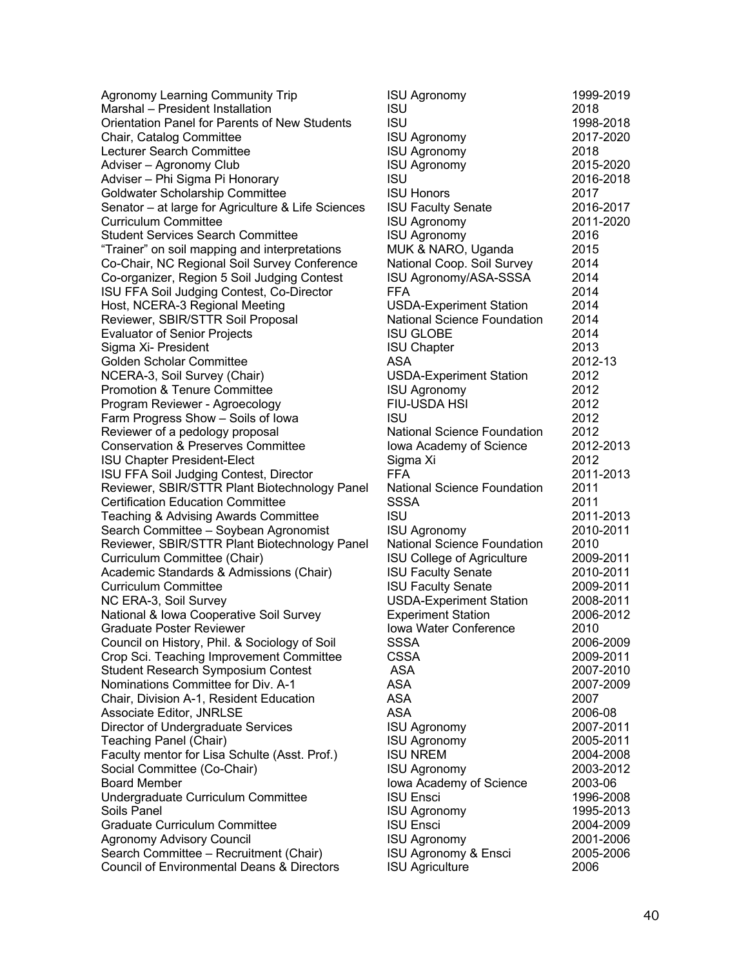Agronomy Learning Community Trip  $MarshaI - President Instantization$ Orientation Panel for Parents of New Students Chair, Catalog Committee Lecturer Search Committee Adviser – Agronomy Club Adviser – Phi Sigma Pi Honorary Goldwater Scholarship Committee Senator – at large for Agriculture & Life Sciences Curriculum Committee Student Services Search Committee "Trainer" on soil mapping and interpretations Co-Chair, NC Regional Soil Survey Conference Co-organizer, Region 5 Soil Judging Contest ISU FFA Soil Judging Contest, Co-Director Host, NCERA-3 Regional Meeting Reviewer, SBIR/STTR Soil Proposal Evaluator of Senior Projects Sigma Xi- President Golden Scholar Committee NCERA-3, Soil Survey (Chair) Promotion & Tenure Committee Program Reviewer - Agroecology Farm Progress Show - Soils of Iowa Reviewer of a pedology proposal Conservation & Preserves Committee **ISU Chapter President-Elect** ISU FFA Soil Judging Contest, Director Reviewer, SBIR/STTR Plant Biotechnology Panel Certification Education Committee Teaching & Advising Awards Committee Search Committee – Soybean Agronomist Reviewer, SBIR/STTR Plant Biotechnology Panel Curriculum Committee (Chair) Academic Standards & Admissions (Chair) Curriculum Committee NC ERA-3, Soil Survey National & Iowa Cooperative Soil Survey Graduate Poster Reviewer Council on History, Phil. & Sociology of Soil Crop Sci. Teaching Improvement Committee Student Research Symposium Contest Nominations Committee for Div. A-1 Chair, Division A-1, Resident Education Associate Editor, JNRLSE Director of Undergraduate Services Teaching Panel (Chair) Faculty mentor for Lisa Schulte (Asst. Prof.) Social Committee (Co-Chair) Board Member Undergraduate Curriculum Committee Soils Panel ISU Agronomy 1995-2013 Graduate Curriculum Committee Agronomy Advisory Council Search Committee – Recruitment (Chair) Council of Environmental Deans & Directors

| <b>ISU</b><br>2018<br>1998-2018<br>2017-2020<br><b>ISU Agronomy</b><br><b>ISU Agronomy</b><br>2018<br>2015-2020<br><b>ISU Agronomy</b><br><b>ISU</b><br>2016-2018<br><b>ISU Honors</b><br>2017<br><b>ISU Faculty Senate</b><br>2016-2017<br><b>ISU Agronomy</b><br>2011-2020<br><b>ISU Agronomy</b><br>2016<br>MUK & NARO, Uganda<br>2015<br>National Coop. Soil Survey<br>2014<br>ISU Agronomy/ASA-SSSA<br>2014<br><b>FFA</b><br>2014<br><b>USDA-Experiment Station</b><br>2014<br><b>National Science Foundation</b><br>2014<br><b>ISU GLOBE</b><br>2014<br><b>ISU Chapter</b><br>2013<br><b>ASA</b><br>2012-13<br><b>USDA-Experiment Station</b><br>2012<br><b>ISU Agronomy</b><br>2012<br><b>FIU-USDA HSI</b><br>2012<br><b>ISU</b><br>2012<br><b>National Science Foundation</b><br>2012<br>2012-2013<br>lowa Academy of Science<br>2012<br>Sigma Xi<br><b>FFA</b><br>2011-2013<br><b>National Science Foundation</b><br>2011<br><b>SSSA</b><br>2011<br><b>ISU</b><br>2011-2013<br>2010-2011<br><b>ISU Agronomy</b><br><b>National Science Foundation</b><br>2010<br><b>ISU College of Agriculture</b><br>2009-2011<br><b>ISU Faculty Senate</b><br>2010-2011<br><b>ISU Faculty Senate</b><br>2009-2011<br><b>USDA-Experiment Station</b><br>2008-2011<br><b>Experiment Station</b><br>2006-2012<br>Iowa Water Conference<br>2010<br>2006-2009<br><b>SSSA</b><br><b>CSSA</b><br>2009-2011<br>2007-2010<br><b>ASA</b><br><b>ASA</b><br>2007-2009<br><b>ASA</b><br>2007<br><b>ASA</b><br>2006-08<br><b>ISU Agronomy</b><br>2007-2011<br><b>ISU Agronomy</b><br>2005-2011<br><b>ISU NREM</b><br>2004-2008<br><b>ISU Agronomy</b><br>2003-2012<br>lowa Academy of Science<br>2003-06<br><b>ISU Ensci</b><br>1996-2008<br>1995-2013<br><b>ISU Agronomy</b><br><b>ISU Ensci</b><br>2004-2009<br><b>ISU Agronomy</b><br>2001-2006<br>ISU Agronomy & Ensci<br>2005-2006<br><b>ISU Agriculture</b><br>2006 | <b>ISU Agronomy</b> | 1999-2019 |
|--------------------------------------------------------------------------------------------------------------------------------------------------------------------------------------------------------------------------------------------------------------------------------------------------------------------------------------------------------------------------------------------------------------------------------------------------------------------------------------------------------------------------------------------------------------------------------------------------------------------------------------------------------------------------------------------------------------------------------------------------------------------------------------------------------------------------------------------------------------------------------------------------------------------------------------------------------------------------------------------------------------------------------------------------------------------------------------------------------------------------------------------------------------------------------------------------------------------------------------------------------------------------------------------------------------------------------------------------------------------------------------------------------------------------------------------------------------------------------------------------------------------------------------------------------------------------------------------------------------------------------------------------------------------------------------------------------------------------------------------------------------------------------------------------------------------------------------------------------------------------------------------------------|---------------------|-----------|
|                                                                                                                                                                                                                                                                                                                                                                                                                                                                                                                                                                                                                                                                                                                                                                                                                                                                                                                                                                                                                                                                                                                                                                                                                                                                                                                                                                                                                                                                                                                                                                                                                                                                                                                                                                                                                                                                                                        |                     |           |
|                                                                                                                                                                                                                                                                                                                                                                                                                                                                                                                                                                                                                                                                                                                                                                                                                                                                                                                                                                                                                                                                                                                                                                                                                                                                                                                                                                                                                                                                                                                                                                                                                                                                                                                                                                                                                                                                                                        | <b>ISU</b>          |           |
|                                                                                                                                                                                                                                                                                                                                                                                                                                                                                                                                                                                                                                                                                                                                                                                                                                                                                                                                                                                                                                                                                                                                                                                                                                                                                                                                                                                                                                                                                                                                                                                                                                                                                                                                                                                                                                                                                                        |                     |           |
|                                                                                                                                                                                                                                                                                                                                                                                                                                                                                                                                                                                                                                                                                                                                                                                                                                                                                                                                                                                                                                                                                                                                                                                                                                                                                                                                                                                                                                                                                                                                                                                                                                                                                                                                                                                                                                                                                                        |                     |           |
|                                                                                                                                                                                                                                                                                                                                                                                                                                                                                                                                                                                                                                                                                                                                                                                                                                                                                                                                                                                                                                                                                                                                                                                                                                                                                                                                                                                                                                                                                                                                                                                                                                                                                                                                                                                                                                                                                                        |                     |           |
|                                                                                                                                                                                                                                                                                                                                                                                                                                                                                                                                                                                                                                                                                                                                                                                                                                                                                                                                                                                                                                                                                                                                                                                                                                                                                                                                                                                                                                                                                                                                                                                                                                                                                                                                                                                                                                                                                                        |                     |           |
|                                                                                                                                                                                                                                                                                                                                                                                                                                                                                                                                                                                                                                                                                                                                                                                                                                                                                                                                                                                                                                                                                                                                                                                                                                                                                                                                                                                                                                                                                                                                                                                                                                                                                                                                                                                                                                                                                                        |                     |           |
|                                                                                                                                                                                                                                                                                                                                                                                                                                                                                                                                                                                                                                                                                                                                                                                                                                                                                                                                                                                                                                                                                                                                                                                                                                                                                                                                                                                                                                                                                                                                                                                                                                                                                                                                                                                                                                                                                                        |                     |           |
|                                                                                                                                                                                                                                                                                                                                                                                                                                                                                                                                                                                                                                                                                                                                                                                                                                                                                                                                                                                                                                                                                                                                                                                                                                                                                                                                                                                                                                                                                                                                                                                                                                                                                                                                                                                                                                                                                                        |                     |           |
|                                                                                                                                                                                                                                                                                                                                                                                                                                                                                                                                                                                                                                                                                                                                                                                                                                                                                                                                                                                                                                                                                                                                                                                                                                                                                                                                                                                                                                                                                                                                                                                                                                                                                                                                                                                                                                                                                                        |                     |           |
|                                                                                                                                                                                                                                                                                                                                                                                                                                                                                                                                                                                                                                                                                                                                                                                                                                                                                                                                                                                                                                                                                                                                                                                                                                                                                                                                                                                                                                                                                                                                                                                                                                                                                                                                                                                                                                                                                                        |                     |           |
|                                                                                                                                                                                                                                                                                                                                                                                                                                                                                                                                                                                                                                                                                                                                                                                                                                                                                                                                                                                                                                                                                                                                                                                                                                                                                                                                                                                                                                                                                                                                                                                                                                                                                                                                                                                                                                                                                                        |                     |           |
|                                                                                                                                                                                                                                                                                                                                                                                                                                                                                                                                                                                                                                                                                                                                                                                                                                                                                                                                                                                                                                                                                                                                                                                                                                                                                                                                                                                                                                                                                                                                                                                                                                                                                                                                                                                                                                                                                                        |                     |           |
|                                                                                                                                                                                                                                                                                                                                                                                                                                                                                                                                                                                                                                                                                                                                                                                                                                                                                                                                                                                                                                                                                                                                                                                                                                                                                                                                                                                                                                                                                                                                                                                                                                                                                                                                                                                                                                                                                                        |                     |           |
|                                                                                                                                                                                                                                                                                                                                                                                                                                                                                                                                                                                                                                                                                                                                                                                                                                                                                                                                                                                                                                                                                                                                                                                                                                                                                                                                                                                                                                                                                                                                                                                                                                                                                                                                                                                                                                                                                                        |                     |           |
|                                                                                                                                                                                                                                                                                                                                                                                                                                                                                                                                                                                                                                                                                                                                                                                                                                                                                                                                                                                                                                                                                                                                                                                                                                                                                                                                                                                                                                                                                                                                                                                                                                                                                                                                                                                                                                                                                                        |                     |           |
|                                                                                                                                                                                                                                                                                                                                                                                                                                                                                                                                                                                                                                                                                                                                                                                                                                                                                                                                                                                                                                                                                                                                                                                                                                                                                                                                                                                                                                                                                                                                                                                                                                                                                                                                                                                                                                                                                                        |                     |           |
|                                                                                                                                                                                                                                                                                                                                                                                                                                                                                                                                                                                                                                                                                                                                                                                                                                                                                                                                                                                                                                                                                                                                                                                                                                                                                                                                                                                                                                                                                                                                                                                                                                                                                                                                                                                                                                                                                                        |                     |           |
|                                                                                                                                                                                                                                                                                                                                                                                                                                                                                                                                                                                                                                                                                                                                                                                                                                                                                                                                                                                                                                                                                                                                                                                                                                                                                                                                                                                                                                                                                                                                                                                                                                                                                                                                                                                                                                                                                                        |                     |           |
|                                                                                                                                                                                                                                                                                                                                                                                                                                                                                                                                                                                                                                                                                                                                                                                                                                                                                                                                                                                                                                                                                                                                                                                                                                                                                                                                                                                                                                                                                                                                                                                                                                                                                                                                                                                                                                                                                                        |                     |           |
|                                                                                                                                                                                                                                                                                                                                                                                                                                                                                                                                                                                                                                                                                                                                                                                                                                                                                                                                                                                                                                                                                                                                                                                                                                                                                                                                                                                                                                                                                                                                                                                                                                                                                                                                                                                                                                                                                                        |                     |           |
|                                                                                                                                                                                                                                                                                                                                                                                                                                                                                                                                                                                                                                                                                                                                                                                                                                                                                                                                                                                                                                                                                                                                                                                                                                                                                                                                                                                                                                                                                                                                                                                                                                                                                                                                                                                                                                                                                                        |                     |           |
|                                                                                                                                                                                                                                                                                                                                                                                                                                                                                                                                                                                                                                                                                                                                                                                                                                                                                                                                                                                                                                                                                                                                                                                                                                                                                                                                                                                                                                                                                                                                                                                                                                                                                                                                                                                                                                                                                                        |                     |           |
|                                                                                                                                                                                                                                                                                                                                                                                                                                                                                                                                                                                                                                                                                                                                                                                                                                                                                                                                                                                                                                                                                                                                                                                                                                                                                                                                                                                                                                                                                                                                                                                                                                                                                                                                                                                                                                                                                                        |                     |           |
|                                                                                                                                                                                                                                                                                                                                                                                                                                                                                                                                                                                                                                                                                                                                                                                                                                                                                                                                                                                                                                                                                                                                                                                                                                                                                                                                                                                                                                                                                                                                                                                                                                                                                                                                                                                                                                                                                                        |                     |           |
|                                                                                                                                                                                                                                                                                                                                                                                                                                                                                                                                                                                                                                                                                                                                                                                                                                                                                                                                                                                                                                                                                                                                                                                                                                                                                                                                                                                                                                                                                                                                                                                                                                                                                                                                                                                                                                                                                                        |                     |           |
|                                                                                                                                                                                                                                                                                                                                                                                                                                                                                                                                                                                                                                                                                                                                                                                                                                                                                                                                                                                                                                                                                                                                                                                                                                                                                                                                                                                                                                                                                                                                                                                                                                                                                                                                                                                                                                                                                                        |                     |           |
|                                                                                                                                                                                                                                                                                                                                                                                                                                                                                                                                                                                                                                                                                                                                                                                                                                                                                                                                                                                                                                                                                                                                                                                                                                                                                                                                                                                                                                                                                                                                                                                                                                                                                                                                                                                                                                                                                                        |                     |           |
|                                                                                                                                                                                                                                                                                                                                                                                                                                                                                                                                                                                                                                                                                                                                                                                                                                                                                                                                                                                                                                                                                                                                                                                                                                                                                                                                                                                                                                                                                                                                                                                                                                                                                                                                                                                                                                                                                                        |                     |           |
|                                                                                                                                                                                                                                                                                                                                                                                                                                                                                                                                                                                                                                                                                                                                                                                                                                                                                                                                                                                                                                                                                                                                                                                                                                                                                                                                                                                                                                                                                                                                                                                                                                                                                                                                                                                                                                                                                                        |                     |           |
|                                                                                                                                                                                                                                                                                                                                                                                                                                                                                                                                                                                                                                                                                                                                                                                                                                                                                                                                                                                                                                                                                                                                                                                                                                                                                                                                                                                                                                                                                                                                                                                                                                                                                                                                                                                                                                                                                                        |                     |           |
|                                                                                                                                                                                                                                                                                                                                                                                                                                                                                                                                                                                                                                                                                                                                                                                                                                                                                                                                                                                                                                                                                                                                                                                                                                                                                                                                                                                                                                                                                                                                                                                                                                                                                                                                                                                                                                                                                                        |                     |           |
|                                                                                                                                                                                                                                                                                                                                                                                                                                                                                                                                                                                                                                                                                                                                                                                                                                                                                                                                                                                                                                                                                                                                                                                                                                                                                                                                                                                                                                                                                                                                                                                                                                                                                                                                                                                                                                                                                                        |                     |           |
|                                                                                                                                                                                                                                                                                                                                                                                                                                                                                                                                                                                                                                                                                                                                                                                                                                                                                                                                                                                                                                                                                                                                                                                                                                                                                                                                                                                                                                                                                                                                                                                                                                                                                                                                                                                                                                                                                                        |                     |           |
|                                                                                                                                                                                                                                                                                                                                                                                                                                                                                                                                                                                                                                                                                                                                                                                                                                                                                                                                                                                                                                                                                                                                                                                                                                                                                                                                                                                                                                                                                                                                                                                                                                                                                                                                                                                                                                                                                                        |                     |           |
|                                                                                                                                                                                                                                                                                                                                                                                                                                                                                                                                                                                                                                                                                                                                                                                                                                                                                                                                                                                                                                                                                                                                                                                                                                                                                                                                                                                                                                                                                                                                                                                                                                                                                                                                                                                                                                                                                                        |                     |           |
|                                                                                                                                                                                                                                                                                                                                                                                                                                                                                                                                                                                                                                                                                                                                                                                                                                                                                                                                                                                                                                                                                                                                                                                                                                                                                                                                                                                                                                                                                                                                                                                                                                                                                                                                                                                                                                                                                                        |                     |           |
|                                                                                                                                                                                                                                                                                                                                                                                                                                                                                                                                                                                                                                                                                                                                                                                                                                                                                                                                                                                                                                                                                                                                                                                                                                                                                                                                                                                                                                                                                                                                                                                                                                                                                                                                                                                                                                                                                                        |                     |           |
|                                                                                                                                                                                                                                                                                                                                                                                                                                                                                                                                                                                                                                                                                                                                                                                                                                                                                                                                                                                                                                                                                                                                                                                                                                                                                                                                                                                                                                                                                                                                                                                                                                                                                                                                                                                                                                                                                                        |                     |           |
|                                                                                                                                                                                                                                                                                                                                                                                                                                                                                                                                                                                                                                                                                                                                                                                                                                                                                                                                                                                                                                                                                                                                                                                                                                                                                                                                                                                                                                                                                                                                                                                                                                                                                                                                                                                                                                                                                                        |                     |           |
|                                                                                                                                                                                                                                                                                                                                                                                                                                                                                                                                                                                                                                                                                                                                                                                                                                                                                                                                                                                                                                                                                                                                                                                                                                                                                                                                                                                                                                                                                                                                                                                                                                                                                                                                                                                                                                                                                                        |                     |           |
|                                                                                                                                                                                                                                                                                                                                                                                                                                                                                                                                                                                                                                                                                                                                                                                                                                                                                                                                                                                                                                                                                                                                                                                                                                                                                                                                                                                                                                                                                                                                                                                                                                                                                                                                                                                                                                                                                                        |                     |           |
|                                                                                                                                                                                                                                                                                                                                                                                                                                                                                                                                                                                                                                                                                                                                                                                                                                                                                                                                                                                                                                                                                                                                                                                                                                                                                                                                                                                                                                                                                                                                                                                                                                                                                                                                                                                                                                                                                                        |                     |           |
|                                                                                                                                                                                                                                                                                                                                                                                                                                                                                                                                                                                                                                                                                                                                                                                                                                                                                                                                                                                                                                                                                                                                                                                                                                                                                                                                                                                                                                                                                                                                                                                                                                                                                                                                                                                                                                                                                                        |                     |           |
|                                                                                                                                                                                                                                                                                                                                                                                                                                                                                                                                                                                                                                                                                                                                                                                                                                                                                                                                                                                                                                                                                                                                                                                                                                                                                                                                                                                                                                                                                                                                                                                                                                                                                                                                                                                                                                                                                                        |                     |           |
|                                                                                                                                                                                                                                                                                                                                                                                                                                                                                                                                                                                                                                                                                                                                                                                                                                                                                                                                                                                                                                                                                                                                                                                                                                                                                                                                                                                                                                                                                                                                                                                                                                                                                                                                                                                                                                                                                                        |                     |           |
|                                                                                                                                                                                                                                                                                                                                                                                                                                                                                                                                                                                                                                                                                                                                                                                                                                                                                                                                                                                                                                                                                                                                                                                                                                                                                                                                                                                                                                                                                                                                                                                                                                                                                                                                                                                                                                                                                                        |                     |           |
|                                                                                                                                                                                                                                                                                                                                                                                                                                                                                                                                                                                                                                                                                                                                                                                                                                                                                                                                                                                                                                                                                                                                                                                                                                                                                                                                                                                                                                                                                                                                                                                                                                                                                                                                                                                                                                                                                                        |                     |           |
|                                                                                                                                                                                                                                                                                                                                                                                                                                                                                                                                                                                                                                                                                                                                                                                                                                                                                                                                                                                                                                                                                                                                                                                                                                                                                                                                                                                                                                                                                                                                                                                                                                                                                                                                                                                                                                                                                                        |                     |           |
|                                                                                                                                                                                                                                                                                                                                                                                                                                                                                                                                                                                                                                                                                                                                                                                                                                                                                                                                                                                                                                                                                                                                                                                                                                                                                                                                                                                                                                                                                                                                                                                                                                                                                                                                                                                                                                                                                                        |                     |           |
|                                                                                                                                                                                                                                                                                                                                                                                                                                                                                                                                                                                                                                                                                                                                                                                                                                                                                                                                                                                                                                                                                                                                                                                                                                                                                                                                                                                                                                                                                                                                                                                                                                                                                                                                                                                                                                                                                                        |                     |           |
|                                                                                                                                                                                                                                                                                                                                                                                                                                                                                                                                                                                                                                                                                                                                                                                                                                                                                                                                                                                                                                                                                                                                                                                                                                                                                                                                                                                                                                                                                                                                                                                                                                                                                                                                                                                                                                                                                                        |                     |           |
|                                                                                                                                                                                                                                                                                                                                                                                                                                                                                                                                                                                                                                                                                                                                                                                                                                                                                                                                                                                                                                                                                                                                                                                                                                                                                                                                                                                                                                                                                                                                                                                                                                                                                                                                                                                                                                                                                                        |                     |           |
|                                                                                                                                                                                                                                                                                                                                                                                                                                                                                                                                                                                                                                                                                                                                                                                                                                                                                                                                                                                                                                                                                                                                                                                                                                                                                                                                                                                                                                                                                                                                                                                                                                                                                                                                                                                                                                                                                                        |                     |           |